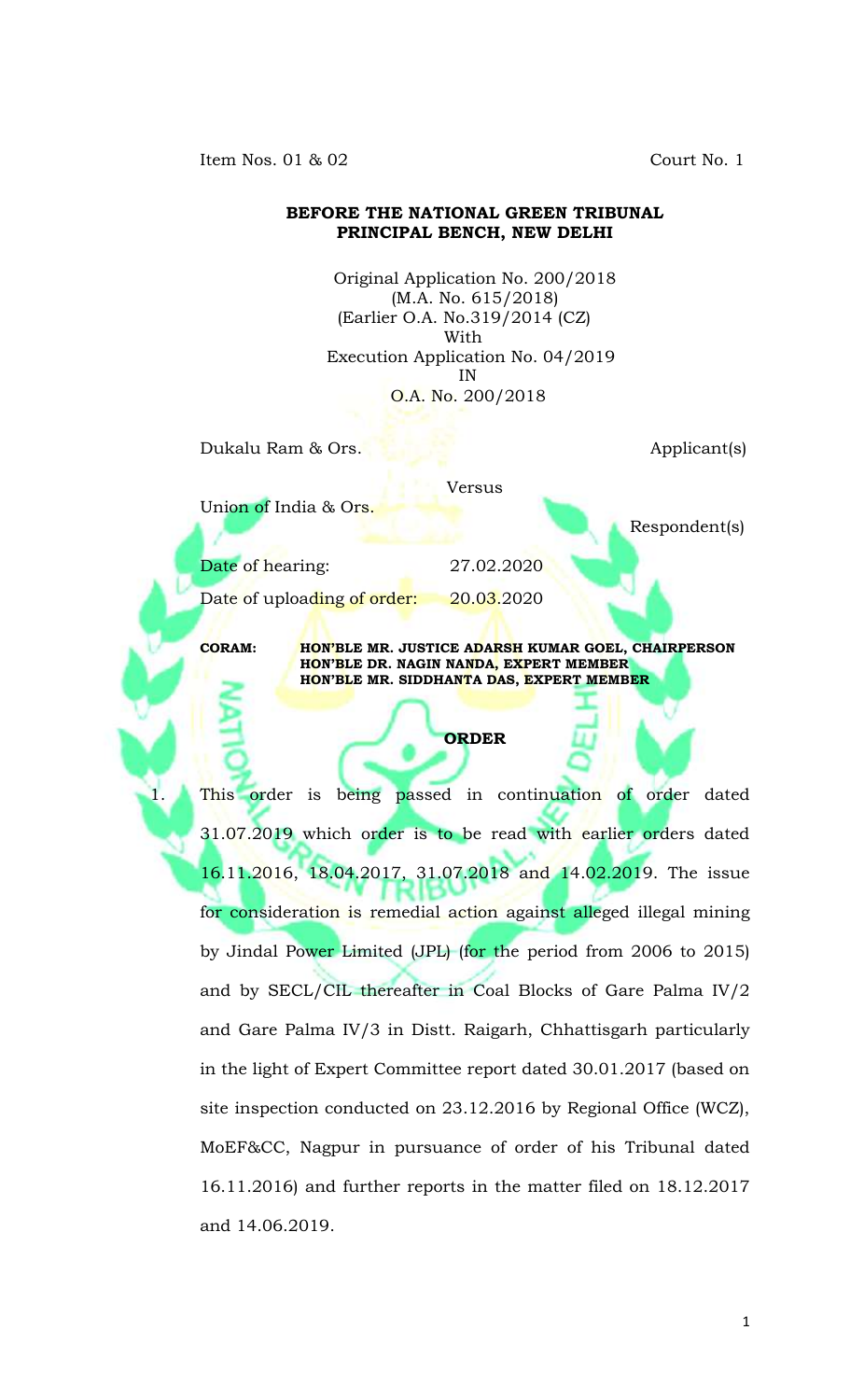Item Nos. 01 & 02 Court No. 1

## **BEFORE THE NATIONAL GREEN TRIBUNAL PRINCIPAL BENCH, NEW DELHI**

Original Application No. 200/2018 (M.A. No. 615/2018) (Earlier O.A. No.319/2014 (CZ) With Execution Application No. 04/2019 IN O.A. No. 200/2018

Versus

Dukalu Ram & Ors. Applicant(s)

Union of India & Ors.

Respondent(s)

 Date of hearing: 27.02.2020 Date of uploading of order: 20.03.2020

**CORAM: HON'BLE MR. JUSTICE ADARSH KUMAR GOEL, CHAIRPERSON HON'BLE DR. NAGIN NANDA, EXPERT MEMBER HON'BLE MR. SIDDHANTA DAS, EXPERT MEMBER**

## **ORDER**

This order is being passed in continuation of order dated 31.07.2019 which order is to be read with earlier orders dated 16.11.2016, 18.04.2017, 31.07.2018 and 14.02.2019. The issue for consideration is remedial action against alleged illegal mining by Jindal Power Limited (JPL) (for the period from 2006 to 2015) and by SECL/CIL thereafter in Coal Blocks of Gare Palma IV/2 and Gare Palma IV/3 in Distt. Raigarh, Chhattisgarh particularly in the light of Expert Committee report dated 30.01.2017 (based on site inspection conducted on 23.12.2016 by Regional Office (WCZ), MoEF&CC, Nagpur in pursuance of order of his Tribunal dated 16.11.2016) and further reports in the matter filed on 18.12.2017 and 14.06.2019.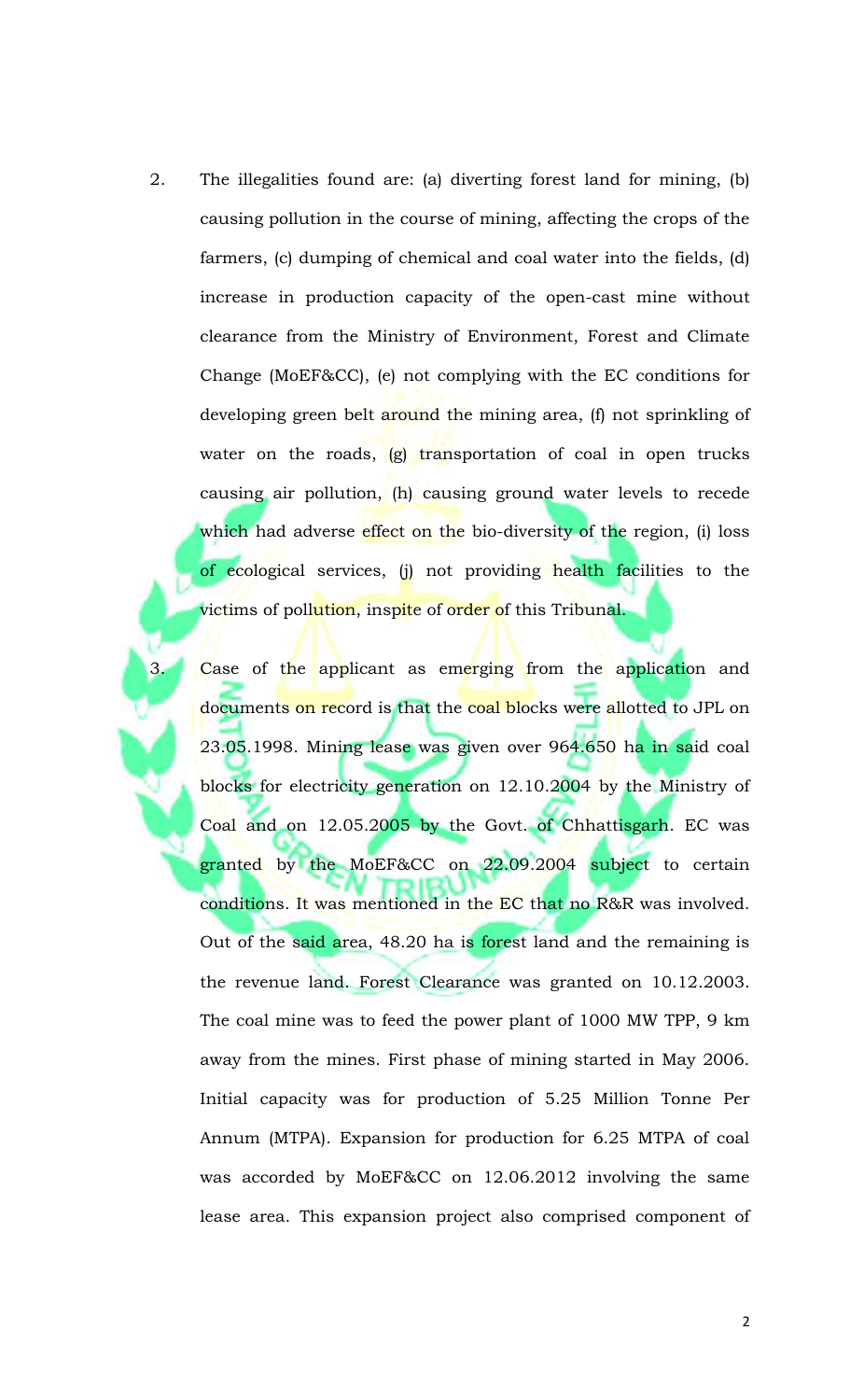2. The illegalities found are: (a) diverting forest land for mining, (b) causing pollution in the course of mining, affecting the crops of the farmers, (c) dumping of chemical and coal water into the fields, (d) increase in production capacity of the open-cast mine without clearance from the Ministry of Environment, Forest and Climate Change (MoEF&CC), (e) not complying with the EC conditions for developing green belt around the mining area, (f) not sprinkling of water on the roads, (g) transportation of coal in open trucks causing air pollution, (h) causing ground water levels to recede which had adverse effect on the bio-diversity of the region, (i) loss of ecological services, (j) not providing health facilities to the victims of pol<mark>lution,</mark> ins<mark>pit</mark>e of order of this Tribunal.

Case of the applicant as emerging from the application and documents on record is that the coal blocks were allotted to JPL on 23.05.1998. Mining lease was given over 964.650 ha in said coal blocks for electricity generation on 12.10.2004 by the Ministry of Coal and on 12.05.2005 by the Govt. of Chhattisgarh. EC was granted by the MoEF&CC on 22.09.2004 subject to certain conditions. It was mentioned in the EC that no R&R was involved. Out of the said area, 48.20 ha is forest land and the remaining is the revenue land. Forest Clearance was granted on 10.12.2003. The coal mine was to feed the power plant of 1000 MW TPP, 9 km away from the mines. First phase of mining started in May 2006. Initial capacity was for production of 5.25 Million Tonne Per Annum (MTPA). Expansion for production for 6.25 MTPA of coal was accorded by MoEF&CC on 12.06.2012 involving the same lease area. This expansion project also comprised component of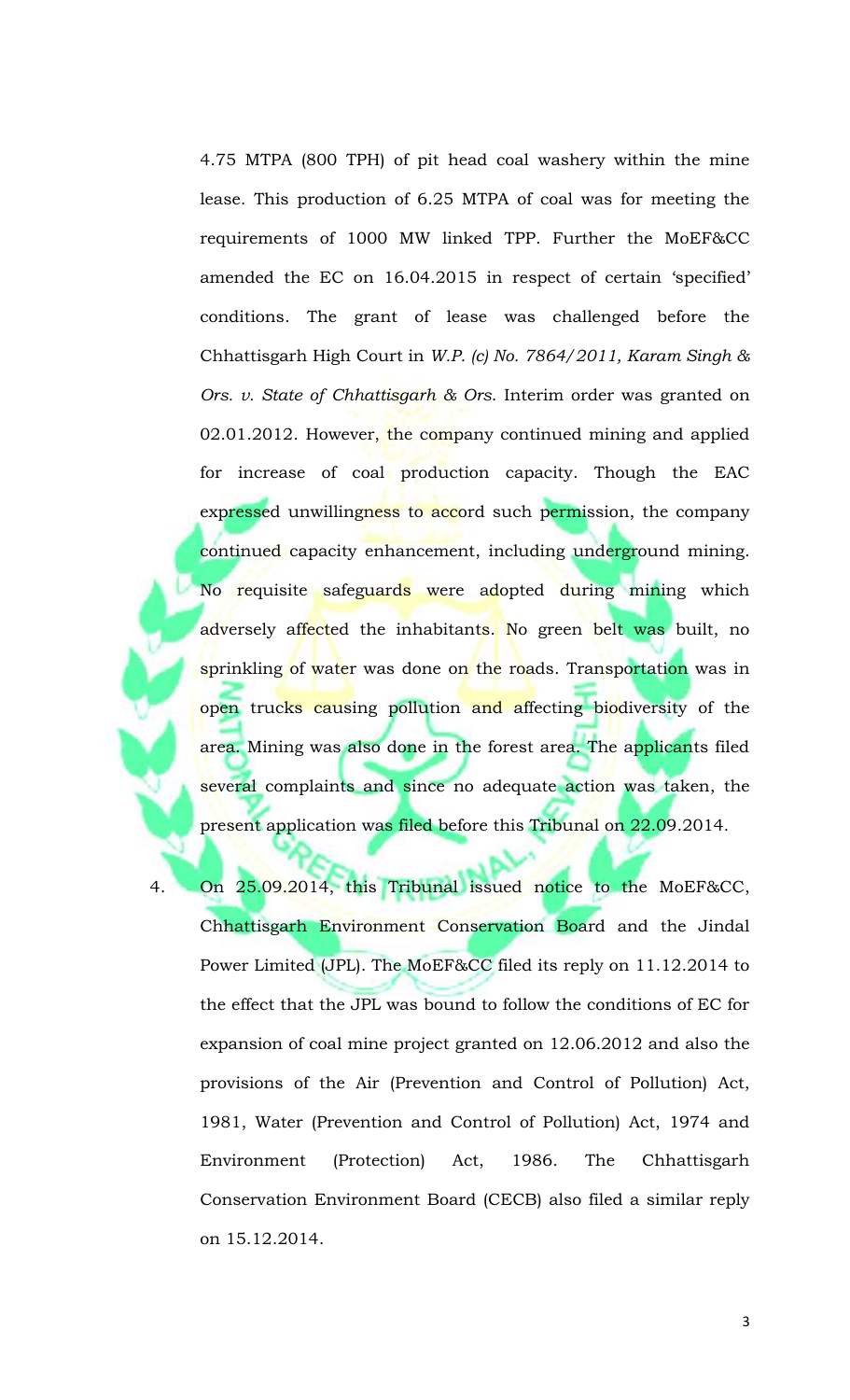4.75 MTPA (800 TPH) of pit head coal washery within the mine lease. This production of 6.25 MTPA of coal was for meeting the requirements of 1000 MW linked TPP. Further the MoEF&CC amended the EC on 16.04.2015 in respect of certain 'specified' conditions. The grant of lease was challenged before the Chhattisgarh High Court in *W.P. (c) No. 7864/2011, Karam Singh & Ors. v. State of Chhattisgarh & Ors*. Interim order was granted on  $02.01.2012$ . However, the company continued mining and applied for increase of coal production capacity. Though the EAC expressed unwillingness to accord such permission, the company continued capacity enhancement, including underground mining. No requisite safeguards were adopted during mining which adversely affected the inhabitants. No green belt was built, no sprinkling of water was done on the roads. Transportation was in open trucks causing pollution and affecting biodiversity of the area. Mining was also done in the forest area. The applicants filed several complaints and since no adequate action was taken, the present application was filed before this Tribunal on 22.09.2014.

4. On 25.09.2014, this Tribunal issued notice to the MoEF&CC, Chhattisgarh Environment Conservation Board and the Jindal Power Limited (JPL). The MoEF&CC filed its reply on 11.12.2014 to the effect that the JPL was bound to follow the conditions of EC for expansion of coal mine project granted on 12.06.2012 and also the provisions of the Air (Prevention and Control of Pollution) Act, 1981, Water (Prevention and Control of Pollution) Act, 1974 and Environment (Protection) Act, 1986. The Chhattisgarh Conservation Environment Board (CECB) also filed a similar reply on 15.12.2014.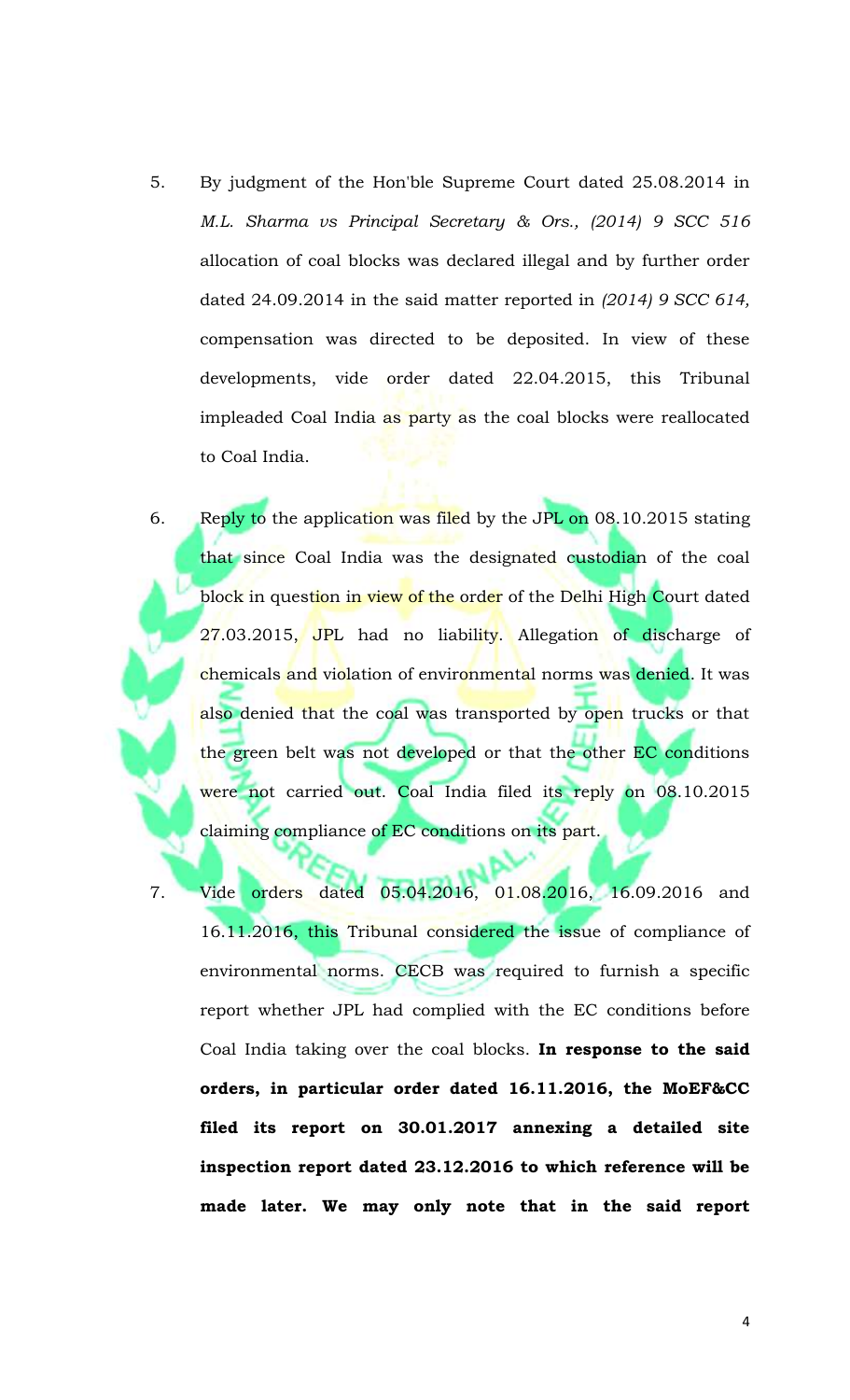- 5. By judgment of the Hon'ble Supreme Court dated 25.08.2014 in *M.L. Sharma vs Principal Secretary & Ors., (2014) 9 SCC 516* allocation of coal blocks was declared illegal and by further order dated 24.09.2014 in the said matter reported in *(2014) 9 SCC 614,* compensation was directed to be deposited. In view of these developments, vide order dated 22.04.2015, this Tribunal impleaded Coal India as party as the coal blocks were reallocated to Coal India.
- 6. Reply to the application was filed by the JPL on 08.10.2015 stating that since Coal India was the designated custodian of the coal block in question in view of the order of the Delhi High Court dated 27.03.2015, JPL had no liability. Allegation of discharge of chemicals and violation of environmental norms was denied. It was also denied that the coal was transported by open trucks or that the green belt was not developed or that the other EC conditions were not carried out. Coal India filed its reply on 08.10.2015 claiming compliance of EC conditions on its part.
	- 7. Vide orders dated 05.04.2016, 01.08.2016, 16.09.2016 and 16.11.2016, this Tribunal considered the issue of compliance of environmental norms. CECB was required to furnish a specific report whether JPL had complied with the EC conditions before Coal India taking over the coal blocks. **In response to the said orders, in particular order dated 16.11.2016, the MoEF&CC filed its report on 30.01.2017 annexing a detailed site inspection report dated 23.12.2016 to which reference will be made later. We may only note that in the said report**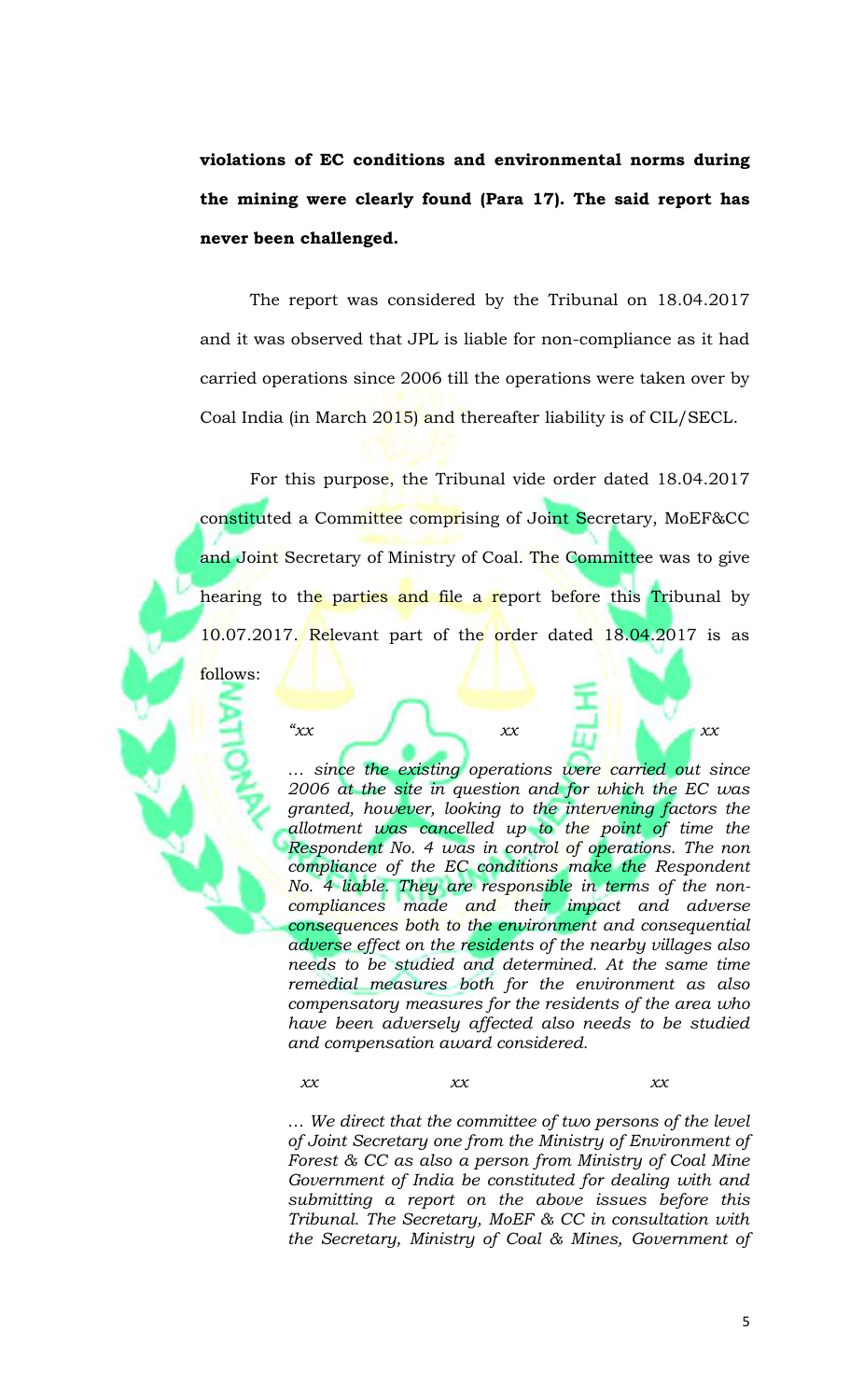**violations of EC conditions and environmental norms during the mining were clearly found (Para 17). The said report has never been challenged.**

The report was considered by the Tribunal on 18.04.2017 and it was observed that JPL is liable for non-compliance as it had carried operations since 2006 till the operations were taken over by Coal India (in March 2015) and thereafter liability is of CIL/SECL.

For this purpose, the Tribunal vide order dated 18.04.2017 constituted a Committee comprising of Joint Secretary, MoEF&CC and Joint Secretary of Ministry of Coal. The Committee was to give hearing to the parties and file a report before this Tribunal by 10.07.2017. Relevant part of the order dated 18.04.2017 is as follows:

*"xx xx xx*

*… since the existing operations were carried out since 2006 at the site in question and for which the EC was granted, however, looking to the intervening factors the allotment was cancelled up to the point of time the Respondent No. 4 was in control of operations. The non compliance of the EC conditions make the Respondent No. 4 liable. They are responsible in terms of the noncompliances made and their impact and adverse consequences both to the environment and consequential adverse effect on the residents of the nearby villages also needs to be studied and determined. At the same time remedial measures both for the environment as also compensatory measures for the residents of the area who have been adversely affected also needs to be studied and compensation award considered.*

*xx xx xx*

*… We direct that the committee of two persons of the level of Joint Secretary one from the Ministry of Environment of Forest & CC as also a person from Ministry of Coal Mine Government of India be constituted for dealing with and submitting a report on the above issues before this Tribunal. The Secretary, MoEF & CC in consultation with the Secretary, Ministry of Coal & Mines, Government of*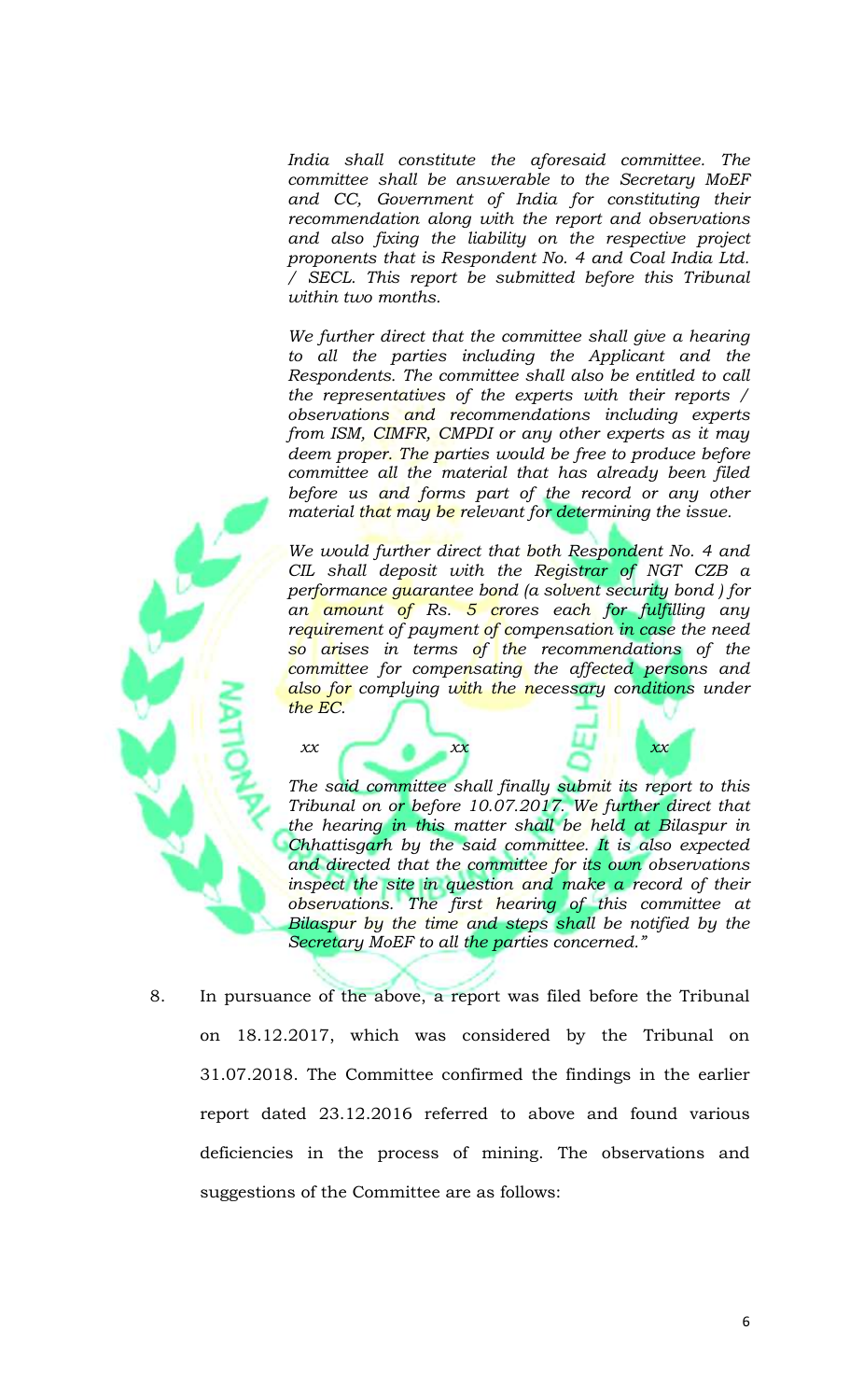*India shall constitute the aforesaid committee. The committee shall be answerable to the Secretary MoEF and CC, Government of India for constituting their recommendation along with the report and observations and also fixing the liability on the respective project proponents that is Respondent No. 4 and Coal India Ltd. / SECL. This report be submitted before this Tribunal within two months.*

*We further direct that the committee shall give a hearing to all the parties including the Applicant and the Respondents. The committee shall also be entitled to call the representatives of the experts with their reports / observations and recommendations including experts from ISM, CIMFR, CMPDI or any other experts as it may deem proper. The parties would be free to produce before committee all the material that has already been filed before us and forms part of the record or any other material that may be relevant for determining the issue.*

*We would further direct that both Respondent No. 4 and CIL shall deposit with the Registrar of NGT CZB a performance guarantee bond (a solvent security bond ) for an amount of Rs. 5 crores each for fulfilling any requirement of payment of compensation in case the need so arises in terms of the recommendations of the committee for compensating the affected persons and also for complying with the necessary conditions under the EC.*

*The said committee shall finally submit its report to this Tribunal on or before 10.07.2017. We further direct that the hearing in this matter shall be held at Bilaspur in Chhattisgarh by the said committee. It is also expected and directed that the committee for its own observations inspect the site in question and make a record of their observations. The first hearing of this committee at Bilaspur by the time and steps shall be notified by the Secretary MoEF to all the parties concerned."*

*xx xx xx xx* 

8. In pursuance of the above, a report was filed before the Tribunal on 18.12.2017, which was considered by the Tribunal on 31.07.2018. The Committee confirmed the findings in the earlier report dated 23.12.2016 referred to above and found various deficiencies in the process of mining. The observations and suggestions of the Committee are as follows: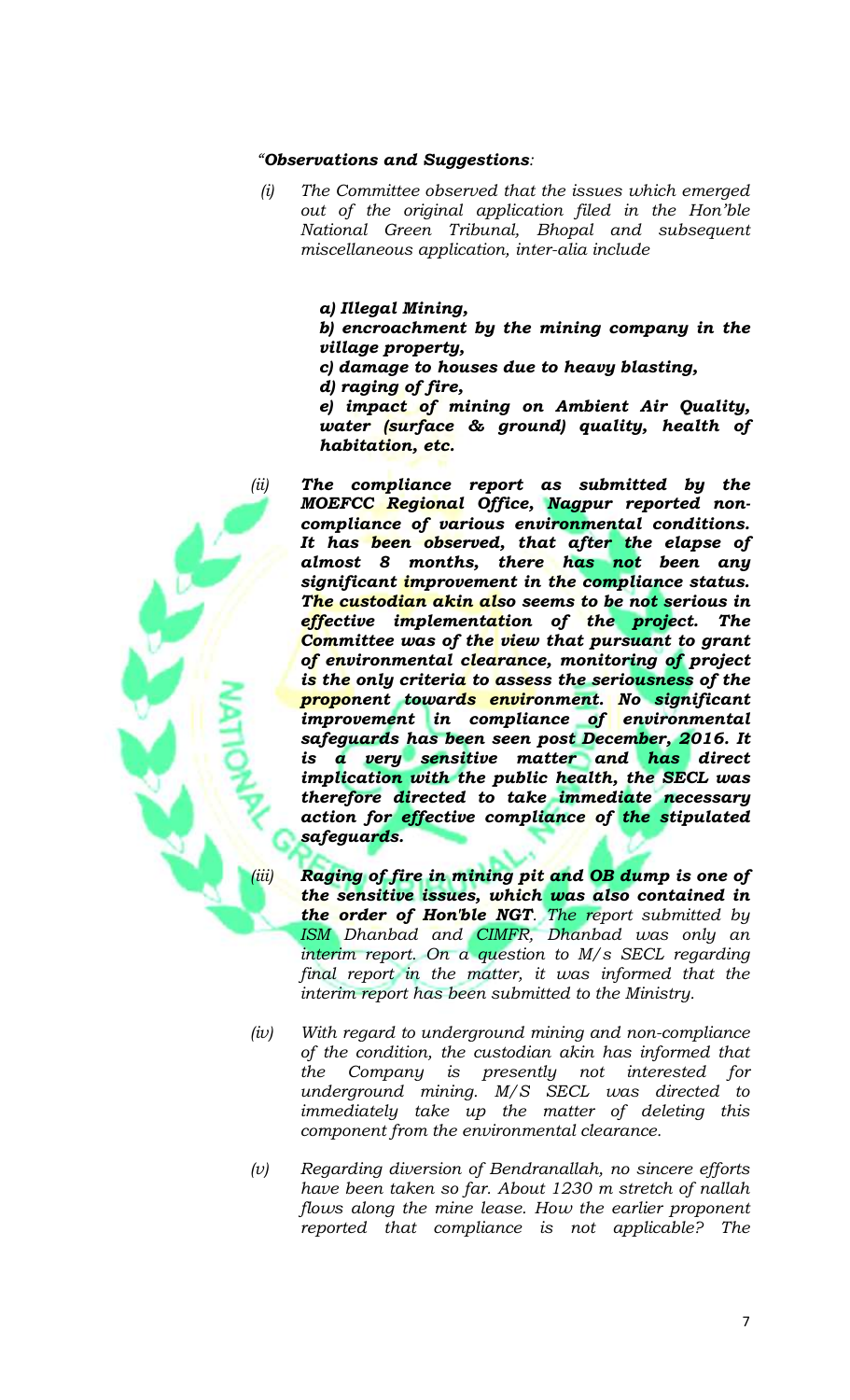#### *"Observations and Suggestions:*

 *(i) The Committee observed that the issues which emerged out of the original application filed in the Hon'ble National Green Tribunal, Bhopal and subsequent miscellaneous application, inter-alia include*

### *a) Illegal Mining,*

*b) encroachment by the mining company in the village property,*

- *c) damage to houses due to heavy blasting,*
- *d) raging of fire,*

*e) impact of mining on Ambient Air Quality, water (surface & ground) quality, health of habitation, etc.*

- *(ii) The compliance report as submitted by the MOEFCC Regional Office, Nagpur reported noncompliance of various environmental conditions. It has been observed, that after the elapse of almost 8 months, there has not been any significant improvement in the compliance status. The custodian akin also seems to be not serious in effective implementation of the project. The Committee was of the view that pursuant to grant of environmental clearance, monitoring of project is the only criteria to assess the seriousness of the proponent towards environment. No significant improvement in compliance of environmental safeguards has been seen post December, 2016. It is a very sensitive matter and has direct implication with the public health, the SECL was therefore directed to take immediate necessary action for effective compliance of the stipulated safeguards.*
	- *(iii) Raging of fire in mining pit and OB dump is one of the sensitive issues, which was also contained in the order of Hon'ble NGT. The report submitted by ISM Dhanbad and CIMFR, Dhanbad was only an interim report. On a question to M/s SECL regarding final report in the matter, it was informed that the interim report has been submitted to the Ministry.*
- *(iv) With regard to underground mining and non-compliance of the condition, the custodian akin has informed that the Company is presently not interested for underground mining. M/S SECL was directed to immediately take up the matter of deleting this component from the environmental clearance.*
- *(v) Regarding diversion of Bendranallah, no sincere efforts have been taken so far. About 1230 m stretch of nallah flows along the mine lease. How the earlier proponent reported that compliance is not applicable? The*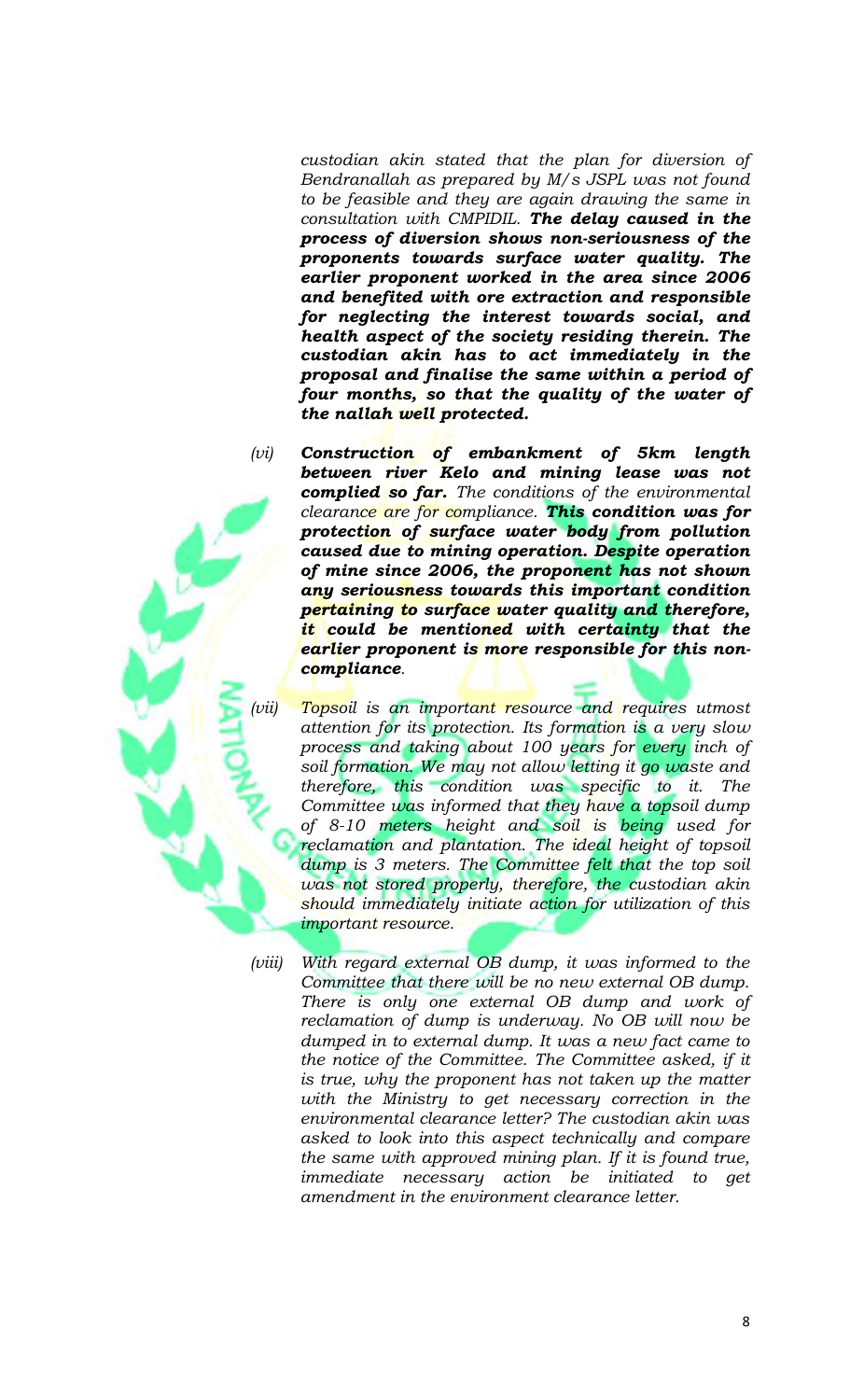*custodian akin stated that the plan for diversion of Bendranallah as prepared by M/s JSPL was not found to be feasible and they are again drawing the same in consultation with CMPIDIL. The delay caused in the process of diversion shows non-seriousness of the proponents towards surface water quality. The earlier proponent worked in the area since 2006 and benefited with ore extraction and responsible for neglecting the interest towards social, and health aspect of the society residing therein. The custodian akin has to act immediately in the proposal and finalise the same within a period of four months, so that the quality of the water of the nallah well protected.*

*(vi) Construction of embankment of 5km length between river Kelo and mining lease was not complied so far. The conditions of the environmental clearance are for compliance. This condition was for protection of surface water body from pollution caused due to mining operation. Despite operation of mine since 2006, the proponent has not shown any seriousness towards this important condition pertaining to surface water quality and therefore, it could be mentioned with certainty that the earlier proponent is more responsible for this noncompliance.*

*Topsoil is an important resource and requires utmost attention for its protection. Its formation is a very slow process and taking about 100 years for every inch of soil formation. We may not allow letting it go waste and therefore, this condition was specific to it. The Committee was informed that they have a topsoil dump of 8-10 meters height and soil is being used for reclamation and plantation. The ideal height of topsoil dump is 3 meters. The Committee felt that the top soil was not stored properly, therefore, the custodian akin should immediately initiate action for utilization of this important resource.*

*(viii) With regard external OB dump, it was informed to the Committee that there will be no new external OB dump. There is only one external OB dump and work of reclamation of dump is underway. No OB will now be dumped in to external dump. It was a new fact came to the notice of the Committee. The Committee asked, if it is true, why the proponent has not taken up the matter with the Ministry to get necessary correction in the environmental clearance letter? The custodian akin was asked to look into this aspect technically and compare the same with approved mining plan. If it is found true, immediate necessary action be initiated to get amendment in the environment clearance letter.*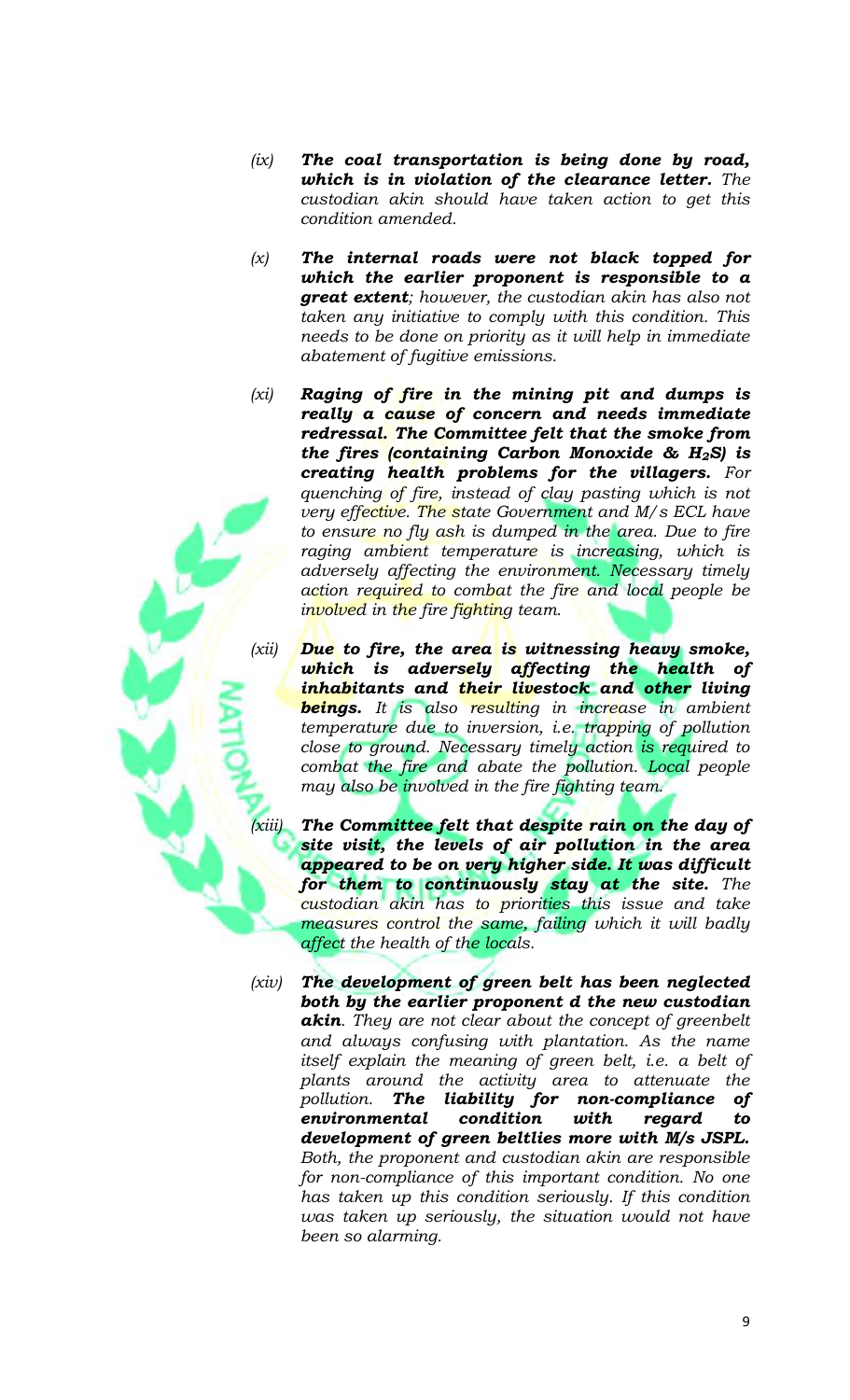- *(ix) The coal transportation is being done by road, which is in violation of the clearance letter. The custodian akin should have taken action to get this condition amended.*
- *(x) The internal roads were not black topped for which the earlier proponent is responsible to a great extent; however, the custodian akin has also not taken any initiative to comply with this condition. This needs to be done on priority as it will help in immediate abatement of fugitive emissions.*
- *(xi) Raging of fire in the mining pit and dumps is really a cause of concern and needs immediate redressal. The Committee felt that the smoke from the fires (containing Carbon Monoxide & H2S) is creating health problems for the villagers. For quenching of fire, instead of clay pasting which is not very effective. The state Government and M/s ECL have to ensure no fly ash is dumped in the area. Due to fire raging ambient temperature is increasing, which is adversely affecting the environment. Necessary timely action required to combat the fire and local people be involved in the fire fighting team.*
- *(xii) Due to fire, the area is witnessing heavy smoke, which is adversely affecting the health of inhabitants and their livestock and other living beings. It is also resulting in increase in ambient temperature due to inversion, i.e. trapping of pollution close to ground. Necessary timely action is required to combat the fire and abate the pollution. Local people may also be involved in the fire fighting team.*
	- *The Committee felt that despite rain on the day of site visit, the levels of air pollution in the area appeared to be on very higher side. It was difficult for them to continuously stay at the site. The custodian akin has to priorities this issue and take measures control the same, failing which it will badly affect the health of the locals.*
- *(xiv) The development of green belt has been neglected both by the earlier proponent d the new custodian akin. They are not clear about the concept of greenbelt and always confusing with plantation. As the name itself explain the meaning of green belt, i.e. a belt of plants around the activity area to attenuate the pollution. The liability for non-compliance of environmental condition with regard to development of green beltlies more with M/s JSPL. Both, the proponent and custodian akin are responsible for non-compliance of this important condition. No one has taken up this condition seriously. If this condition was taken up seriously, the situation would not have been so alarming.*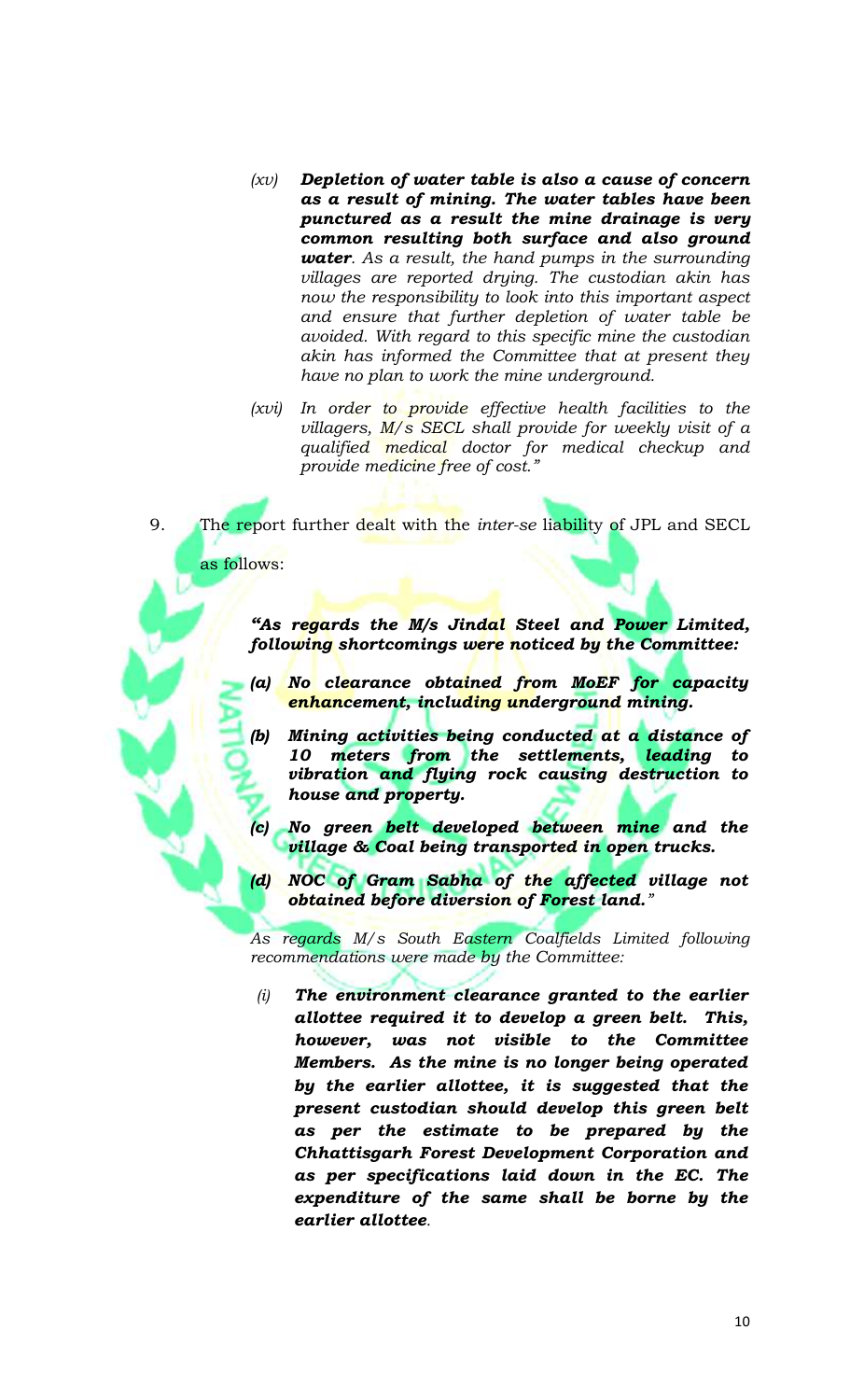- *(xv) Depletion of water table is also a cause of concern as a result of mining. The water tables have been punctured as a result the mine drainage is very common resulting both surface and also ground water. As a result, the hand pumps in the surrounding villages are reported drying. The custodian akin has now the responsibility to look into this important aspect and ensure that further depletion of water table be avoided. With regard to this specific mine the custodian akin has informed the Committee that at present they have no plan to work the mine underground.*
- *(xvi) In order to provide effective health facilities to the villagers, M/s SECL shall provide for weekly visit of a qualified medical doctor for medical checkup and provide medicine free of cost."*
- 9. The report further dealt with the *inter-se* liability of JPL and SECL

as follows:

*"As regards the M/s Jindal Steel and Power Limited, following shortcomings were noticed by the Committee:*

- *(a) No clearance obtained from MoEF for capacity enhancement, including underground mining.*
	- *(b) Mining activities being conducted at a distance of 10 meters from the settlements, leading to vibration and flying rock causing destruction to house and property.*
	- *(c) No green belt developed between mine and the village & Coal being transported in open trucks.*
	- *(d) NOC of Gram Sabha of the affected village not obtained before diversion of Forest land."*

As regards M/s South Eastern Coalfields Limited following *recommendations were made by the Committee:*

*(i) The environment clearance granted to the earlier allottee required it to develop a green belt. This, however, was not visible to the Committee Members. As the mine is no longer being operated by the earlier allottee, it is suggested that the present custodian should develop this green belt as per the estimate to be prepared by the Chhattisgarh Forest Development Corporation and as per specifications laid down in the EC. The expenditure of the same shall be borne by the earlier allottee.*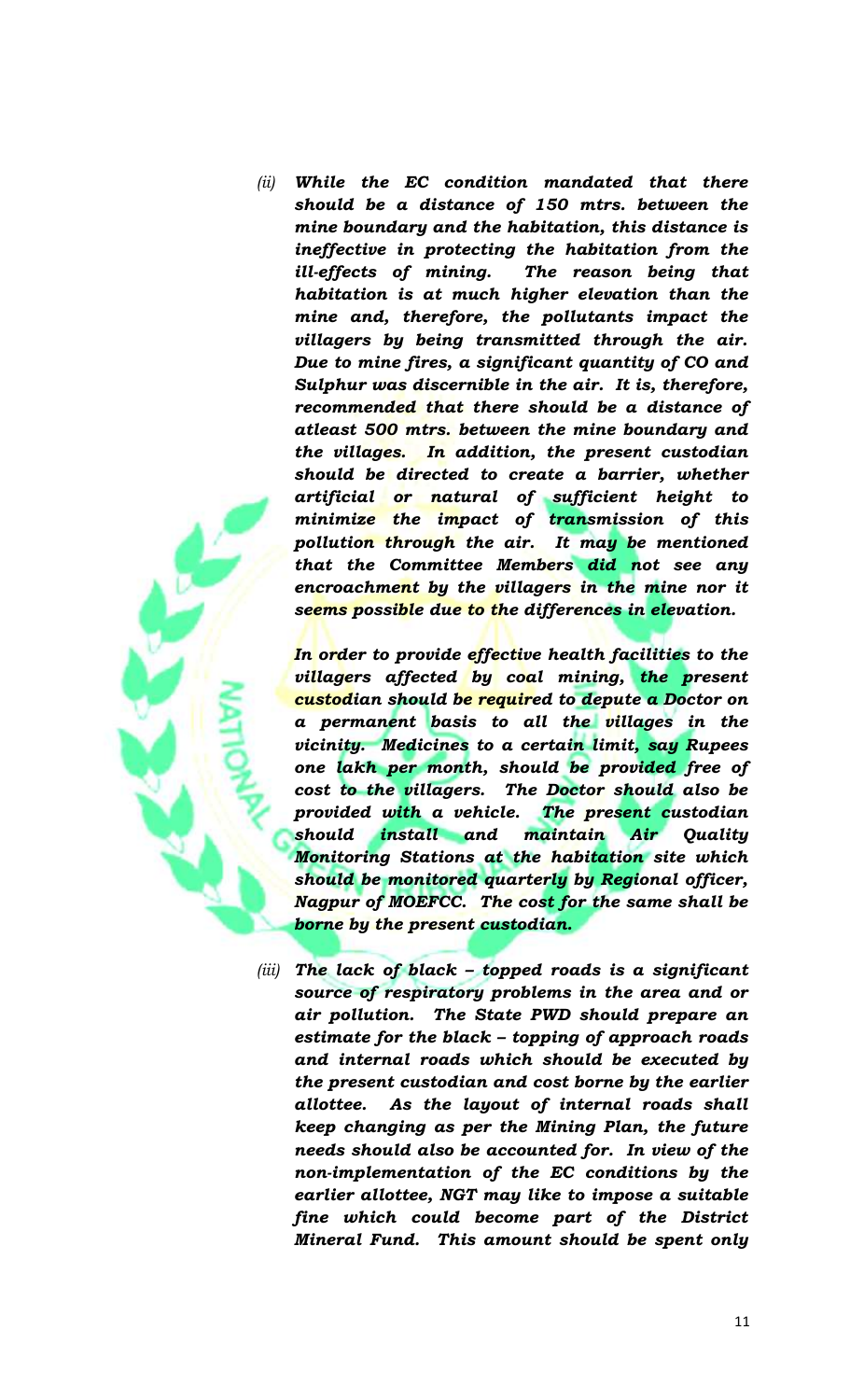*(ii) While the EC condition mandated that there should be a distance of 150 mtrs. between the mine boundary and the habitation, this distance is ineffective in protecting the habitation from the ill-effects of mining. The reason being that habitation is at much higher elevation than the mine and, therefore, the pollutants impact the villagers by being transmitted through the air. Due to mine fires, a significant quantity of CO and Sulphur was discernible in the air. It is, therefore, recommended that there should be a distance of atleast 500 mtrs. between the mine boundary and the villages. In addition, the present custodian should be directed to create a barrier, whether artificial or natural of sufficient height to minimize the impact of transmission of this pollution through the air. It may be mentioned that the Committee Members did not see any encroachment by the villagers in the mine nor it seems possible due to the differences in elevation.* 

*In order to provide effective health facilities to the villagers affected by coal mining, the present custodian should be required to depute a Doctor on a permanent basis to all the villages in the vicinity. Medicines to a certain limit, say Rupees one lakh per month, should be provided free of cost to the villagers. The Doctor should also be provided with a vehicle. The present custodian should install and maintain Air Quality Monitoring Stations at the habitation site which should be monitored quarterly by Regional officer, Nagpur of MOEFCC. The cost for the same shall be borne by the present custodian.*

*(iii) The lack of black – topped roads is a significant source of respiratory problems in the area and or air pollution. The State PWD should prepare an estimate for the black – topping of approach roads and internal roads which should be executed by the present custodian and cost borne by the earlier allottee. As the layout of internal roads shall keep changing as per the Mining Plan, the future needs should also be accounted for. In view of the non-implementation of the EC conditions by the earlier allottee, NGT may like to impose a suitable fine which could become part of the District Mineral Fund. This amount should be spent only*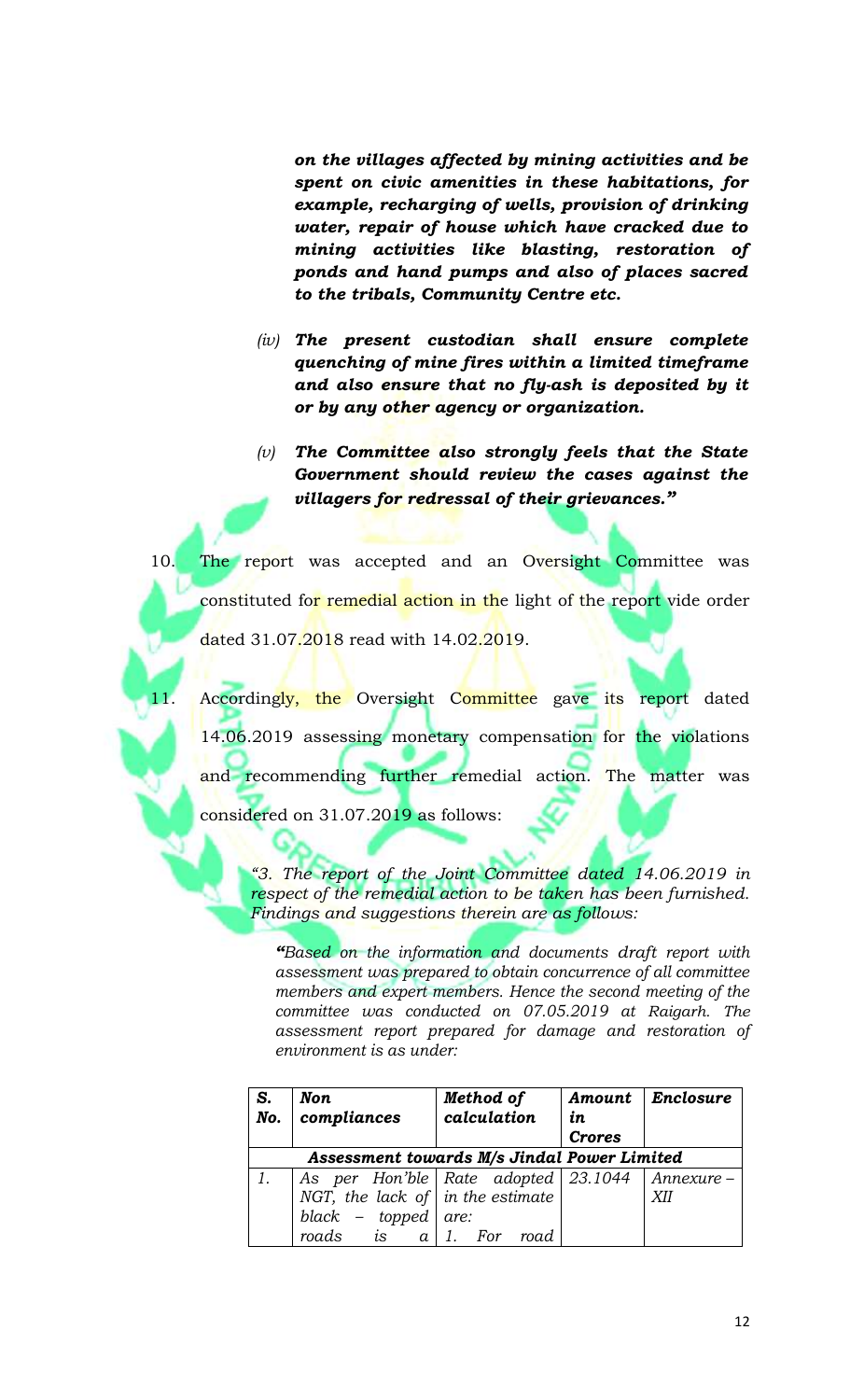*on the villages affected by mining activities and be spent on civic amenities in these habitations, for example, recharging of wells, provision of drinking water, repair of house which have cracked due to mining activities like blasting, restoration of ponds and hand pumps and also of places sacred to the tribals, Community Centre etc.* 

- *(iv) The present custodian shall ensure complete quenching of mine fires within a limited timeframe and also ensure that no fly-ash is deposited by it or by any other agency or organization.*
- *(v) The Committee also strongly feels that the State Government should review the cases against the villagers for redressal of their grievances."*

10. The report was accepted and an Oversight Committee was constituted for remedial action in the light of the report vide order dated 31.07.2018 read with 14.02.2019.

Accordingly, the Oversight Committee gave its report dated 14.06.2019 assessing monetary compensation for the violations and recommending further remedial action. The matter was considered on 31.07.2019 as follows:

> *"3. The report of the Joint Committee dated 14.06.2019 in respect of the remedial action to be taken has been furnished. Findings and suggestions therein are as follows:*

*"Based on the information and documents draft report with assessment was prepared to obtain concurrence of all committee members and expert members. Hence the second meeting of the committee was conducted on 07.05.2019 at Raigarh. The assessment report prepared for damage and restoration of environment is as under:*

| S.<br>No.                                   | Non.<br>compliances                                  | Method of<br>calculation | in<br><b>Crores</b> | Amount   Enclosure |
|---------------------------------------------|------------------------------------------------------|--------------------------|---------------------|--------------------|
| Assessment towards M/s Jindal Power Limited |                                                      |                          |                     |                    |
|                                             | As per Hon'ble   Rate adopted   23.1044   Annexure – |                          |                     |                    |
|                                             | NGT, the lack of $\int$ in the estimate              |                          |                     | XII                |
|                                             | black – topped are:                                  |                          |                     |                    |
|                                             | roads is $a \mid 1$ .                                | For<br>road              |                     |                    |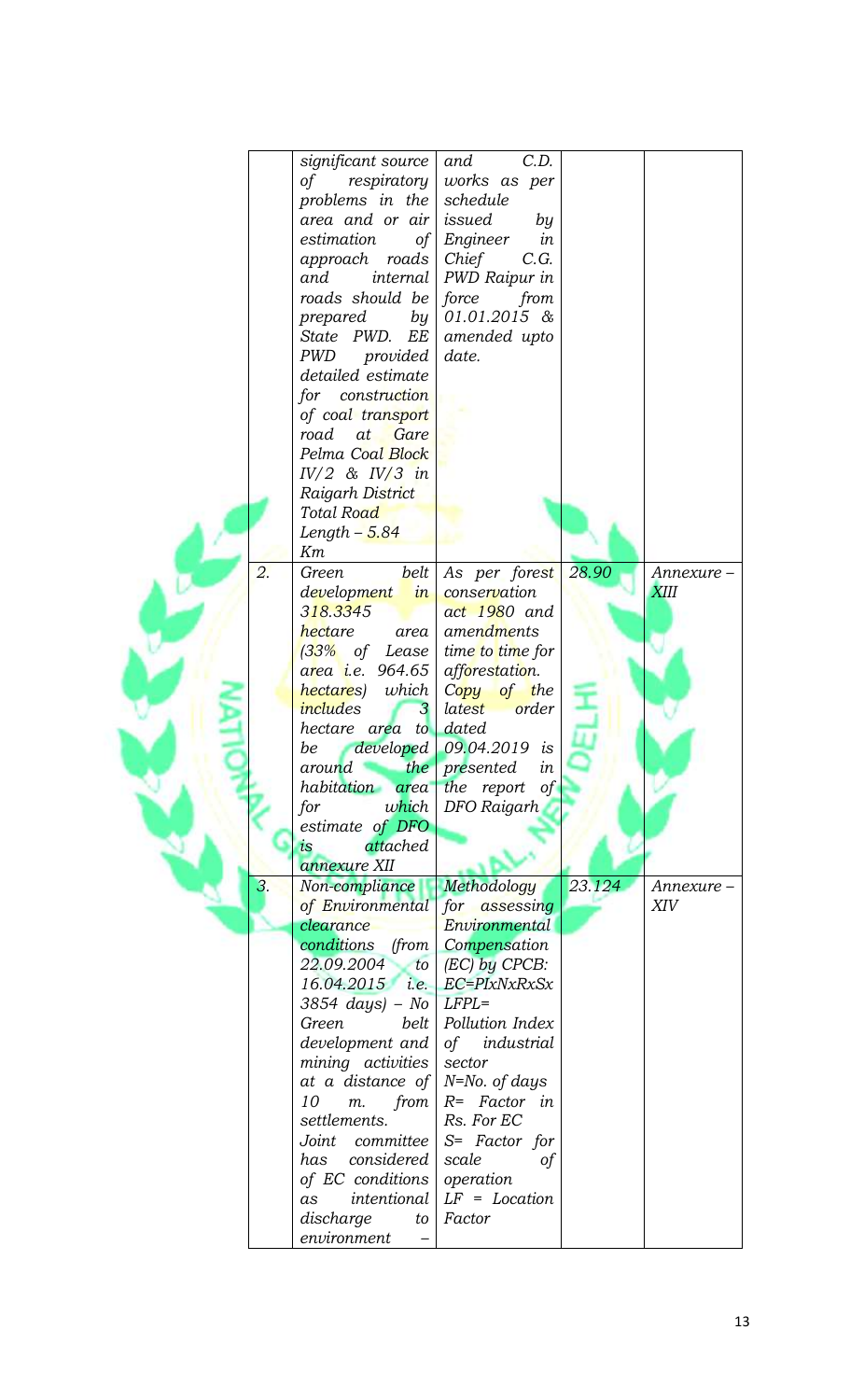|    | significant source                   | C.D.<br>and             |        |            |
|----|--------------------------------------|-------------------------|--------|------------|
|    | respiratory<br>$\sigma f$            | works as per            |        |            |
|    | problems in the                      | schedule                |        |            |
|    | area and or air                      | issued<br>by            |        |            |
|    | estimation<br>of                     | Engineer<br>in          |        |            |
|    | approach roads                       | Chief<br>C.G.           |        |            |
|    | and<br><i>internal</i>               | PWD Raipur in           |        |            |
|    | roads should be                      | force<br>from           |        |            |
|    |                                      |                         |        |            |
|    | prepared by $\vert$ 01.01.2015 &     |                         |        |            |
|    | State PWD. EE                        | amended upto            |        |            |
|    | PWD provided                         | date.                   |        |            |
|    | detailed estimate                    |                         |        |            |
|    | for construction                     |                         |        |            |
|    | of coal transport                    |                         |        |            |
|    | road at Gare                         |                         |        |            |
|    | Pelma Coal Block                     |                         |        |            |
|    | $IV/2$ & $IV/3$ in                   |                         |        |            |
|    |                                      |                         |        |            |
|    | Raigarh District                     |                         |        |            |
|    | Total Road                           |                         |        |            |
|    | $Length - 5.84$                      |                         |        |            |
|    | Кm                                   |                         |        |            |
| 2. | belt<br>Green                        | As per forest           | 28.90  | Annexure - |
|    | development in                       | conservation            |        | XIII       |
|    | 3 <mark>18.3345</mark>               | act 1980 and            |        |            |
|    | hectare<br>area                      | amendments              |        |            |
|    | $(33%$ of Lease                      | time to time for        |        |            |
|    | a <mark>r</mark> ea i.e. 964.65      | afforestation.          |        |            |
|    |                                      |                         |        |            |
|    | hectares) which                      | Copy of the             |        |            |
|    | includes<br>$\mathcal{S}$            | latest order            |        |            |
|    | hectare area to                      | dated                   |        |            |
|    | be                                   | developed 09.04.2019 is |        |            |
|    | around the presented                 | ın                      |        |            |
|    | habitation                           | area the report<br>of   |        |            |
|    | which<br>for                         | DFO Raigarh             |        |            |
|    | estimate of DFO                      |                         |        |            |
|    | attached<br>is                       |                         |        |            |
|    | annexure XII                         |                         |        |            |
| 3. | Non-compliance                       | Methodology             | 23.124 | Annexure-  |
|    | of Environmental                     | for assessing           |        | XIV        |
|    | clearance                            | Environmental           |        |            |
|    |                                      |                         |        |            |
|    | conditions (from Compensation        |                         |        |            |
|    | 22.09.2004                           | to $ $ (EC) by CPCB:    |        |            |
|    | $16.04.2015$ <i>i.e.</i>             | EC=PIxNxRxSx            |        |            |
|    | $3854 \; days$ ) – No                | $LFPL=$                 |        |            |
|    | belt<br>Green                        | Pollution Index         |        |            |
|    | development and $\int$ of industrial |                         |        |            |
|    | mining activities                    | sector                  |        |            |
|    | at a distance of $N=N$ o. of days    |                         |        |            |
|    | 10<br>$m$ .<br>from                  | $R= Factor$ in          |        |            |
|    | settlements.                         | Rs. For EC              |        |            |
|    | Joint committee                      | $S= Factor$ for         |        |            |
|    | considered<br>has                    | scale<br>of             |        |            |
|    | of EC conditions                     | operation               |        |            |
|    | intentional                          | $LF = Location$         |        |            |
|    | as                                   |                         |        |            |
|    | discharge<br>to                      | Factor                  |        |            |
|    | environment                          |                         |        |            |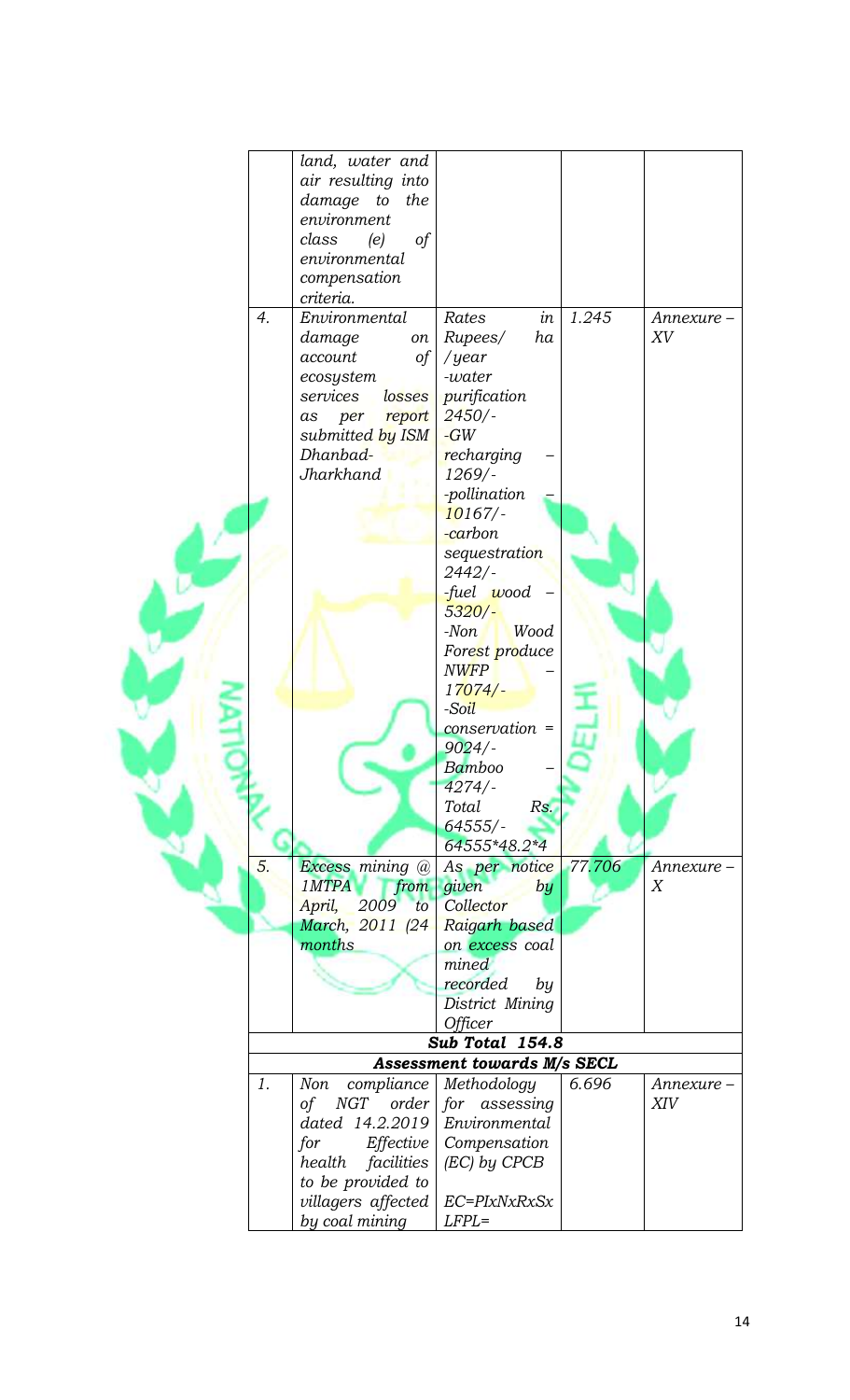|    | land, water and      |                                    |        |            |
|----|----------------------|------------------------------------|--------|------------|
|    | air resulting into   |                                    |        |            |
|    | damage to<br>the     |                                    |        |            |
|    | environment          |                                    |        |            |
|    | of<br>class<br>(e)   |                                    |        |            |
|    | environmental        |                                    |        |            |
|    | compensation         |                                    |        |            |
|    | criteria.            |                                    |        |            |
| 4. | Environmental        | in<br>Rates                        | 1.245  | Annexure-  |
|    |                      | ha                                 |        | XV         |
|    | damage<br>on         | Rupees/                            |        |            |
|    | account<br>of        | / $year$                           |        |            |
|    | ecosystem            | -water                             |        |            |
|    | services<br>losses   | purification                       |        |            |
|    | report<br>per<br>as  | $2450/-$                           |        |            |
|    | submitted by ISM     | $-GW$                              |        |            |
|    | Dhanbad-             | recharging                         |        |            |
|    | Jharkhand            | $1269/$ -                          |        |            |
|    |                      | -pollination                       |        |            |
|    |                      | 10167/                             |        |            |
|    |                      | -carbon                            |        |            |
|    |                      | sequestration                      |        |            |
|    |                      | $2442/-$                           |        |            |
|    |                      |                                    |        |            |
|    |                      | -fuel wood                         |        |            |
|    |                      | $5320/-$                           |        |            |
|    |                      | Wood<br>$-Non$                     |        |            |
|    |                      | Forest produce                     |        |            |
|    |                      | <b>NWFP</b>                        |        |            |
|    |                      | 17074/                             |        |            |
|    |                      | -Soil                              |        |            |
|    |                      | conservation =                     |        |            |
|    |                      | $9024/-$                           |        |            |
|    |                      | Bamboo                             |        |            |
|    |                      | 4274/                              |        |            |
|    |                      | Total<br>Rs.                       |        |            |
|    |                      | $64555/$ -                         |        |            |
|    |                      | 64555*48.2*4                       |        |            |
| 5. | Excess mining @      | As per notice                      | 77.706 | Annexure-  |
|    | 1MTPA                | $from$ given<br>by                 |        | Χ          |
|    | April,<br>2009<br>to | Collector                          |        |            |
|    | March, 2011 (24)     | Raigarh based                      |        |            |
|    | months               | on excess coal                     |        |            |
|    |                      | mined                              |        |            |
|    |                      | recorded<br>by                     |        |            |
|    |                      | District Mining                    |        |            |
|    |                      | Officer                            |        |            |
|    |                      | Sub Total 154.8                    |        |            |
|    |                      | <b>Assessment towards M/s SECL</b> |        |            |
|    |                      |                                    |        |            |
| 1. | compliance<br>Non    | Methodology                        | 6.696  | Annexure - |
|    | of                   | $NGT$ order for assessing          |        | XIV        |
|    | dated 14.2.2019      | Environmental                      |        |            |
|    | Effective<br>for     | Compensation                       |        |            |
|    | health facilities    | (EC) by CPCB                       |        |            |
|    | to be provided to    |                                    |        |            |
|    | villagers affected   | EC=PIxNxRxSx                       |        |            |
|    | by coal mining       | $LFPL =$                           |        |            |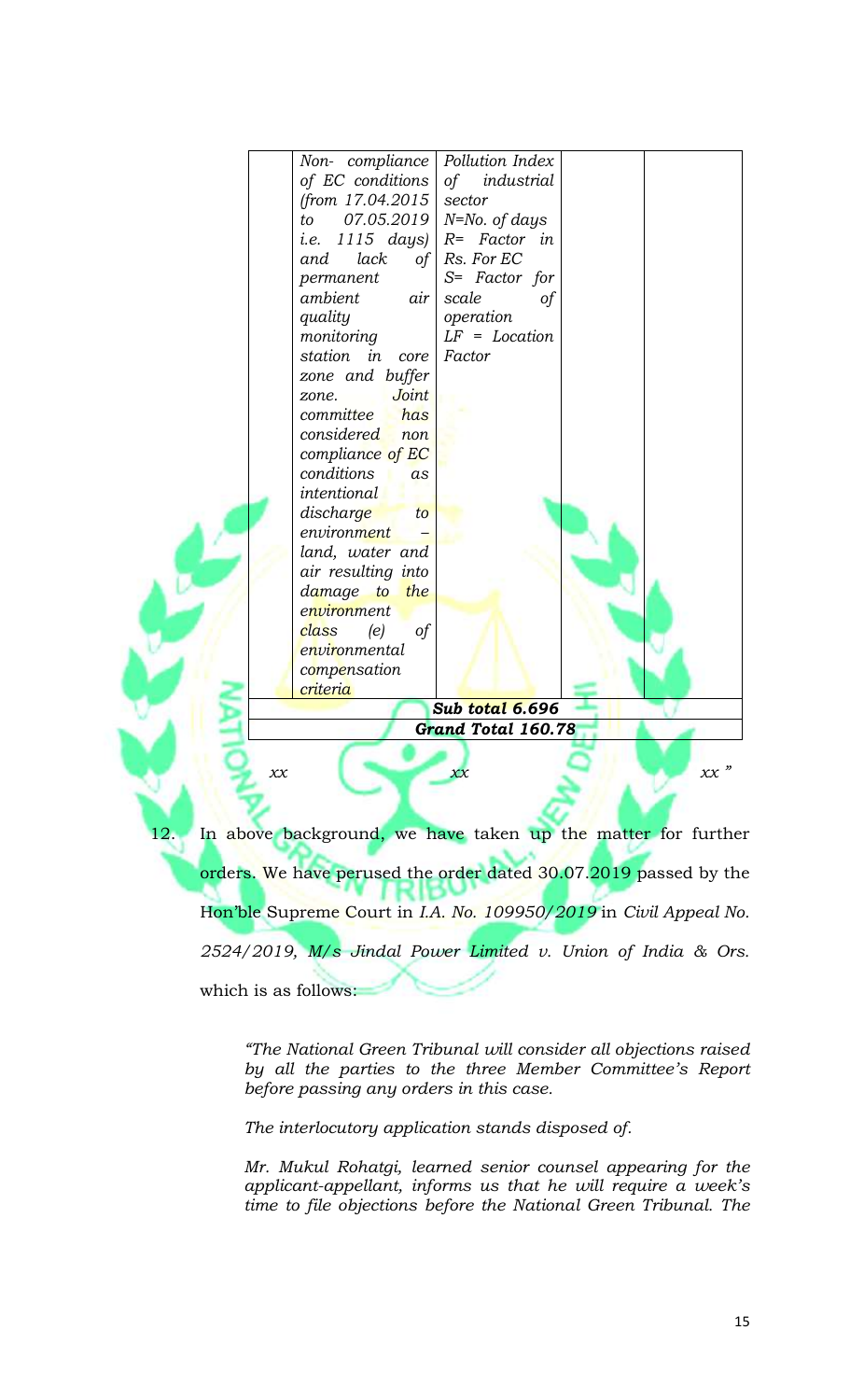

*2524/2019, M/s Jindal Power Limited v. Union of India & Ors.* which is as follows:

*"The National Green Tribunal will consider all objections raised by all the parties to the three Member Committee's Report before passing any orders in this case.*

*The interlocutory application stands disposed of.*

*Mr. Mukul Rohatgi, learned senior counsel appearing for the applicant-appellant, informs us that he will require a week's time to file objections before the National Green Tribunal. The*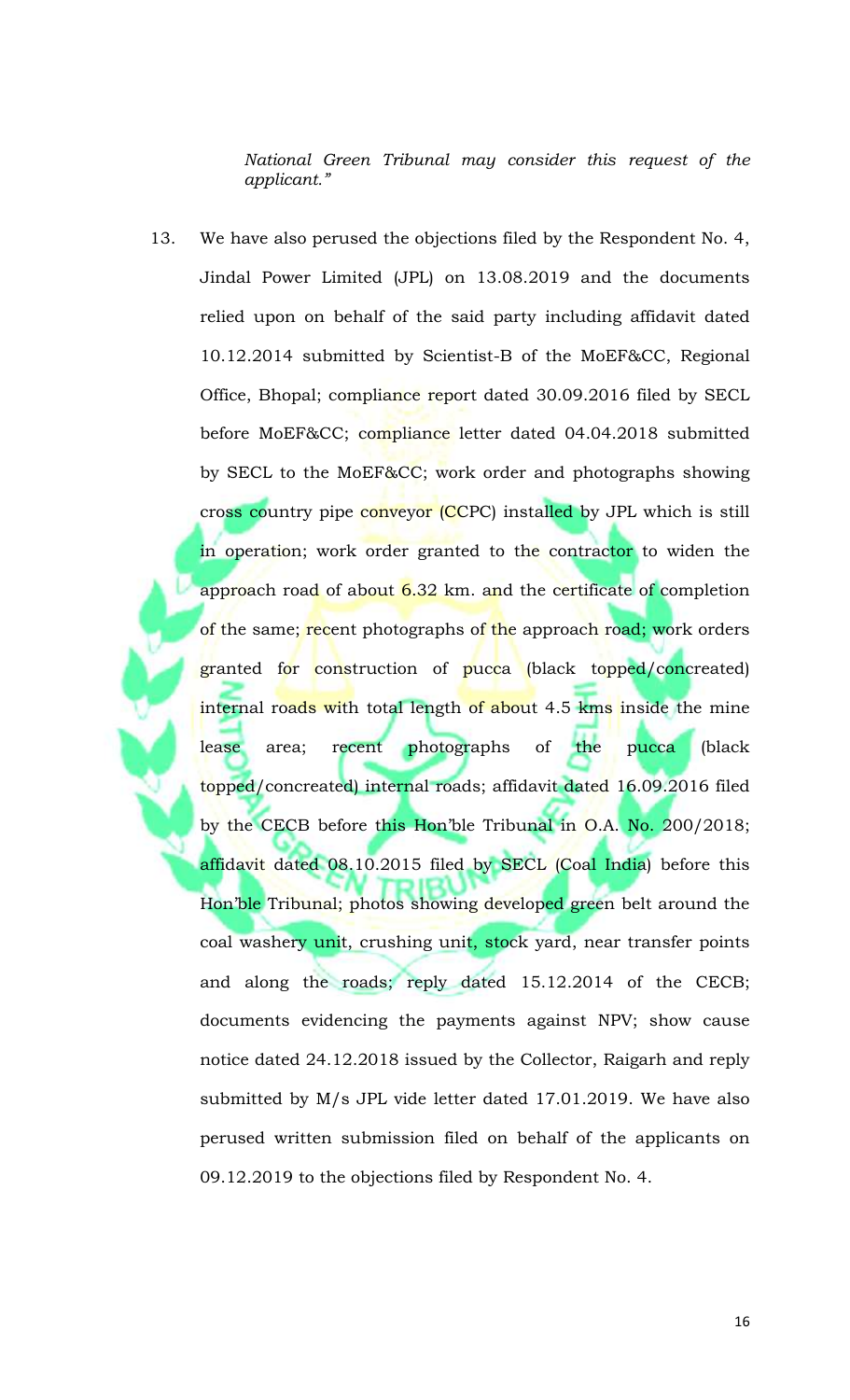*National Green Tribunal may consider this request of the applicant."*

13. We have also perused the objections filed by the Respondent No. 4, Jindal Power Limited (JPL) on 13.08.2019 and the documents relied upon on behalf of the said party including affidavit dated 10.12.2014 submitted by Scientist-B of the MoEF&CC, Regional Office, Bhopal; compliance report dated 30.09.2016 filed by SECL before MoEF&CC; compliance letter dated 04.04.2018 submitted by SECL to the MoEF&CC; work order and photographs showing cross country pipe conveyor (CCPC) installed by JPL which is still in operation; work order granted to the contractor to widen the approach road of about 6.32 km. and the certificate of completion of the same; recent photographs of the approach road; work orders granted for construction of pucca (black topped/concreated) internal roads with total length of about 4.5 kms inside the mine lease area; recent photographs of the pucca (black topped/concreated) internal roads; affidavit dated 16.09.2016 filed by the CECB before this Hon'ble Tribunal in O.A. No. 200/2018; affidavit dated 08.10.2015 filed by SECL (Coal India) before this Hon'ble Tribunal; photos showing developed green belt around the coal washery unit, crushing unit, stock yard, near transfer points and along the roads; reply dated 15.12.2014 of the CECB; documents evidencing the payments against NPV; show cause notice dated 24.12.2018 issued by the Collector, Raigarh and reply submitted by M/s JPL vide letter dated 17.01.2019. We have also perused written submission filed on behalf of the applicants on 09.12.2019 to the objections filed by Respondent No. 4.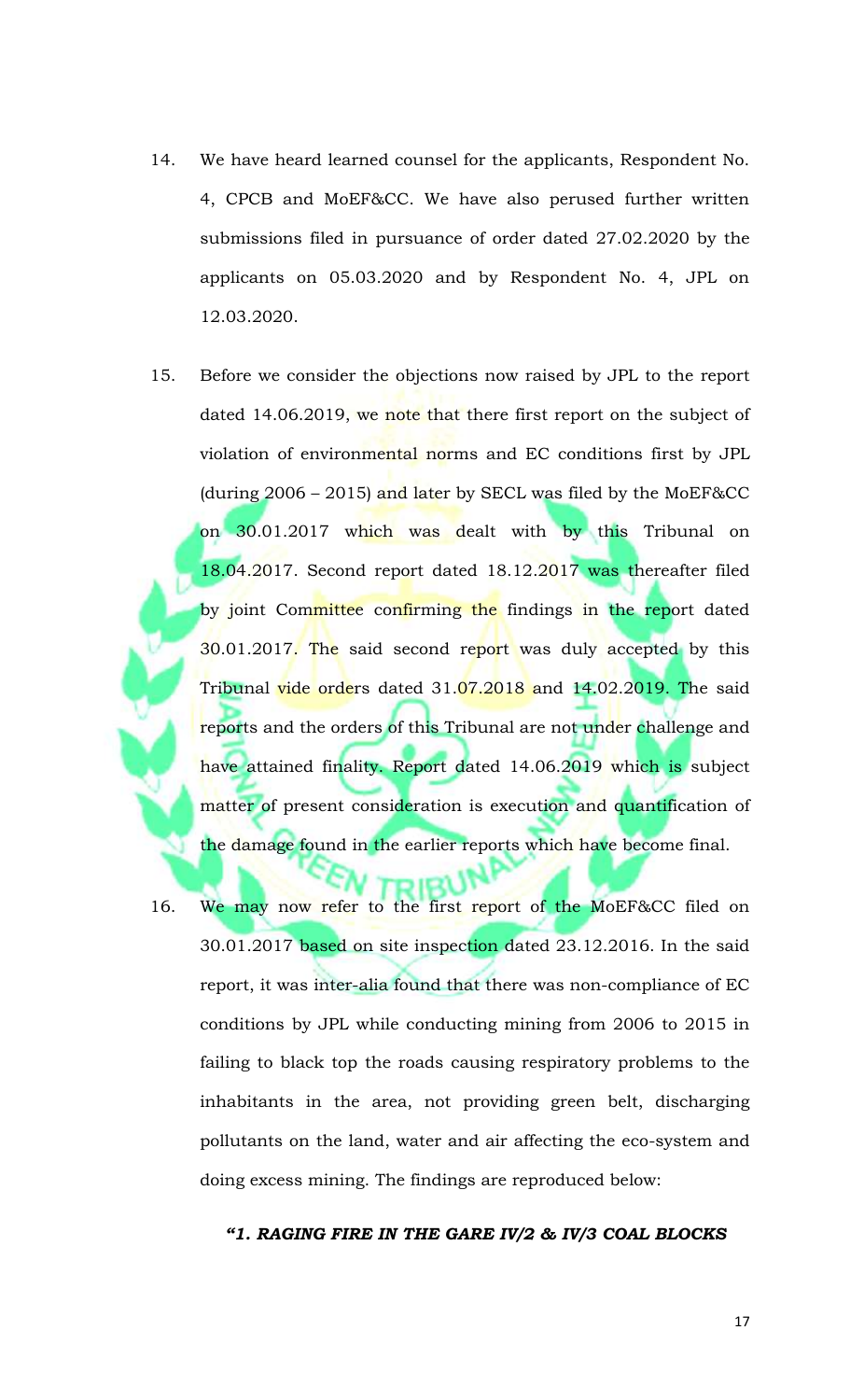- 14. We have heard learned counsel for the applicants, Respondent No. 4, CPCB and MoEF&CC. We have also perused further written submissions filed in pursuance of order dated 27.02.2020 by the applicants on 05.03.2020 and by Respondent No. 4, JPL on 12.03.2020.
- 15. Before we consider the objections now raised by JPL to the report dated 14.06.2019, we note that there first report on the subject of violation of environmental norms and EC conditions first by JPL (during 2006 – 2015) and later by SECL was filed by the MoEF&CC on 30.01.2017 which was dealt with by this Tribunal on 18.04.2017. Second report dated 18.12.2017 was thereafter filed by joint Committee confirming the findings in the report dated 30.01.2017. The said second report was duly accepted by this Tribunal <mark>vide orde</mark>rs dated 31.07.2018 and 14.02.2019. The said reports and the orders of this Tribunal are not under challenge and have attained finality. Report dated 14.06.2019 which is subject matter of present consideration is execution and quantification of the damage found in the earlier reports which have become final.
- 16. We may now refer to the first report of the MoEF&CC filed on 30.01.2017 based on site inspection dated 23.12.2016. In the said report, it was inter-alia found that there was non-compliance of EC conditions by JPL while conducting mining from 2006 to 2015 in failing to black top the roads causing respiratory problems to the inhabitants in the area, not providing green belt, discharging pollutants on the land, water and air affecting the eco-system and doing excess mining. The findings are reproduced below:

*"1. RAGING FIRE IN THE GARE IV/2 & IV/3 COAL BLOCKS*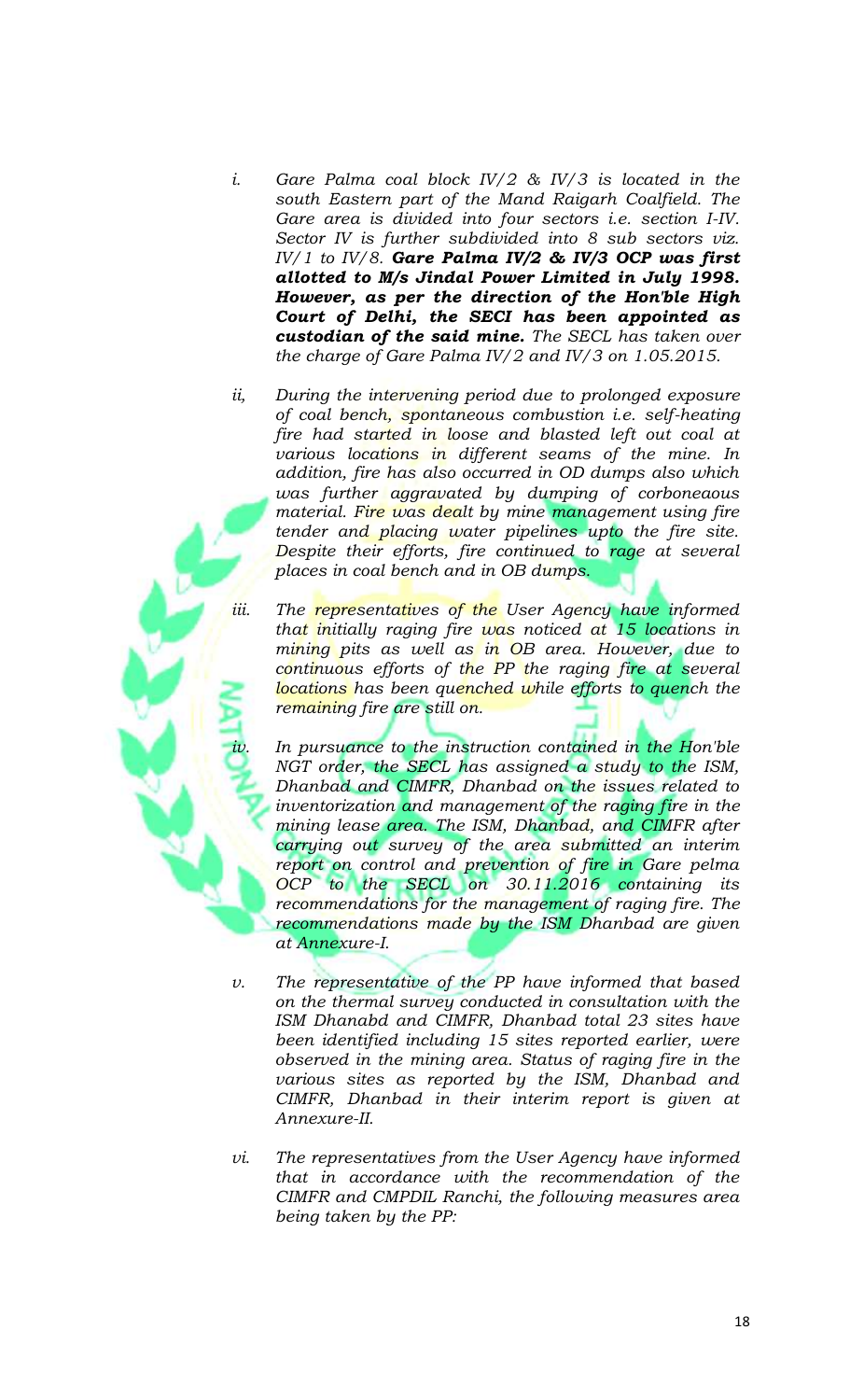- *i. Gare Palma coal block IV/2 & IV/3 is located in the south Eastern part of the Mand Raigarh Coalfield. The Gare area is divided into four sectors i.e. section I-IV. Sector IV is further subdivided into 8 sub sectors viz. IV/1 to IV/8. Gare Palma IV/2 & IV/3 OCP was first allotted to M/s Jindal Power Limited in July 1998. However, as per the direction of the Hon'ble High Court of Delhi, the SECI has been appointed as custodian of the said mine. The SECL has taken over the charge of Gare Palma IV/2 and IV/3 on 1.05.2015.*
- *ii, During the intervening period due to prolonged exposure of coal bench, spontaneous combustion i.e. self-heating fire had started in loose and blasted left out coal at various locations in different seams of the mine. In addition, fire has also occurred in OD dumps also which was further aggravated by dumping of corboneaous material. Fire was dealt by mine management using fire tender and placing water pipelines upto the fire site. Despite their efforts, fire continued to rage at several places in coal bench and in OB dumps.*
- iii. The **representatives of the** User Agency have informed *that initially raging fire was noticed at 15 locations in mining pits as well as in OB area. However, due to continuous efforts of the PP the raging fire at several locations has been quenched while efforts to quench the remaining fire are still on.*

In pursuance to the instruction contained in the Hon'ble *NGT order, the SECL has assigned a study to the ISM, Dhanbad and CIMFR, Dhanbad on the issues related to inventorization and management of the raging fire in the mining lease area. The ISM, Dhanbad, and CIMFR after carrying out survey of the area submitted an interim report on control and prevention of fire in Gare pelma OCP to the SECL on 30.11.2016 containing its recommendations for the management of raging fire. The recommendations made by the ISM Dhanbad are given at Annexure-I.*

- *v. The representative of the PP have informed that based on the thermal survey conducted in consultation with the ISM Dhanabd and CIMFR, Dhanbad total 23 sites have been identified including 15 sites reported earlier, were observed in the mining area. Status of raging fire in the various sites as reported by the ISM, Dhanbad and CIMFR, Dhanbad in their interim report is given at Annexure-II.*
- *vi. The representatives from the User Agency have informed that in accordance with the recommendation of the CIMFR and CMPDIL Ranchi, the following measures area being taken by the PP:*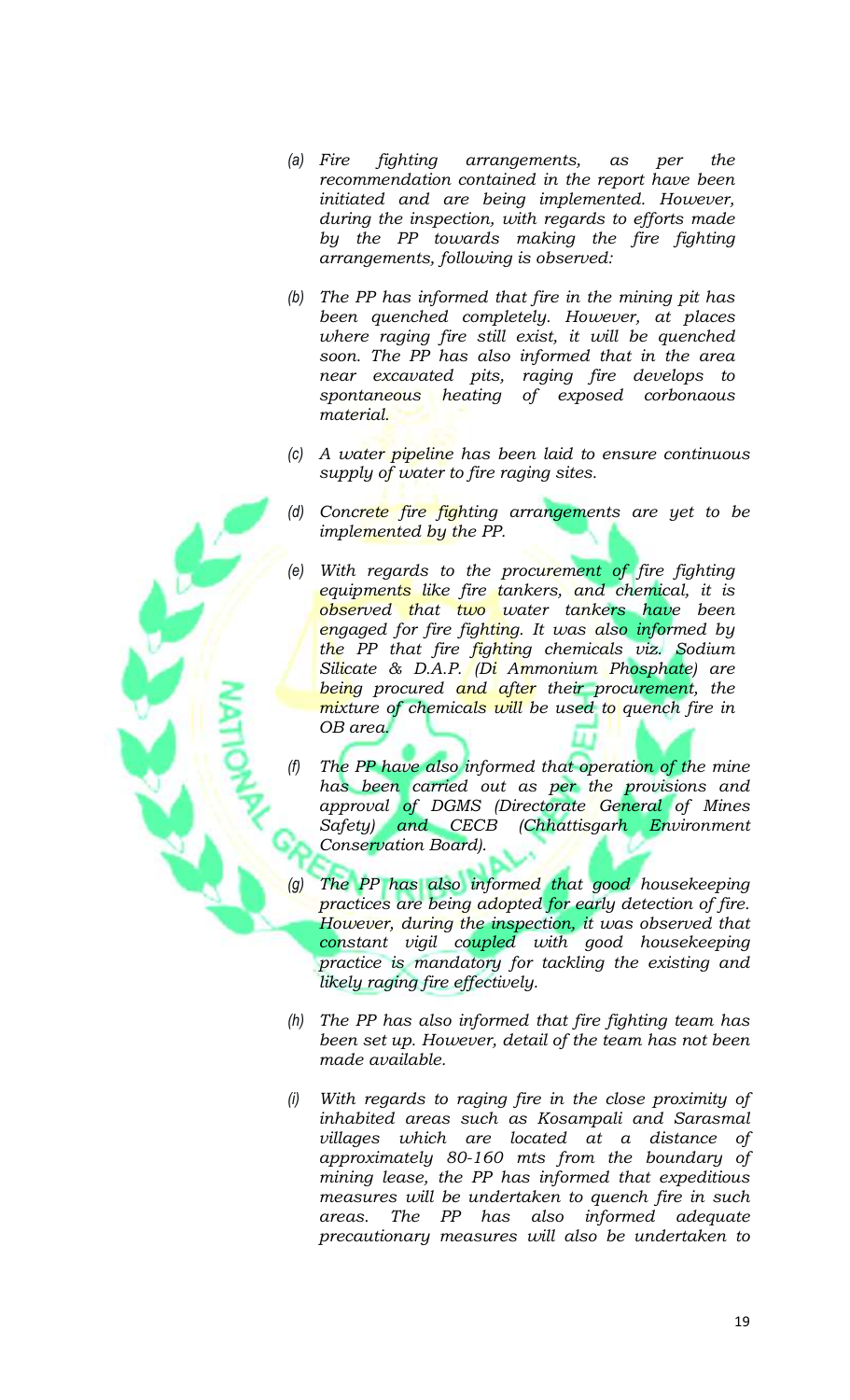- *(a) Fire fighting arrangements, as per the recommendation contained in the report have been initiated and are being implemented. However, during the inspection, with regards to efforts made by the PP towards making the fire fighting arrangements, following is observed:*
- *(b) The PP has informed that fire in the mining pit has been quenched completely. However, at places where raging fire still exist, it will be quenched soon. The PP has also informed that in the area near excavated pits, raging fire develops to spontaneous heating of exposed corbonaous material.*
- *(c) A water pipeline has been laid to ensure continuous supply of water to fire raging sites.*
- *(d) Concrete fire fighting arrangements are yet to be implemented by the PP.*
- With regards to the procurement of fire fighting *equipments like fire tankers, and chemical, it is observed that two water tankers have been engaged for fire fighting. It was also informed by the PP that fire fighting chemicals viz. Sodium Silicate & D.A.P. (Di Ammonium Phosphate) are being procured and after their procurement, the mixture of chemicals will be used to quench fire in OB area.*
- *(f) The PP have also informed that operation of the mine has been carried out as per the provisions and approval of DGMS (Directorate General of Mines Safety) and CECB (Chhattisgarh Environment Conservation Board).*
- *(g) The PP has also informed that good housekeeping practices are being adopted for early detection of fire. However, during the inspection, it was observed that constant vigil coupled with good housekeeping practice is mandatory for tackling the existing and likely raging fire effectively.*
- *(h) The PP has also informed that fire fighting team has been set up. However, detail of the team has not been made available.*
- *(i) With regards to raging fire in the close proximity of inhabited areas such as Kosampali and Sarasmal villages which are located at a distance of approximately 80-160 mts from the boundary of mining lease, the PP has informed that expeditious measures will be undertaken to quench fire in such areas. The PP has also informed adequate precautionary measures will also be undertaken to*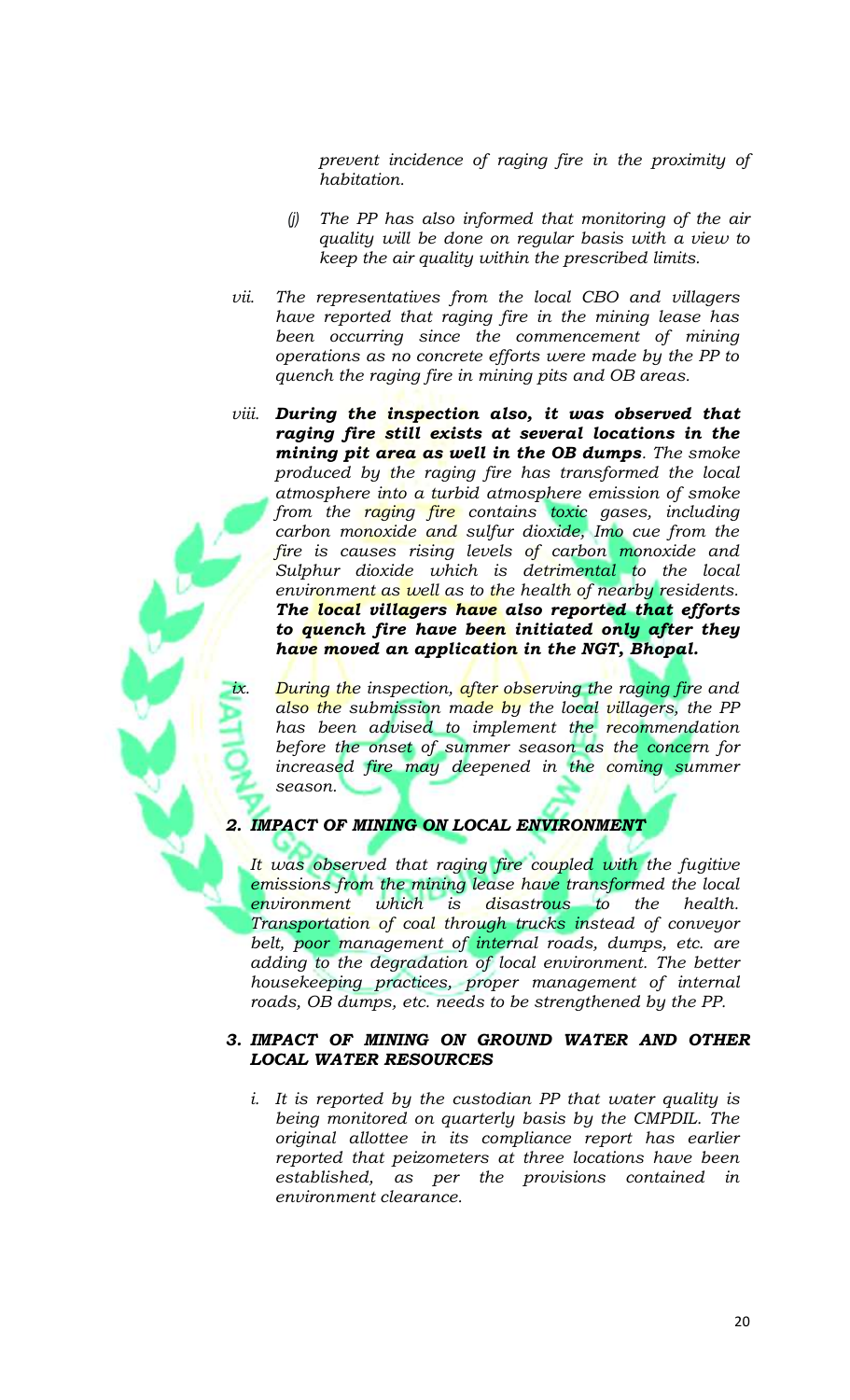*prevent incidence of raging fire in the proximity of habitation.*

- *(j) The PP has also informed that monitoring of the air quality will be done on regular basis with a view to keep the air quality within the prescribed limits.*
- *vii. The representatives from the local CBO and villagers have reported that raging fire in the mining lease has been occurring since the commencement of mining operations as no concrete efforts were made by the PP to quench the raging fire in mining pits and OB areas.*
- *viii. During the inspection also, it was observed that raging fire still exists at several locations in the mining pit area as well in the OB dumps. The smoke produced by the raging fire has transformed the local atmosphere into a turbid atmosphere emission of smoke from the raging fire contains toxic gases, including carbon monoxide and sulfur dioxide, Imo cue from the fire is causes rising levels of carbon monoxide and Sulphur dioxide which is detrimental to the local environment as well as to the health of nearby residents. The local villagers have also reported that efforts to quench fire have been initiated only after they have moved an application in the NGT, Bhopal.*

*During the inspection, after observing the raging fire and also the submission made by the local villagers, the PP has been advised to implement the recommendation before the onset of summer season as the concern for increased fire may deepened in the coming summer season.*

# *2. IMPACT OF MINING ON LOCAL ENVIRONMENT*

*It was observed that raging fire coupled with the fugitive emissions from the mining lease have transformed the local environment which is disastrous to the health. Transportation of coal through trucks instead of conveyor belt, poor management of internal roads, dumps, etc. are adding to the degradation of local environment. The better housekeeping practices, proper management of internal roads, OB dumps, etc. needs to be strengthened by the PP.*

### *3. IMPACT OF MINING ON GROUND WATER AND OTHER LOCAL WATER RESOURCES*

*i. It is reported by the custodian PP that water quality is being monitored on quarterly basis by the CMPDIL. The original allottee in its compliance report has earlier reported that peizometers at three locations have been established, as per the provisions contained in environment clearance.*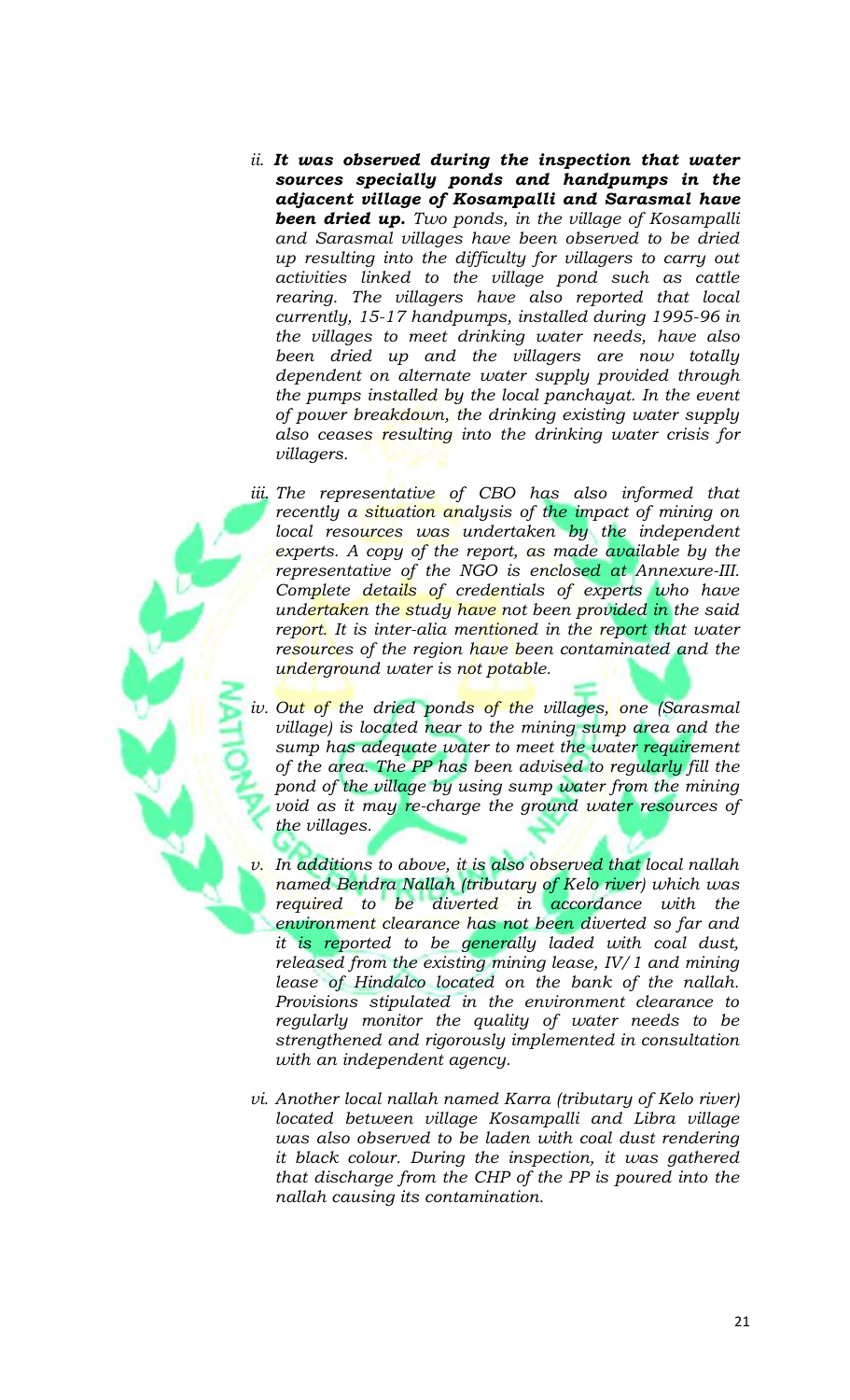- *ii. It was observed during the inspection that water sources specially ponds and handpumps in the adjacent village of Kosampalli and Sarasmal have been dried up. Two ponds, in the village of Kosampalli and Sarasmal villages have been observed to be dried up resulting into the difficulty for villagers to carry out activities linked to the village pond such as cattle rearing. The villagers have also reported that local currently, 15-17 handpumps, installed during 1995-96 in the villages to meet drinking water needs, have also been dried up and the villagers are now totally dependent on alternate water supply provided through the pumps installed by the local panchayat. In the event of power breakdown, the drinking existing water supply also ceases resulting into the drinking water crisis for villagers.*
- *iii. The representative of CBO has also informed that recently a situation analysis of the impact of mining on*  local resources was undertaken by the independent *experts. A copy of the report, as made available by the representative of the NGO is enclosed at Annexure-III. Complete details of credentials of experts who have undertaken the study have not been provided in the said report.* It is inter-alia mentioned in the report that water *resources of the region have been contaminated and the underground water is not potable.*
- *iv. Out of the dried ponds of the villages, one (Sarasmal village) is located near to the mining sump area and the sump has adequate water to meet the water requirement of the area. The PP has been advised to regularly fill the pond of the village by using sump water from the mining void as it may re-charge the ground water resources of the villages.*
- *v. In additions to above, it is also observed that local nallah named Bendra Nallah (tributary of Kelo river) which was required to be diverted in accordance with the environment clearance has not been diverted so far and it is reported to be generally laded with coal dust, released from the existing mining lease, IV/1 and mining lease of Hindalco located on the bank of the nallah. Provisions stipulated in the environment clearance to regularly monitor the quality of water needs to be strengthened and rigorously implemented in consultation with an independent agency.*
- *vi. Another local nallah named Karra (tributary of Kelo river) located between village Kosampalli and Libra village was also observed to be laden with coal dust rendering it black colour. During the inspection, it was gathered that discharge from the CHP of the PP is poured into the nallah causing its contamination.*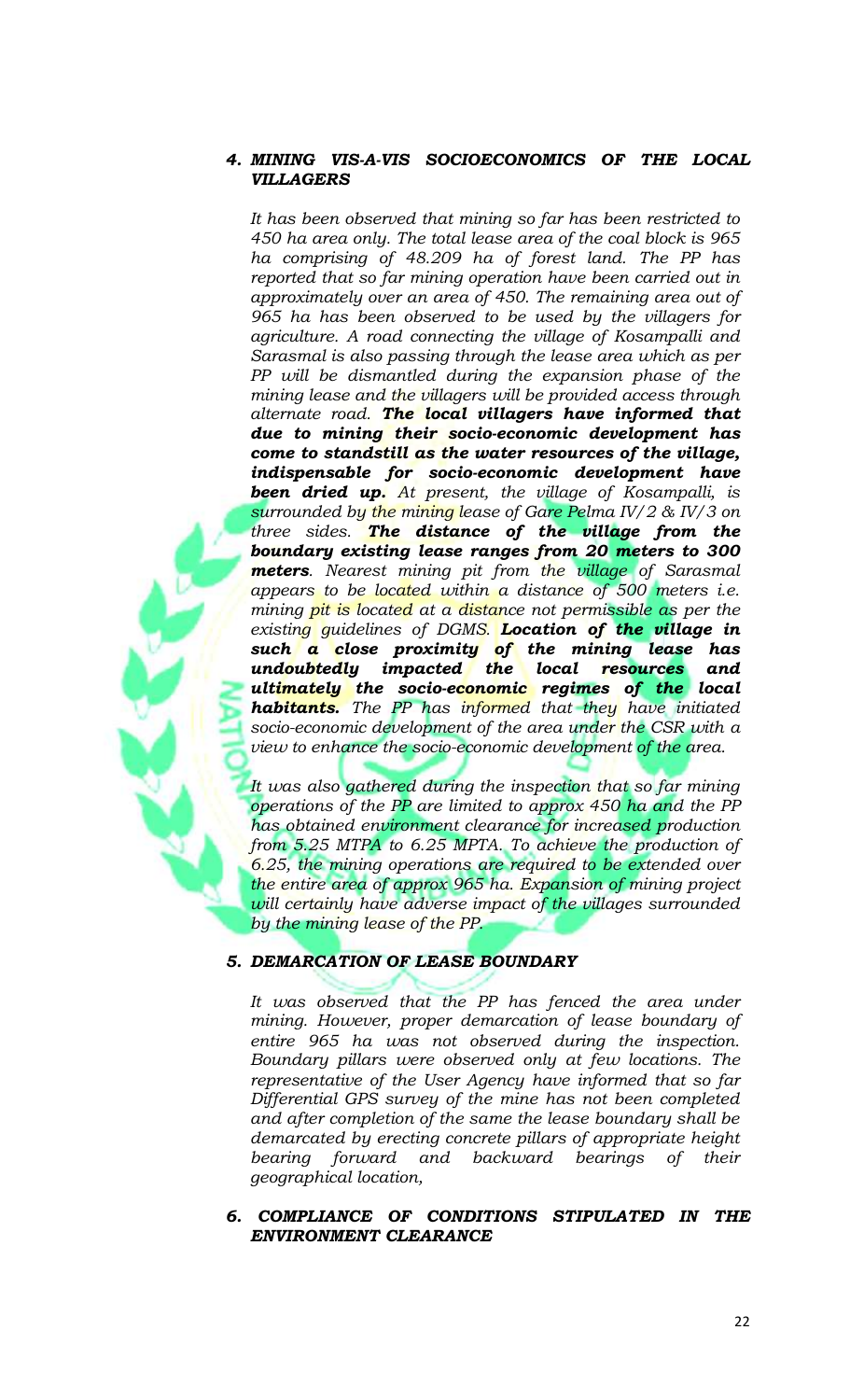## *4. MINING VIS-A-VIS SOCIOECONOMICS OF THE LOCAL VILLAGERS*

*It has been observed that mining so far has been restricted to 450 ha area only. The total lease area of the coal block is 965 ha comprising of 48.209 ha of forest land. The PP has reported that so far mining operation have been carried out in approximately over an area of 450. The remaining area out of 965 ha has been observed to be used by the villagers for agriculture. A road connecting the village of Kosampalli and Sarasmal is also passing through the lease area which as per PP will be dismantled during the expansion phase of the mining lease and the villagers will be provided access through alternate road. The local villagers have informed that due to mining their socio-economic development has come to standstill as the water resources of the village, indispensable for socio-economic development have been dried up. At present, the village of Kosampalli, is surrounded by the mining lease of Gare Pelma IV/2 & IV/3 on three sides. The distance of the village from the boundary existing lease ranges from 20 meters to 300 meters. Nearest mining pit from the village of Sarasmal appears to be located within a distance of 500 meters i.e. mining pit is located at a distance not permissible as per the existing guidelines of DGMS. Location of the village in such a close proximity of the mining lease has undoubtedly impacted the local resources and ultimately the socio-economic regimes of the local habitants. The PP has informed that they have initiated socio-economic development of the area under the CSR with a view to enhance the socio-economic development of the area.*

*It was also gathered during the inspection that so far mining operations of the PP are limited to approx 450 ha and the PP has obtained environment clearance for increased production from 5.25 MTPA to 6.25 MPTA. To achieve the production of 6.25, the mining operations are required to be extended over the entire area of approx 965 ha. Expansion of mining project will certainly have adverse impact of the villages surrounded by the mining lease of the PP.*

### *5. DEMARCATION OF LEASE BOUNDARY*

*It was observed that the PP has fenced the area under mining. However, proper demarcation of lease boundary of entire 965 ha was not observed during the inspection. Boundary pillars were observed only at few locations. The representative of the User Agency have informed that so far Differential GPS survey of the mine has not been completed and after completion of the same the lease boundary shall be demarcated by erecting concrete pillars of appropriate height bearing forward and backward bearings of their geographical location,*

### *6. COMPLIANCE OF CONDITIONS STIPULATED IN THE ENVIRONMENT CLEARANCE*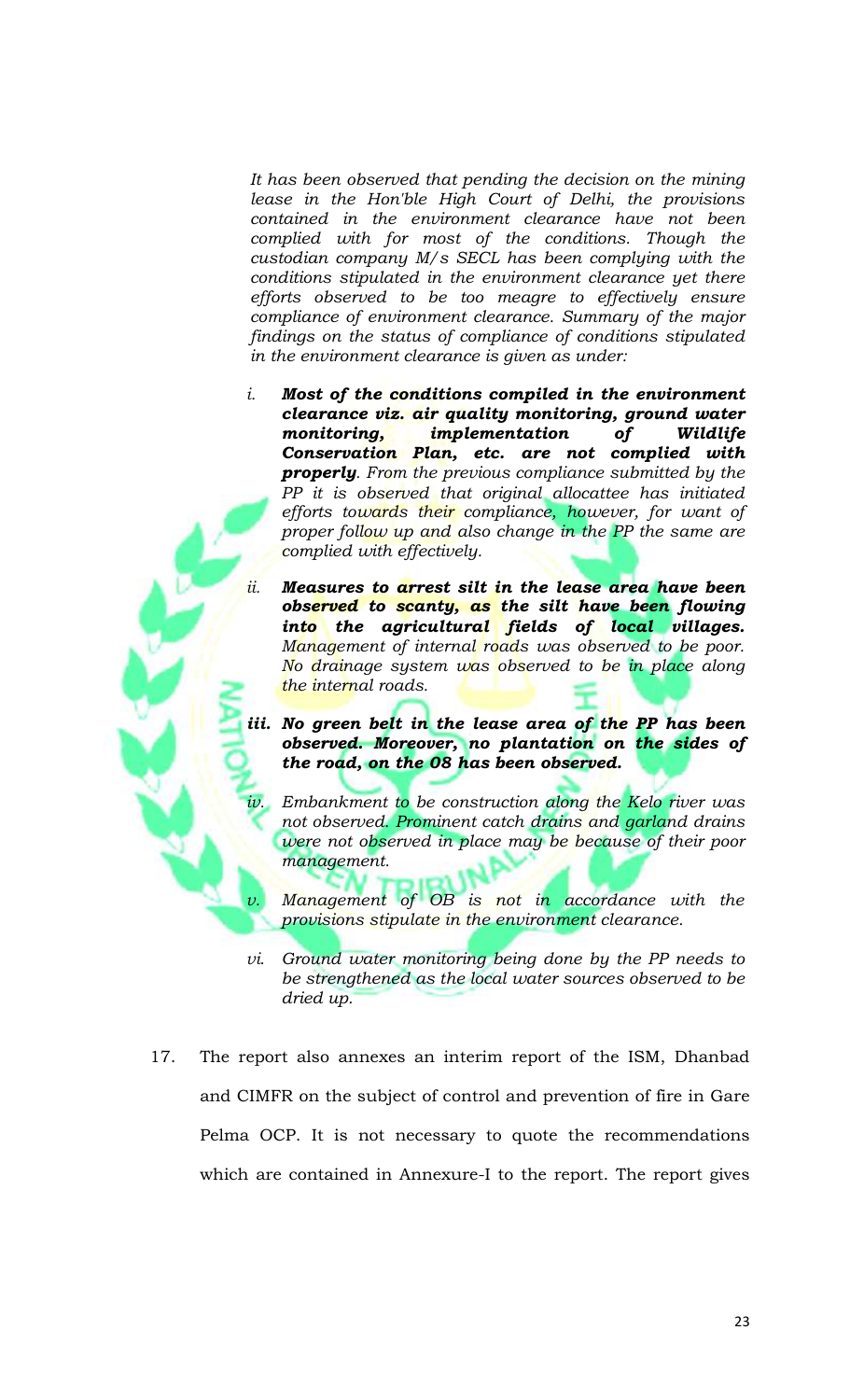*It has been observed that pending the decision on the mining lease in the Hon'ble High Court of Delhi, the provisions contained in the environment clearance have not been complied with for most of the conditions. Though the custodian company M/s SECL has been complying with the conditions stipulated in the environment clearance yet there efforts observed to be too meagre to effectively ensure compliance of environment clearance. Summary of the major findings on the status of compliance of conditions stipulated in the environment clearance is given as under:*

- *i. Most of the conditions compiled in the environment clearance viz. air quality monitoring, ground water monitoring, implementation of Wildlife Conservation Plan, etc. are not complied with properly. From the previous compliance submitted by the PP it is observed that original allocattee has initiated efforts towards their compliance, however, for want of proper follow up and also change in the PP the same are complied with effectively.*
- *ii. Measures to arrest silt in the lease area have been observed to scanty, as the silt have been flowing into the agricultural fields of local villages. Management of internal roads was observed to be poor. No drainage system was observed to be in place along the internal roads.*
- *iii. No green belt in the lease area of the PP has been observed. Moreover, no plantation on the sides of the road, on the 08 has been observed.*
	- Embankment to be construction along the Kelo river was *not observed. Prominent catch drains and garland drains were not observed in place may be because of their poor management.*
	- *Management of OB is not in accordance with the provisions stipulate in the environment clearance.*
- *vi. Ground water monitoring being done by the PP needs to be strengthened as the local water sources observed to be dried up.*
- 17. The report also annexes an interim report of the ISM, Dhanbad and CIMFR on the subject of control and prevention of fire in Gare Pelma OCP. It is not necessary to quote the recommendations which are contained in Annexure-I to the report. The report gives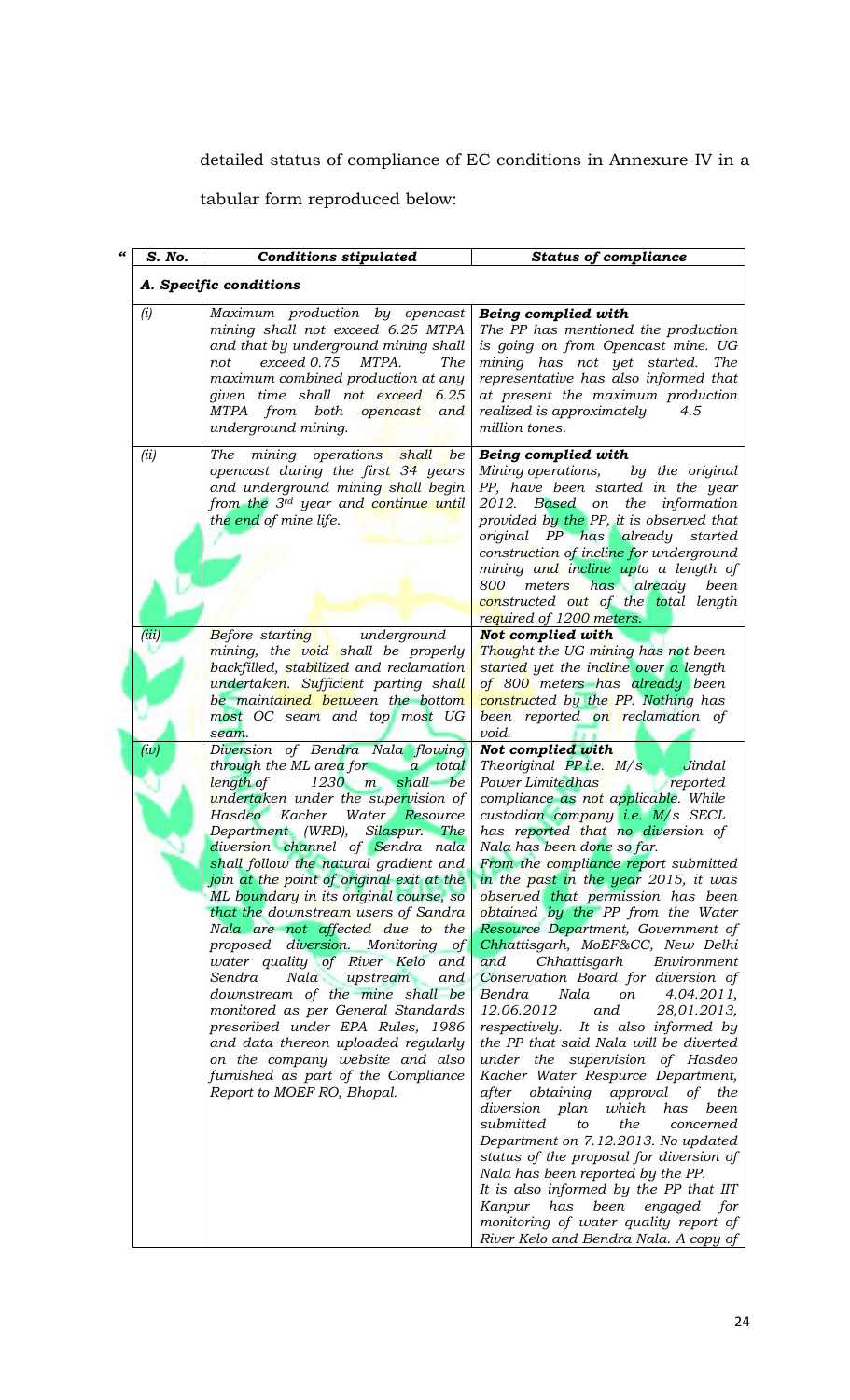detailed status of compliance of EC conditions in Annexure-IV in a

tabular form reproduced below:

| 66 | S. No.        | <b>Conditions stipulated</b>                                                                                                                                                                                                                                                                                                                                                                                                                                                                                                                                                                                                                                                                                                                                                                             | <b>Status of compliance</b>                                                                                                                                                                                                                                                                                                                                                                                                                                                                                                                                                                                                                                                                                                                                                                                                                                                                                                                                                                                                                                                                                                                                                                |
|----|---------------|----------------------------------------------------------------------------------------------------------------------------------------------------------------------------------------------------------------------------------------------------------------------------------------------------------------------------------------------------------------------------------------------------------------------------------------------------------------------------------------------------------------------------------------------------------------------------------------------------------------------------------------------------------------------------------------------------------------------------------------------------------------------------------------------------------|--------------------------------------------------------------------------------------------------------------------------------------------------------------------------------------------------------------------------------------------------------------------------------------------------------------------------------------------------------------------------------------------------------------------------------------------------------------------------------------------------------------------------------------------------------------------------------------------------------------------------------------------------------------------------------------------------------------------------------------------------------------------------------------------------------------------------------------------------------------------------------------------------------------------------------------------------------------------------------------------------------------------------------------------------------------------------------------------------------------------------------------------------------------------------------------------|
|    |               | A. Specific conditions                                                                                                                                                                                                                                                                                                                                                                                                                                                                                                                                                                                                                                                                                                                                                                                   |                                                                                                                                                                                                                                                                                                                                                                                                                                                                                                                                                                                                                                                                                                                                                                                                                                                                                                                                                                                                                                                                                                                                                                                            |
|    | (i)           | Maximum production by opencast<br>mining shall not exceed 6.25 MTPA<br>and that by underground mining shall<br>exceed 0.75<br>MTPA.<br><b>The</b><br>not<br>maximum combined production at any<br>given time shall not exceed 6.25<br>MTPA from both opencast<br>and<br>underground mining.                                                                                                                                                                                                                                                                                                                                                                                                                                                                                                              | Being complied with<br>The PP has mentioned the production<br>is going on from Opencast mine. UG<br>mining has not yet started.<br>The<br>representative has also informed that<br>at present the maximum production<br>realized is approximately<br>4.5<br>million tones.                                                                                                                                                                                                                                                                                                                                                                                                                                                                                                                                                                                                                                                                                                                                                                                                                                                                                                                 |
|    | (ii)          | <b>The</b><br>operations shall<br>mining<br>be<br>opencast during the first 34 years<br>and underground mining shall begin<br>from the 3 <sup>rd</sup> year and continue until<br>the end of mine life.                                                                                                                                                                                                                                                                                                                                                                                                                                                                                                                                                                                                  | Being complied with<br>Mining operations,<br>by the original<br>PP, have been started in the year<br>2012. Based on the information<br>provided by the PP, it is observed that<br>original PP has already started<br>construction of incline for underground<br>mining and incline upto a length of<br>meters has already<br>800<br>been<br>constructed out of the total length                                                                                                                                                                                                                                                                                                                                                                                                                                                                                                                                                                                                                                                                                                                                                                                                            |
|    |               |                                                                                                                                                                                                                                                                                                                                                                                                                                                                                                                                                                                                                                                                                                                                                                                                          | required of 1200 meters.                                                                                                                                                                                                                                                                                                                                                                                                                                                                                                                                                                                                                                                                                                                                                                                                                                                                                                                                                                                                                                                                                                                                                                   |
|    | (iii)<br>(iv) | <b>Before</b> starting<br>underground<br>mining, the void shall be properly<br>backfilled, stabilized and reclamation<br>undertaken. Sufficient parting shall<br>be maintained between the bottom<br>most OC seam and top most UG<br>seam.<br>Diversion of Bendra Nala flowing                                                                                                                                                                                                                                                                                                                                                                                                                                                                                                                           | Not complied with<br>Thought the UG mining has not been<br>started yet the incline over a length<br>of 800 meters has already been<br>constructed by the PP. Nothing has<br>been reported on reclamation of<br>void.<br>Not complied with                                                                                                                                                                                                                                                                                                                                                                                                                                                                                                                                                                                                                                                                                                                                                                                                                                                                                                                                                  |
|    |               | through the ML area for a total<br>length of<br>$1230$ $m$<br>shall be<br>undertaken under the supervision of<br>Hasdeo Kacher Water Resource<br>Department (WRD), Silaspur. The<br>diversion channel of Sendra nala<br>shall follow the natural gradient and<br>join at the point of original exit at the<br>ML boundary in its original course, so<br>that the downstream users of Sandra<br>Nala are not affected due to the<br>proposed diversion. Monitoring of<br>water quality of River Kelo and<br>Sendra<br>Nala<br>upstream<br>and<br>downstream of the mine shall be<br>monitored as per General Standards<br>prescribed under EPA Rules, 1986<br>and data thereon uploaded regularly<br>on the company website and also<br>furnished as part of the Compliance<br>Report to MOEF RO, Bhopal. | Theoriginal PPi.e. M/s<br>Jindal<br>Power Limitedhas<br>reported<br>compliance as not applicable. While<br>custodian company i.e. M/s SECL<br>has reported that no diversion of<br>Nala has been done so far.<br>From the compliance report submitted<br>in the past in the year 2015, it was<br>observed that permission has been<br>obtained by the PP from the Water<br>Resource Department, Government of<br>Chhattisgarh, MoEF&CC, New Delhi<br>and<br>Chhattisgarh<br>Environment<br>Conservation Board for diversion of<br>Nala<br>Bendra<br>on<br>4.04.2011,<br>12.06.2012<br>28,01.2013,<br>and<br>respectively.<br>It is also informed by<br>the PP that said Nala will be diverted<br>under the supervision of Hasdeo<br>Kacher Water Respurce Department,<br>obtaining approval of<br>after<br>the<br>diversion plan<br>which<br>has<br>been<br>submitted<br>the<br>concerned<br>to<br>Department on 7.12.2013. No updated<br>status of the proposal for diversion of<br>Nala has been reported by the PP.<br>It is also informed by the PP that IIT<br>Kanpur has<br>been<br>engaged<br>for<br>monitoring of water quality report of<br>River Kelo and Bendra Nala. A copy of |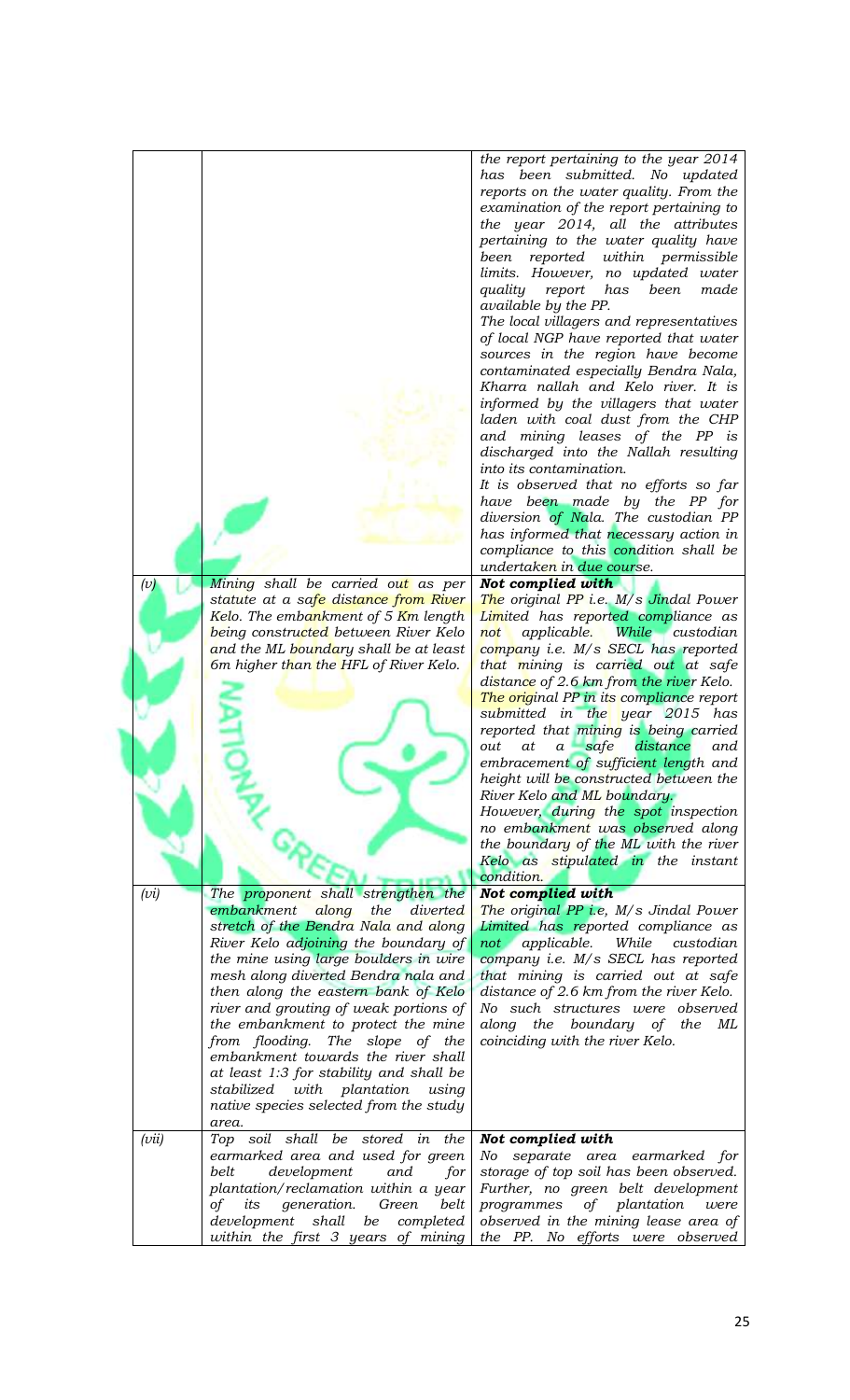|       |                                           | the report pertaining to the year 2014                |
|-------|-------------------------------------------|-------------------------------------------------------|
|       |                                           | has been submitted. No updated                        |
|       |                                           | reports on the water quality. From the                |
|       |                                           | examination of the report pertaining to               |
|       |                                           | the year 2014, all the attributes                     |
|       |                                           | pertaining to the water quality have                  |
|       |                                           |                                                       |
|       |                                           | within permissible<br>been reported                   |
|       |                                           | limits. However, no updated water                     |
|       |                                           | quality report<br>has<br>been<br>made                 |
|       |                                           | available by the PP.                                  |
|       |                                           | The local villagers and representatives               |
|       |                                           | of local NGP have reported that water                 |
|       |                                           | sources in the region have become                     |
|       |                                           | contaminated especially Bendra Nala,                  |
|       |                                           |                                                       |
|       |                                           | Kharra nallah and Kelo river. It is                   |
|       |                                           | informed by the villagers that water                  |
|       |                                           | laden with coal dust from the CHP                     |
|       |                                           | and mining leases of the PP is                        |
|       |                                           | discharged into the Nallah resulting                  |
|       |                                           | into its contamination.                               |
|       |                                           | It is observed that no efforts so far                 |
|       |                                           | have been made by the PP for                          |
|       |                                           |                                                       |
|       |                                           | diversion of Nala. The custodian PP                   |
|       |                                           | has informed that necessary action in                 |
|       |                                           | compliance to this condition shall be                 |
|       |                                           | undertaken in due course.                             |
| (v)   | Mining shall be carried out as per        | Not complied with                                     |
|       | statute at a safe distance from River     | The original PP i.e. M/s Jindal Power                 |
|       | Kelo. The embankment of 5 Km length       | Limited has reported compliance as                    |
|       | being constructed between River Kelo      | applicable. While custodian<br>not                    |
|       | and the ML boundary shall be at least     | company i.e. M/s SECL has reported                    |
|       |                                           |                                                       |
|       | 6m higher than the HFL of River Kelo.     | that mining is carried out at safe                    |
|       |                                           | distance of 2.6 km from the river Kelo.               |
|       |                                           | The original PP in its compliance report              |
|       |                                           | submitted in the year 2015 has                        |
|       |                                           | reported that mining is being carried                 |
|       |                                           | distance<br>out<br>at<br>safe<br>$\mathfrak a$<br>and |
|       |                                           | embracement of sufficient length and                  |
|       |                                           | height will be constructed between the                |
|       |                                           | River Kelo and ML boundary.                           |
|       |                                           | However, during the spot inspection                   |
|       |                                           | no embankment was observed along                      |
|       |                                           |                                                       |
|       |                                           | the boundary of the ML with the river                 |
|       |                                           | Kelo as stipulated in the instant                     |
|       |                                           | condition.                                            |
| (vi)  | The proponent shall strengthen the        | Not complied with                                     |
|       | embankment along<br>the diverted          | The original PP i.e, M/s Jindal Power                 |
|       | stretch of the Bendra Nala and along      | Limited has reported compliance as                    |
|       | River Kelo adjoining the boundary of      | not applicable.<br>While<br>custodian                 |
|       | the mine using large boulders in wire     | company i.e. M/s SECL has reported                    |
|       | mesh along diverted Bendra nala and       | that mining is carried out at safe                    |
|       | then along the eastern bank of Kelo       | distance of 2.6 km from the river Kelo.               |
|       | river and grouting of weak portions of    | No such structures were observed                      |
|       | the embankment to protect the mine        | along the boundary of the ML                          |
|       |                                           |                                                       |
|       | from flooding. The slope of the           | coinciding with the river Kelo.                       |
|       | embankment towards the river shall        |                                                       |
|       | at least 1:3 for stability and shall be   |                                                       |
|       | stabilized with plantation<br>using       |                                                       |
|       | native species selected from the study    |                                                       |
|       | area.                                     |                                                       |
| (vii) | Top soil shall be stored in the           | Not complied with                                     |
|       | earmarked area and used for green         | No<br>separate area earmarked for                     |
|       | belt<br>development<br>and<br>for         | storage of top soil has been observed.                |
|       | plantation/reclamation within a year      | Further, no green belt development                    |
|       |                                           |                                                       |
|       | generation.<br>belt<br>of<br>its<br>Green | of plantation<br>programmes<br>were                   |
|       | development shall<br>be<br>completed      | observed in the mining lease area of                  |
|       | within the first 3 years of mining        | the PP. No efforts were observed                      |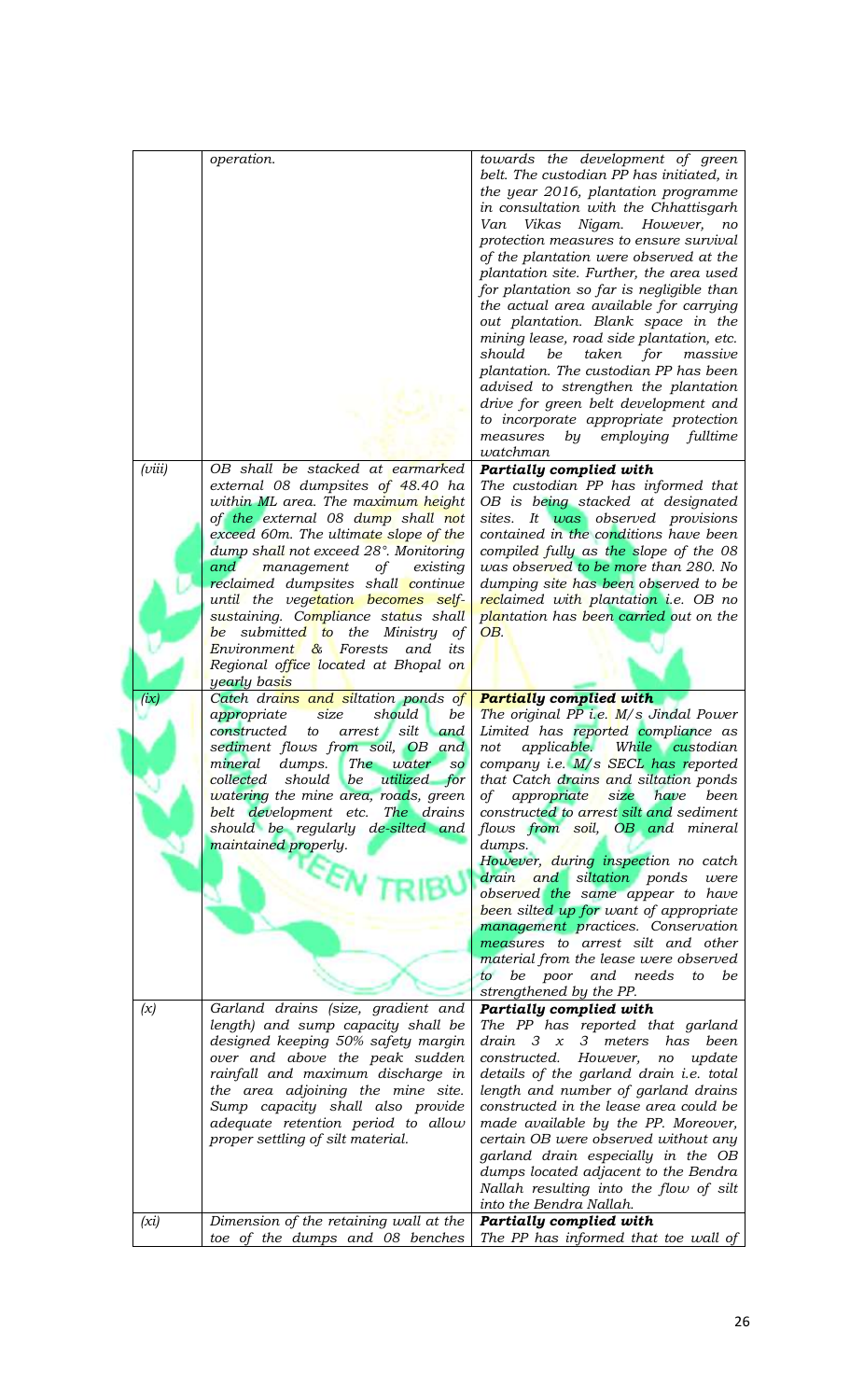|        | operation.                                                               | towards the development of green<br>belt. The custodian PP has initiated, in<br>the year 2016, plantation programme<br>in consultation with the Chhattisgarh<br>Vikas<br>Nigam. However,<br>Van<br>no<br>protection measures to ensure survival<br>of the plantation were observed at the<br>plantation site. Further, the area used<br>for plantation so far is negligible than<br>the actual area available for carrying<br>out plantation. Blank space in the<br>mining lease, road side plantation, etc.<br>be<br>for<br>massive<br>should<br>taken<br>plantation. The custodian PP has been<br>advised to strengthen the plantation<br>drive for green belt development and<br>to incorporate appropriate protection<br>employing fulltime<br>measures<br>by<br>watchman |
|--------|--------------------------------------------------------------------------|-------------------------------------------------------------------------------------------------------------------------------------------------------------------------------------------------------------------------------------------------------------------------------------------------------------------------------------------------------------------------------------------------------------------------------------------------------------------------------------------------------------------------------------------------------------------------------------------------------------------------------------------------------------------------------------------------------------------------------------------------------------------------------|
| (viii) | OB shall be stacked at earmarked                                         | <b>Partially complied with</b>                                                                                                                                                                                                                                                                                                                                                                                                                                                                                                                                                                                                                                                                                                                                                |
|        | external 08 dumpsites of 48.40 ha                                        | The custodian PP has informed that                                                                                                                                                                                                                                                                                                                                                                                                                                                                                                                                                                                                                                                                                                                                            |
|        | within ML area. The maximum height                                       | OB is being stacked at designated                                                                                                                                                                                                                                                                                                                                                                                                                                                                                                                                                                                                                                                                                                                                             |
|        | of the external 08 dump shall not                                        | sites. It was observed provisions                                                                                                                                                                                                                                                                                                                                                                                                                                                                                                                                                                                                                                                                                                                                             |
|        | exceed 60m. The ultimate slope of the                                    | contained in the conditions have been                                                                                                                                                                                                                                                                                                                                                                                                                                                                                                                                                                                                                                                                                                                                         |
|        | dump shall not exceed 28°. Monitoring                                    | compiled fully as the slope of the 08                                                                                                                                                                                                                                                                                                                                                                                                                                                                                                                                                                                                                                                                                                                                         |
|        | and<br>management<br>of<br>existing                                      | was observed to be more than 280. No                                                                                                                                                                                                                                                                                                                                                                                                                                                                                                                                                                                                                                                                                                                                          |
|        | reclaimed dumpsites shall continue                                       | dumping site has been observed to be                                                                                                                                                                                                                                                                                                                                                                                                                                                                                                                                                                                                                                                                                                                                          |
|        | until the vegetation becomes self-                                       | reclaimed with plantation <i>i.e.</i> OB no                                                                                                                                                                                                                                                                                                                                                                                                                                                                                                                                                                                                                                                                                                                                   |
|        | sustaining. Compliance status shall                                      | plantation has been carried out on the                                                                                                                                                                                                                                                                                                                                                                                                                                                                                                                                                                                                                                                                                                                                        |
|        | be submitted to the<br>Ministry<br>οf                                    | OB.                                                                                                                                                                                                                                                                                                                                                                                                                                                                                                                                                                                                                                                                                                                                                                           |
|        | Environment & Forests<br>and<br>its                                      |                                                                                                                                                                                                                                                                                                                                                                                                                                                                                                                                                                                                                                                                                                                                                                               |
|        | Regional office located at Bhopal on<br>yearly basis                     |                                                                                                                                                                                                                                                                                                                                                                                                                                                                                                                                                                                                                                                                                                                                                                               |
| (ix)   | Catch drains and siltation ponds of                                      | <b>Partially complied with</b>                                                                                                                                                                                                                                                                                                                                                                                                                                                                                                                                                                                                                                                                                                                                                |
|        | size<br>be<br>appropriate<br>should                                      | The original PP i.e. $M/s$ Jindal Power                                                                                                                                                                                                                                                                                                                                                                                                                                                                                                                                                                                                                                                                                                                                       |
|        | constructed<br>silt<br>arrest<br>and<br>to                               | Limited has reported compliance as                                                                                                                                                                                                                                                                                                                                                                                                                                                                                                                                                                                                                                                                                                                                            |
|        | sediment flows from soil, OB and                                         | applicable.<br>While custodian<br>not                                                                                                                                                                                                                                                                                                                                                                                                                                                                                                                                                                                                                                                                                                                                         |
|        | mineral dumps. The water so                                              | company i.e. M/s SECL has reported                                                                                                                                                                                                                                                                                                                                                                                                                                                                                                                                                                                                                                                                                                                                            |
|        | utilized for<br>collected should be                                      | that Catch drains and siltation ponds                                                                                                                                                                                                                                                                                                                                                                                                                                                                                                                                                                                                                                                                                                                                         |
|        | watering the mine area, roads, green                                     | of appropriate<br>size<br>have<br>been                                                                                                                                                                                                                                                                                                                                                                                                                                                                                                                                                                                                                                                                                                                                        |
|        | belt development etc. The drains                                         | constructed to arrest silt and sediment                                                                                                                                                                                                                                                                                                                                                                                                                                                                                                                                                                                                                                                                                                                                       |
|        | should be regularly de-silted and                                        | flows from soil, OB and mineral                                                                                                                                                                                                                                                                                                                                                                                                                                                                                                                                                                                                                                                                                                                                               |
|        | maintained properly.                                                     | dumps.                                                                                                                                                                                                                                                                                                                                                                                                                                                                                                                                                                                                                                                                                                                                                                        |
|        |                                                                          | However, during inspection no catch<br>drain and siltation ponds<br>were                                                                                                                                                                                                                                                                                                                                                                                                                                                                                                                                                                                                                                                                                                      |
|        |                                                                          | observed the same appear to have                                                                                                                                                                                                                                                                                                                                                                                                                                                                                                                                                                                                                                                                                                                                              |
|        |                                                                          | been silted up for want of appropriate                                                                                                                                                                                                                                                                                                                                                                                                                                                                                                                                                                                                                                                                                                                                        |
|        |                                                                          | management practices. Conservation                                                                                                                                                                                                                                                                                                                                                                                                                                                                                                                                                                                                                                                                                                                                            |
|        |                                                                          | measures to arrest silt and other                                                                                                                                                                                                                                                                                                                                                                                                                                                                                                                                                                                                                                                                                                                                             |
|        |                                                                          | material from the lease were observed                                                                                                                                                                                                                                                                                                                                                                                                                                                                                                                                                                                                                                                                                                                                         |
|        |                                                                          | to be poor and needs<br>be<br>to                                                                                                                                                                                                                                                                                                                                                                                                                                                                                                                                                                                                                                                                                                                                              |
|        |                                                                          | strengthened by the PP.                                                                                                                                                                                                                                                                                                                                                                                                                                                                                                                                                                                                                                                                                                                                                       |
| (x)    | Garland drains (size, gradient and                                       | <b>Partially complied with</b>                                                                                                                                                                                                                                                                                                                                                                                                                                                                                                                                                                                                                                                                                                                                                |
|        | length) and sump capacity shall be<br>designed keeping 50% safety margin | The PP has reported that garland<br>$drain \quad 3 \quad x$<br>3 meters has been                                                                                                                                                                                                                                                                                                                                                                                                                                                                                                                                                                                                                                                                                              |
|        | over and above the peak sudden                                           | constructed.<br>However,<br>update<br>no                                                                                                                                                                                                                                                                                                                                                                                                                                                                                                                                                                                                                                                                                                                                      |
|        | rainfall and maximum discharge in                                        | details of the garland drain i.e. total                                                                                                                                                                                                                                                                                                                                                                                                                                                                                                                                                                                                                                                                                                                                       |
|        | the area adjoining the mine site.                                        | length and number of garland drains                                                                                                                                                                                                                                                                                                                                                                                                                                                                                                                                                                                                                                                                                                                                           |
|        | Sump capacity shall also provide                                         | constructed in the lease area could be                                                                                                                                                                                                                                                                                                                                                                                                                                                                                                                                                                                                                                                                                                                                        |
|        | adequate retention period to allow                                       | made available by the PP. Moreover,                                                                                                                                                                                                                                                                                                                                                                                                                                                                                                                                                                                                                                                                                                                                           |
|        | proper settling of silt material.                                        | certain OB were observed without any                                                                                                                                                                                                                                                                                                                                                                                                                                                                                                                                                                                                                                                                                                                                          |
|        |                                                                          | garland drain especially in the OB                                                                                                                                                                                                                                                                                                                                                                                                                                                                                                                                                                                                                                                                                                                                            |
|        |                                                                          | dumps located adjacent to the Bendra                                                                                                                                                                                                                                                                                                                                                                                                                                                                                                                                                                                                                                                                                                                                          |
|        |                                                                          | Nallah resulting into the flow of silt                                                                                                                                                                                                                                                                                                                                                                                                                                                                                                                                                                                                                                                                                                                                        |
|        |                                                                          | into the Bendra Nallah.                                                                                                                                                                                                                                                                                                                                                                                                                                                                                                                                                                                                                                                                                                                                                       |
| (xi)   | Dimension of the retaining wall at the                                   | <b>Partially complied with</b>                                                                                                                                                                                                                                                                                                                                                                                                                                                                                                                                                                                                                                                                                                                                                |
|        | toe of the dumps and 08 benches                                          | The PP has informed that toe wall of                                                                                                                                                                                                                                                                                                                                                                                                                                                                                                                                                                                                                                                                                                                                          |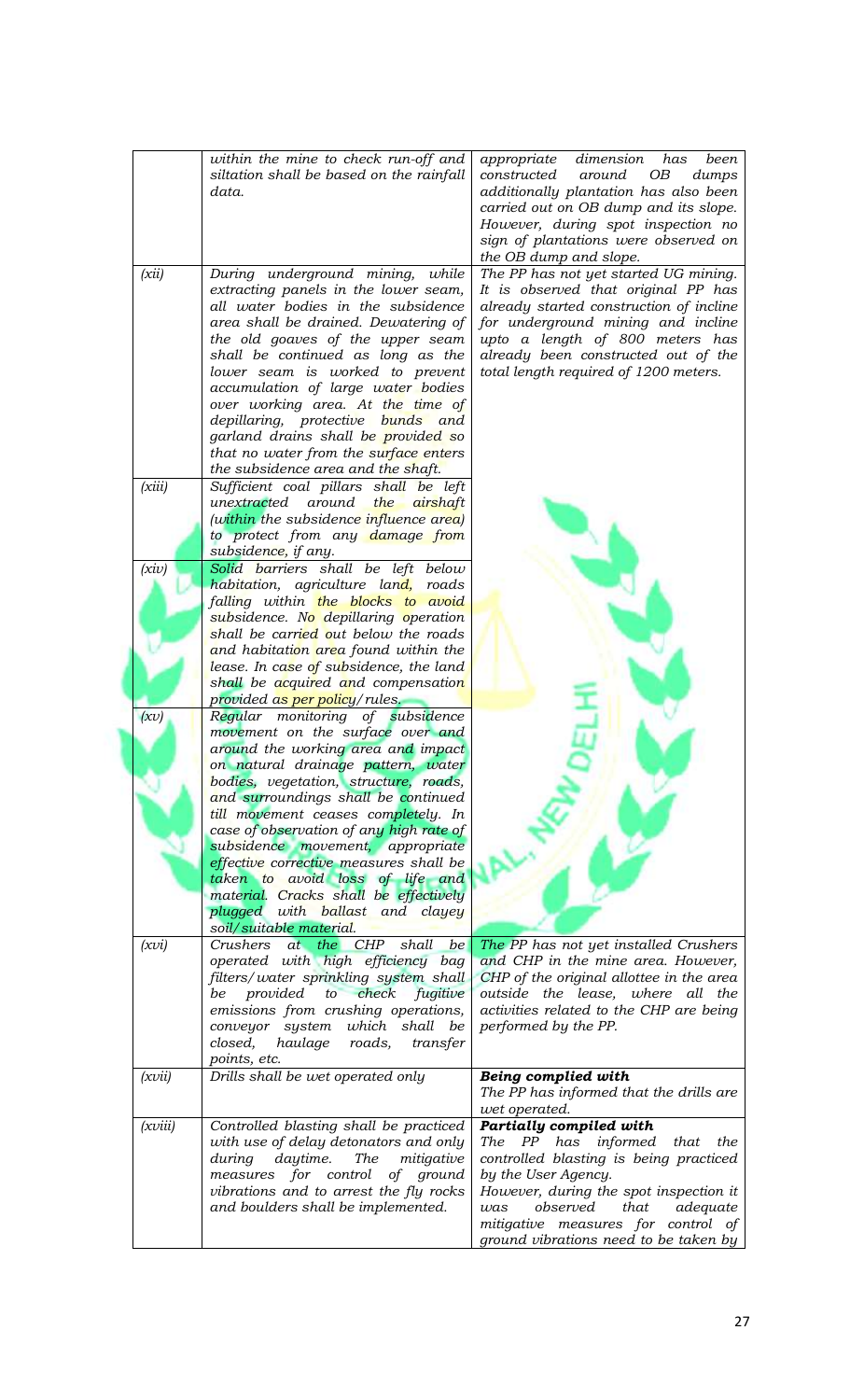|         | within the mine to check run-off and<br>siltation shall be based on the rainfall<br>data.                                                                                                                                                                                                                                                                                                                                                                                                                | appropriate<br>dimension<br>has<br>been<br>constructed around<br>OB<br>dumps<br>additionally plantation has also been<br>carried out on OB dump and its slope.<br>However, during spot inspection no<br>sign of plantations were observed on<br>the OB dump and slope.                         |
|---------|----------------------------------------------------------------------------------------------------------------------------------------------------------------------------------------------------------------------------------------------------------------------------------------------------------------------------------------------------------------------------------------------------------------------------------------------------------------------------------------------------------|------------------------------------------------------------------------------------------------------------------------------------------------------------------------------------------------------------------------------------------------------------------------------------------------|
| (xii)   | During underground mining, while<br>extracting panels in the lower seam,<br>all water bodies in the subsidence<br>area shall be drained. Dewatering of<br>the old goaves of the upper seam<br>shall be continued as long as the<br>lower seam is worked to prevent<br>accumulation of large water bodies<br>over working area. At the time of<br>depillaring, protective bunds and<br>garland drains shall be provided so<br>that no water from the surface enters<br>the subsidence area and the shaft. | The PP has not yet started UG mining.<br>It is observed that original PP has<br>already started construction of incline<br>for underground mining and incline<br>upto a length of 800 meters has<br>already been constructed out of the<br>total length required of 1200 meters.               |
| (xiii)  | Sufficient coal pillars shall be left<br>unextracted around<br>the airshaft<br>(within the subsidence influence area)<br>to protect from any damage from<br>subsidence, if any.                                                                                                                                                                                                                                                                                                                          |                                                                                                                                                                                                                                                                                                |
| (xiv)   | Solid barriers shall be left below<br>habitation, agriculture land,<br>roads<br>falling within the blocks to avoid<br>subsidence. No depillaring operation                                                                                                                                                                                                                                                                                                                                               |                                                                                                                                                                                                                                                                                                |
|         | shall be carried out below the roads<br>and habitation area found within the<br>lease. In case of subsidence, the land<br>shall be acquired and compensation<br>provided as per policy/rules.                                                                                                                                                                                                                                                                                                            |                                                                                                                                                                                                                                                                                                |
| (xv)    | Regular monitoring of subsidence<br>movement on the surface over and<br>around the working area and impact<br>on natural drainage pattern, water<br>bodies, vegetation, structure, roads,                                                                                                                                                                                                                                                                                                                |                                                                                                                                                                                                                                                                                                |
|         | and surroundings shall be continued<br>till movement ceases completely. In<br>case of observation of any high rate of<br>subsidence movement, appropriate<br>effective corrective measures shall be                                                                                                                                                                                                                                                                                                      |                                                                                                                                                                                                                                                                                                |
|         | taken to avoid loss of life and<br>material. Cracks shall be effectively<br>plugged with ballast and clayey<br>soil/suitable material.                                                                                                                                                                                                                                                                                                                                                                   |                                                                                                                                                                                                                                                                                                |
| (xvi)   | Crushers<br>at the CHP<br>shall<br>be<br>operated with high efficiency bag<br>filters/water sprinkling system shall<br>be provided to check<br>fugitive<br>emissions from crushing operations,<br>which shall be<br>conveyor system<br>closed,<br>haulage<br>roads,<br>transfer<br>points, etc.                                                                                                                                                                                                          | The PP has not yet installed Crushers<br>and CHP in the mine area. However,<br>CHP of the original allottee in the area<br>outside the lease, where all the<br>activities related to the CHP are being<br>performed by the PP.                                                                 |
| (xvii)  | Drills shall be wet operated only                                                                                                                                                                                                                                                                                                                                                                                                                                                                        | Being complied with<br>The PP has informed that the drills are<br>wet operated.                                                                                                                                                                                                                |
| (xviii) | Controlled blasting shall be practiced<br>with use of delay detonators and only<br>daytime.<br>The<br>mitigative<br>during<br>measures for control of ground<br>vibrations and to arrest the fly rocks<br>and boulders shall be implemented.                                                                                                                                                                                                                                                             | Partially compiled with<br>The PP has informed<br>that<br>the<br>controlled blasting is being practiced<br>by the User Agency.<br>However, during the spot inspection it<br>observed<br>that<br>adequate<br>was<br>mitigative measures for control of<br>ground vibrations need to be taken by |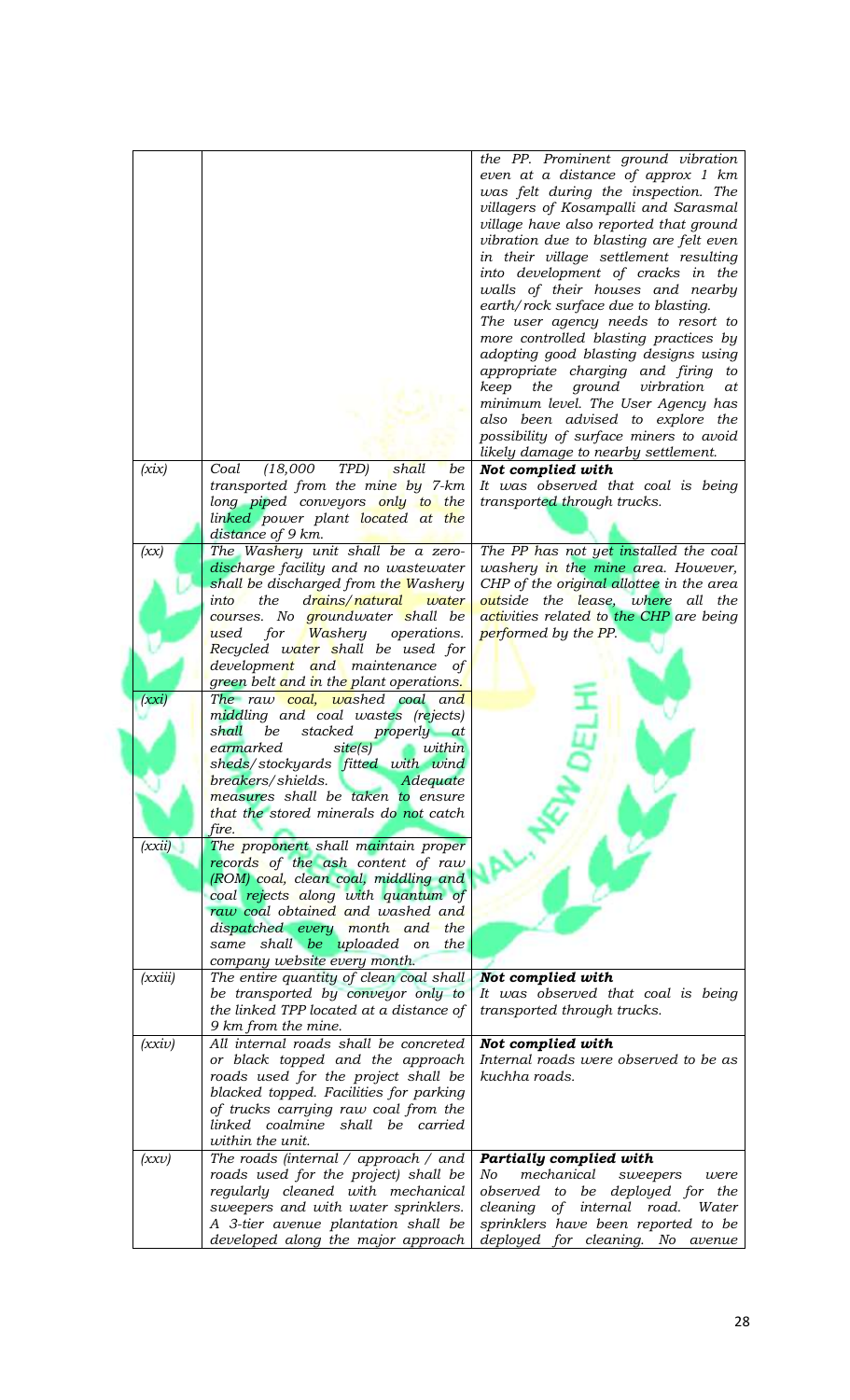|                           |                                                                                                                                                                                                                                                                                                          | the PP. Prominent ground vibration<br>even at a distance of approx 1 km<br>was felt during the inspection. The<br>villagers of Kosampalli and Sarasmal<br>village have also reported that ground<br>vibration due to blasting are felt even<br>in their village settlement resulting<br>into development of cracks in the<br>walls of their houses and nearby<br>earth/rock surface due to blasting.<br>The user agency needs to resort to<br>more controlled blasting practices by<br>adopting good blasting designs using<br>appropriate charging and firing to<br>ground<br>keep<br>the<br>virbration<br>at<br>minimum level. The User Agency has<br>also been advised to explore the<br>possibility of surface miners to avoid<br>likely damage to nearby settlement. |
|---------------------------|----------------------------------------------------------------------------------------------------------------------------------------------------------------------------------------------------------------------------------------------------------------------------------------------------------|---------------------------------------------------------------------------------------------------------------------------------------------------------------------------------------------------------------------------------------------------------------------------------------------------------------------------------------------------------------------------------------------------------------------------------------------------------------------------------------------------------------------------------------------------------------------------------------------------------------------------------------------------------------------------------------------------------------------------------------------------------------------------|
| (xix)                     | (18,000)<br>TPD)<br>shall<br>Coal<br>be<br>transported from the mine by 7-km<br>long piped conveyors only to the<br>linked power plant located at the<br>distance of 9 km.                                                                                                                               | Not complied with<br>It was observed that coal is being<br>transported through trucks.                                                                                                                                                                                                                                                                                                                                                                                                                                                                                                                                                                                                                                                                                    |
| (xx)                      | The Washery unit shall be a zero-<br>discharge facility and no wastewater<br>shall be discharged from the Washery<br>the<br>drains/natural<br>into<br>water<br>courses. No groundwater shall be<br>for Washery operations.<br>used<br>Recycled water shall be used for                                   | The PP has not yet installed the coal<br>washery in the mine area. However,<br>CHP of the <i>original allottee</i> in the area<br>outside the lease, where all the<br>activities related to the CHP are being<br>performed by the PP.                                                                                                                                                                                                                                                                                                                                                                                                                                                                                                                                     |
|                           | development and maintenance of<br>green belt and in the plant operations.                                                                                                                                                                                                                                |                                                                                                                                                                                                                                                                                                                                                                                                                                                                                                                                                                                                                                                                                                                                                                           |
| (xxi)                     | The raw coal, washed coal and<br>middling and coal wastes (rejects)<br>shall<br>be<br>stacked properly at<br>earmarked<br>site(s)<br>within<br>sheds/stockyards fitted with wind<br>breakers/shields.<br>Adequate<br>measures shall be taken to ensure<br>that the stored minerals do not catch<br>fire. |                                                                                                                                                                                                                                                                                                                                                                                                                                                                                                                                                                                                                                                                                                                                                                           |
| (xxi)                     | The proponent shall maintain proper<br>records of the ash content of raw<br>(ROM) coal, clean coal, middling and<br>coal rejects along with quantum of<br>raw coal obtained and washed and<br>dispatched every month and the<br>same shall be uploaded on<br>the<br>company website every month.         |                                                                                                                                                                                                                                                                                                                                                                                                                                                                                                                                                                                                                                                                                                                                                                           |
| (xxiii)                   | The entire quantity of clean coal shall<br>be transported by conveyor only to<br>the linked TPP located at a distance of<br>9 km from the mine.                                                                                                                                                          | Not complied with<br>It was observed that coal is being<br>transported through trucks.                                                                                                                                                                                                                                                                                                                                                                                                                                                                                                                                                                                                                                                                                    |
| (xxi)                     | All internal roads shall be concreted<br>or black topped and the approach<br>roads used for the project shall be<br>blacked topped. Facilities for parking<br>of trucks carrying raw coal from the<br>linked coalmine shall be carried<br>within the unit.                                               | Not complied with<br>Internal roads were observed to be as<br>kuchha roads.                                                                                                                                                                                                                                                                                                                                                                                                                                                                                                                                                                                                                                                                                               |
| $(x\mathbf{x}\mathbf{v})$ | The roads (internal $\prime$ approach $\prime$ and<br>roads used for the project) shall be<br>regularly cleaned with mechanical<br>sweepers and with water sprinklers.<br>A 3-tier avenue plantation shall be<br>developed along the major approach                                                      | Partially complied with<br>mechanical<br>No<br>sweepers<br>were<br>observed to be deployed for the<br>cleaning of internal road.<br>Water<br>sprinklers have been reported to be<br>deployed for cleaning. No<br>avenue                                                                                                                                                                                                                                                                                                                                                                                                                                                                                                                                                   |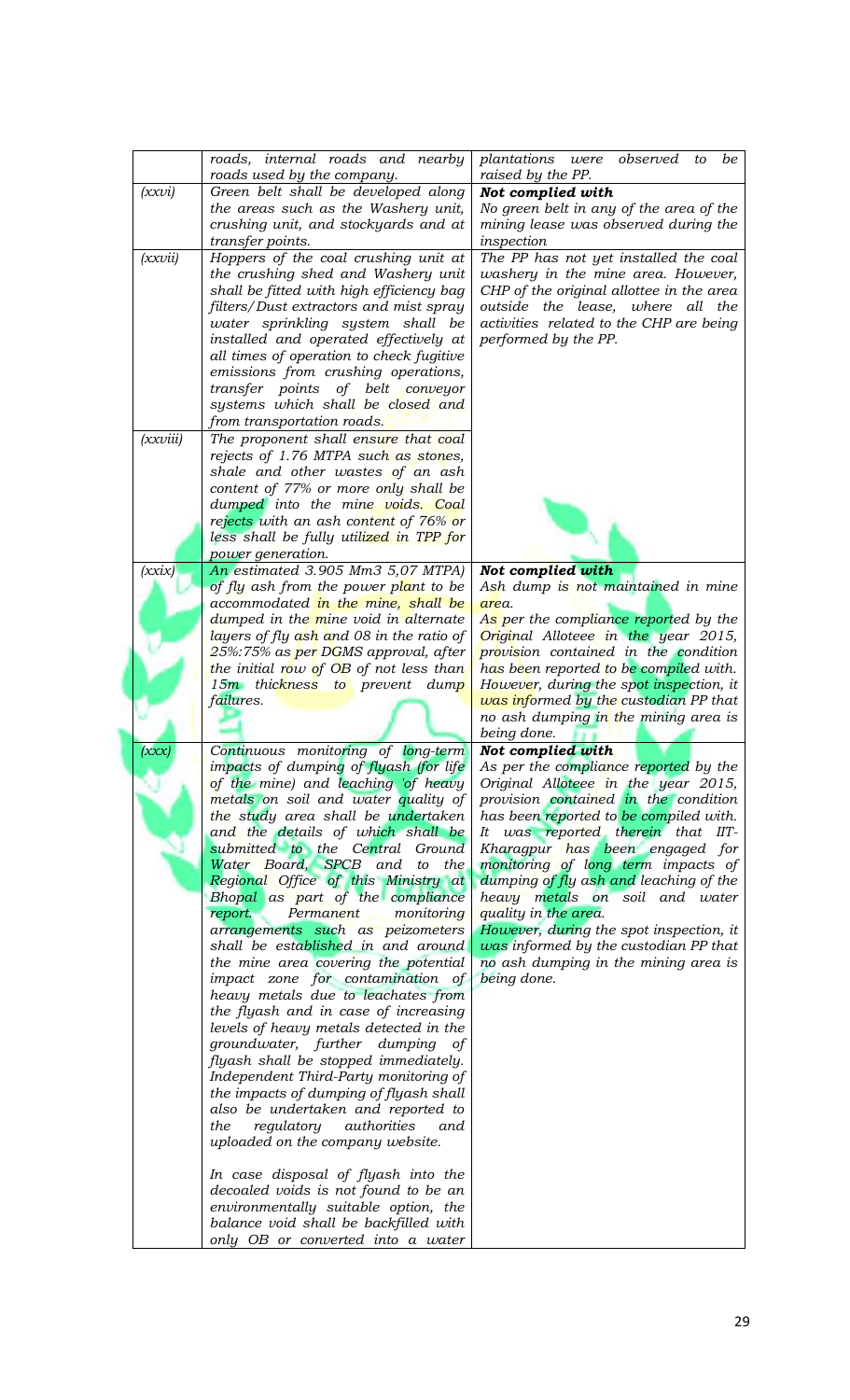|          | roads, internal roads and nearby<br>roads used by the company.                | plantations were<br>observed<br>to<br>be<br>raised by the PP.                    |
|----------|-------------------------------------------------------------------------------|----------------------------------------------------------------------------------|
| (xxvi)   | Green belt shall be developed along                                           | Not complied with                                                                |
|          | the areas such as the Washery unit,                                           | No green belt in any of the area of the                                          |
|          | crushing unit, and stockyards and at                                          | mining lease was observed during the                                             |
|          | transfer points.                                                              | inspection                                                                       |
| (xxvii)  | Hoppers of the coal crushing unit at<br>the crushing shed and Washery unit    | The PP has not yet installed the coal<br>washery in the mine area. However,      |
|          | shall be fitted with high efficiency bag                                      | CHP of the original allottee in the area                                         |
|          | filters/Dust extractors and mist spray                                        | outside the lease, where all the                                                 |
|          | water sprinkling system shall be                                              | activities related to the CHP are being                                          |
|          | installed and operated effectively at                                         | performed by the PP.                                                             |
|          | all times of operation to check fugitive                                      |                                                                                  |
|          | emissions from crushing operations,<br>transfer points of belt conveyor       |                                                                                  |
|          | systems which shall be closed and                                             |                                                                                  |
|          | from transportation roads.                                                    |                                                                                  |
| (xxviii) | The proponent shall ensure that coal                                          |                                                                                  |
|          | rejects of 1.76 MTPA such as stones,                                          |                                                                                  |
|          | shale and other wastes of an ash                                              |                                                                                  |
|          | content of 77% or more only shall be<br>dumped into the mine voids. Coal      |                                                                                  |
|          | rejects with an ash content of 76% or                                         |                                                                                  |
|          | less shall be fully utilized in TPP for                                       |                                                                                  |
|          | power generation.                                                             |                                                                                  |
| (xxix)   | An estimated 3.905 Mm3 5,07 MTPA)                                             | Not complied with                                                                |
|          | of fly ash from the power plant to be<br>accommodated in the mine, shall be   | Ash dump is not maintained in mine<br>area.                                      |
|          | dumped in the mine void in alternate                                          | As per the compliance reported by the                                            |
|          | layers of fly ash and 08 in the ratio of                                      | Original Alloteee in the year 2015,                                              |
|          | 25%:75% as per DGMS approval, after                                           | provision contained in the condition                                             |
|          | the initial row of $OB$ of not less than                                      | has been reported to be compiled with.                                           |
|          | 15m thickness to prevent dump<br><i>failures.</i>                             | However, during the spot inspection, it<br>was informed by the custodian PP that |
|          |                                                                               | no ash dumping in the mining area is                                             |
|          |                                                                               | being done.                                                                      |
| (XXX)    | Continuous monitoring of long-term                                            | Not complied with                                                                |
|          | impacts of dumping of flyash (for life<br>of the mine) and leaching 'of heavy | As per the compliance reported by the<br>Original Alloteee in the year 2015,     |
|          | metals on soil and water quality of                                           | provision contained in the condition                                             |
|          | the study area shall be undertaken                                            | has been reported to be compiled with.                                           |
|          | and the details of which shall be                                             | It was reported therein that IIT-                                                |
|          | submitted to the Central Ground<br>Water Board, SPCB and to the               | Kharagpur has been engaged for<br>monitoring of long term impacts of             |
|          | Regional Office of this Ministry at                                           | dumping of fly ash and leaching of the                                           |
|          | Bhopal as part of the compliance                                              | heavy metals on soil and water                                                   |
|          | monitoring<br>report.<br>Permanent                                            | quality in the area.                                                             |
|          | arrangements such as peizometers<br>shall be established in and around        | However, during the spot inspection, it<br>was informed by the custodian PP that |
|          | the mine area covering the potential                                          | no ash dumping in the mining area is                                             |
|          | impact zone for contamination of                                              | being done.                                                                      |
|          | heavy metals due to leachates from                                            |                                                                                  |
|          | the flyash and in case of increasing                                          |                                                                                  |
|          | levels of heavy metals detected in the<br>groundwater, further dumping of     |                                                                                  |
|          | flyash shall be stopped immediately.                                          |                                                                                  |
|          | Independent Third-Party monitoring of                                         |                                                                                  |
|          | the impacts of dumping of flyash shall                                        |                                                                                  |
|          | also be undertaken and reported to<br>the<br>regulatory authorities<br>and    |                                                                                  |
|          | uploaded on the company website.                                              |                                                                                  |
|          |                                                                               |                                                                                  |
|          | In case disposal of flyash into the                                           |                                                                                  |
|          | decoaled voids is not found to be an                                          |                                                                                  |
|          | environmentally suitable option, the<br>balance void shall be backfilled with |                                                                                  |
|          | only OB or converted into a water                                             |                                                                                  |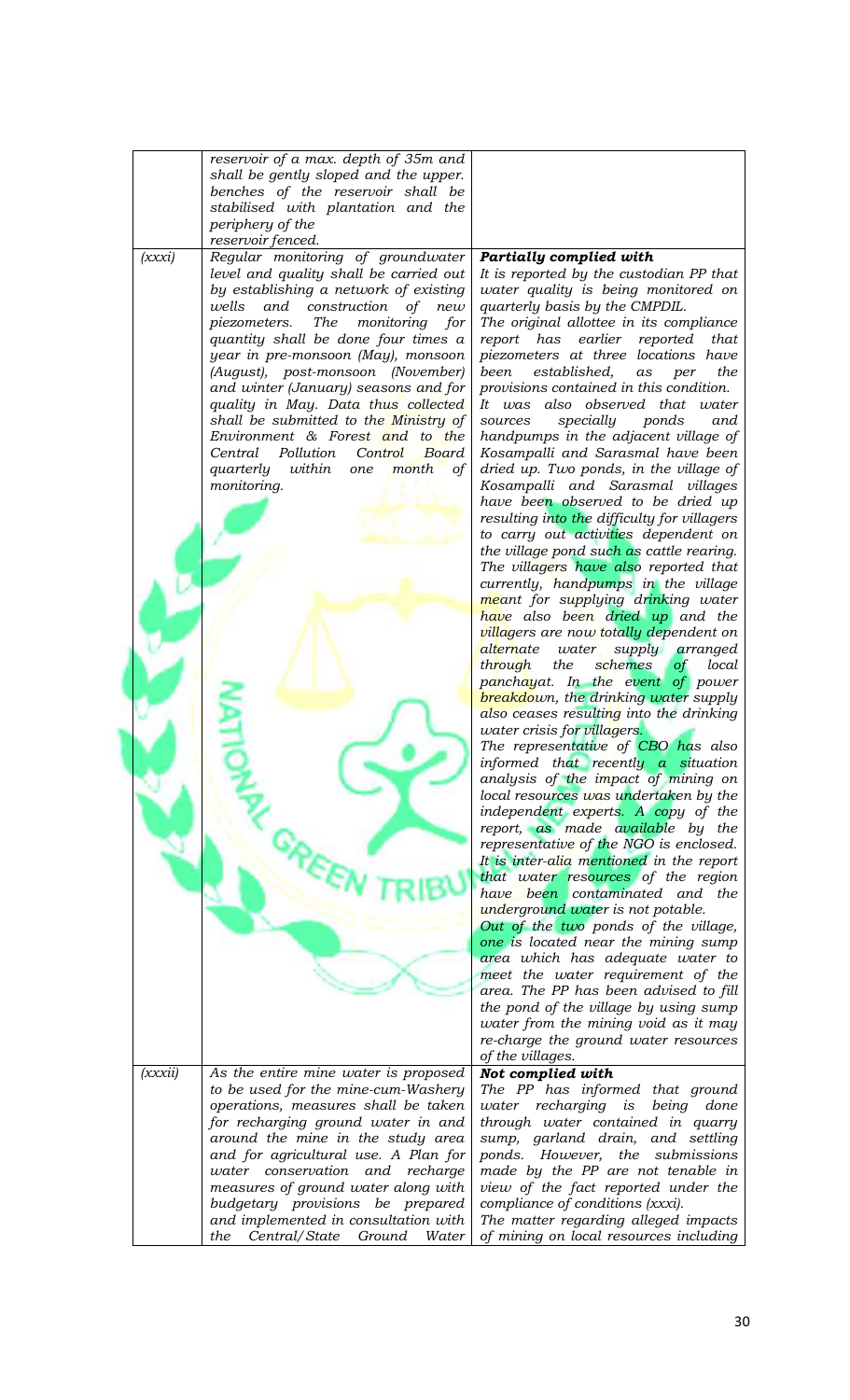|         | reservoir of a max. depth of 35m and                                            |                                                                                |
|---------|---------------------------------------------------------------------------------|--------------------------------------------------------------------------------|
|         | shall be gently sloped and the upper.                                           |                                                                                |
|         | benches of the reservoir shall be                                               |                                                                                |
|         | stabilised with plantation and the                                              |                                                                                |
|         | periphery of the                                                                |                                                                                |
|         | reservoir fenced.                                                               |                                                                                |
| (xxxi)  | Regular monitoring of groundwater                                               | <b>Partially complied with</b>                                                 |
|         | level and quality shall be carried out                                          |                                                                                |
|         |                                                                                 | It is reported by the custodian PP that                                        |
|         | by establishing a network of existing                                           | water quality is being monitored on                                            |
|         | wells<br>and<br>construction<br>of<br>new                                       | quarterly basis by the CMPDIL.                                                 |
|         | <b>The</b><br>piezometers.<br>monitoring<br>for                                 | The original allottee in its compliance                                        |
|         | quantity shall be done four times a                                             | report has earlier reported<br>that                                            |
|         | year in pre-monsoon (May), monsoon                                              | piezometers at three locations have                                            |
|         | (August), post-monsoon (November)                                               | established,<br>been<br>as<br>per<br>the                                       |
|         | and winter (January) seasons and for                                            | provisions contained in this condition.                                        |
|         | quality in May. Data thus collected                                             | It was also observed that water                                                |
|         | shall be submitted to the Ministry of                                           | specially<br>ponds<br>sources<br>and                                           |
|         | Environment & Forest and to the                                                 |                                                                                |
|         |                                                                                 | handpumps in the adjacent village of                                           |
|         | Pollution<br>Control<br>Central<br>Board                                        | Kosampalli and Sarasmal have been                                              |
|         | quarterly within<br>month<br>$\circ f$<br>one                                   | dried up. Two ponds, in the village of                                         |
|         | monitoring.                                                                     | Kosampalli and Sarasmal villages                                               |
|         |                                                                                 | have been observed to be dried up                                              |
|         |                                                                                 | resulting into the difficulty for villagers                                    |
|         |                                                                                 | to carry out activities dependent on                                           |
|         |                                                                                 | the village pond such as cattle rearing.                                       |
|         |                                                                                 | The villagers have also reported that                                          |
|         |                                                                                 | currently, handpumps in the village                                            |
|         |                                                                                 | meant for supplying drinking water                                             |
|         |                                                                                 |                                                                                |
|         |                                                                                 | have also been dried up and the                                                |
|         |                                                                                 | <i>villagers are now totally dependent on</i>                                  |
|         |                                                                                 | alternate<br>water<br>supply arranged                                          |
|         |                                                                                 | schemes<br>through<br>the<br>local<br>of                                       |
|         |                                                                                 | panchayat. In the event of power                                               |
|         |                                                                                 | <b>breakdown</b> , the drinking water supply                                   |
|         |                                                                                 | also ceases resulting into the drinking                                        |
|         |                                                                                 | <i>water crisis for villagers.</i>                                             |
|         |                                                                                 | The representative of CBO has also                                             |
|         |                                                                                 | informed that recently a situation                                             |
|         |                                                                                 | analysis of the impact of mining on                                            |
|         |                                                                                 | local resources was undertaken by the                                          |
|         |                                                                                 | independent experts. A copy of the                                             |
|         |                                                                                 |                                                                                |
|         |                                                                                 | report, as made available by the                                               |
|         |                                                                                 | representative of the NGO is enclosed.                                         |
|         |                                                                                 |                                                                                |
|         |                                                                                 | It is inter-alia mentioned in the report                                       |
|         |                                                                                 | that water resources of the region                                             |
|         |                                                                                 | have been contaminated and the                                                 |
|         |                                                                                 | underground water is not potable.                                              |
|         |                                                                                 | Out of the two ponds of the village,                                           |
|         |                                                                                 | one is located near the mining sump                                            |
|         |                                                                                 |                                                                                |
|         |                                                                                 | area which has adequate water to                                               |
|         |                                                                                 | meet the water requirement of the                                              |
|         |                                                                                 | area. The PP has been advised to fill                                          |
|         |                                                                                 | the pond of the village by using sump                                          |
|         |                                                                                 | water from the mining void as it may                                           |
|         |                                                                                 | re-charge the ground water resources                                           |
|         |                                                                                 | of the villages.                                                               |
| (xxxii) | As the entire mine water is proposed                                            | Not complied with                                                              |
|         | to be used for the mine-cum-Washery                                             | The PP has informed that ground                                                |
|         | operations, measures shall be taken                                             | water recharging<br>is<br>being<br>done                                        |
|         |                                                                                 | through water contained in quarry                                              |
|         | for recharging ground water in and                                              |                                                                                |
|         | around the mine in the study area                                               | sump, garland drain, and settling                                              |
|         | and for agricultural use. A Plan for                                            | ponds. However, the submissions                                                |
|         | water conservation and recharge                                                 | made by the PP are not tenable in                                              |
|         | measures of ground water along with                                             | view of the fact reported under the                                            |
|         | budgetary provisions be prepared                                                | compliance of conditions (xxxi).                                               |
|         | and implemented in consultation with<br>Central/State<br>Ground<br>the<br>Water | The matter regarding alleged impacts<br>of mining on local resources including |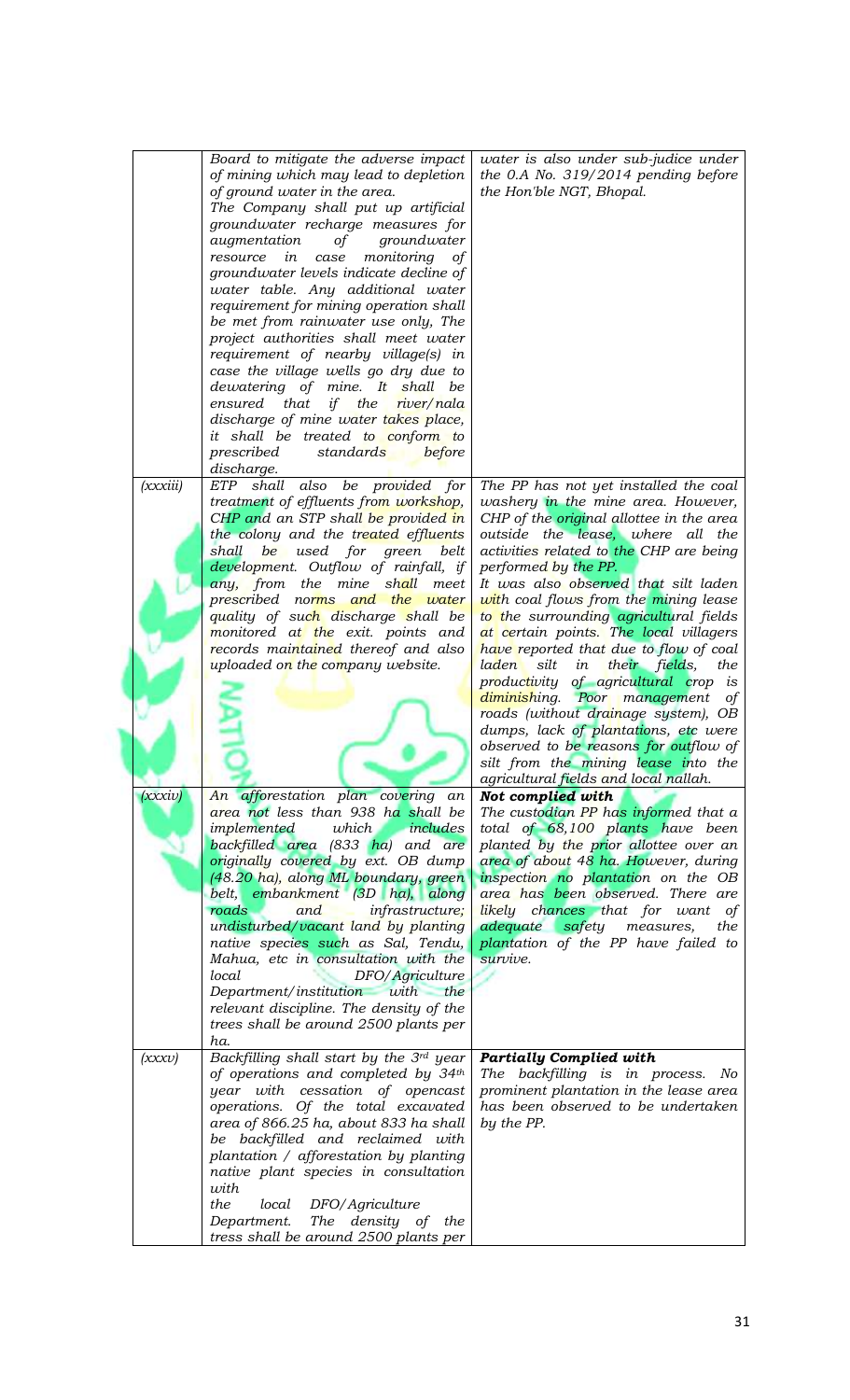|                     | Board to mitigate the adverse impact<br>of mining which may lead to depletion<br>of ground water in the area.<br>The Company shall put up artificial<br>groundwater recharge measures for<br>augmentation<br>of<br>groundwater<br>monitoring<br>resource in<br>case<br>οf<br>groundwater levels indicate decline of<br>water table. Any additional water<br>requirement for mining operation shall<br>be met from rainwater use only, The<br>project authorities shall meet water<br>requirement of nearby village(s) in<br>case the village wells go dry due to<br>dewatering of mine. It shall be<br>ensured that if the<br>river/nala<br>discharge of mine water takes place,<br>it shall be treated to conform to<br>prescribed<br>standards<br>before         | water is also under sub-judice under<br>the 0.A No. $319/2014$ pending before<br>the Hon'ble NGT, Bhopal.                                                                                                                                                                                                                                                                                                                                                                                                                                                                                                                                                                                                                                                                                                                                                                                                                                                                                                   |
|---------------------|--------------------------------------------------------------------------------------------------------------------------------------------------------------------------------------------------------------------------------------------------------------------------------------------------------------------------------------------------------------------------------------------------------------------------------------------------------------------------------------------------------------------------------------------------------------------------------------------------------------------------------------------------------------------------------------------------------------------------------------------------------------------|-------------------------------------------------------------------------------------------------------------------------------------------------------------------------------------------------------------------------------------------------------------------------------------------------------------------------------------------------------------------------------------------------------------------------------------------------------------------------------------------------------------------------------------------------------------------------------------------------------------------------------------------------------------------------------------------------------------------------------------------------------------------------------------------------------------------------------------------------------------------------------------------------------------------------------------------------------------------------------------------------------------|
| (xxxiii)<br>(xxxiv) | discharge.<br>ETP shall also be provided for<br>treatment of effluents from workshop,<br>CHP and an STP shall be provided in<br>the colony and the treated effluents<br>be used for green<br>shall<br>belt<br>development. Outflow of rainfall, if<br>any, from the mine shall<br>meet<br>prescribed norms and the water<br>quality of su <mark>ch discharge s</mark> hall be<br>monitored at the exit. points and<br>records maintained thereof and also<br>uploaded on the company website.<br>An afforestation plan covering an<br>area not less than 938 ha shall be<br>which<br>includes<br>implemented<br>backfilled area (833 ha) and are<br>originally covered by ext. OB dump<br>(48.20 ha), along ML boundary, green                                     | The PP has not yet installed the coal<br>washery in the mine area. However,<br>CHP of the <i>original</i> allottee in the area<br>outside the lease, where all the<br>activities related to the CHP are being<br>performed by the PP.<br>It was also observed that silt laden<br>with coal flows from the mining lease<br>to the surrounding agricultural fields<br>at certain points. The local villagers<br>have reported that due to flow of coal<br>silt<br>in their fields,<br>laden<br>the<br>productivity of agricultural crop is<br>diminishing. Poor management of<br>roads (without drainage system), OB<br>dumps, lack of plantations, etc were<br>observed to be reasons for outflow of<br>silt from the mining lease into the<br>agricultural fields and local nallah.<br>Not complied with<br>The custodian PP has informed that a<br>total of 68,100 plants have been<br>planted by the prior allottee over an<br>area of about 48 ha. However, during<br>inspection no plantation on the OB |
| (xxxv)              | belt, embankment (3D ha), along<br>roads<br>and<br><i>infrastructure</i> ;<br>undisturbed/vacant land by planting<br>native species such as Sal, Tendu,<br>Mahua, etc in consultation with the<br>local<br>DFO/Agriculture<br>Department/institution with the<br>relevant discipline. The density of the<br>trees shall be around 2500 plants per<br>ha.<br>Backfilling shall start by the 3rd year<br>of operations and completed by 34th<br>year with cessation of opencast<br>operations. Of the total excavated<br>area of 866.25 ha, about 833 ha shall<br>be backfilled and reclaimed with<br>plantation / afforestation by planting<br>native plant species in consultation<br>with<br>the<br>local<br>DFO/Agriculture<br>The density of the<br>Department. | area has been observed. There are<br>likely chances that for want<br>of<br>adequate<br>safety measures,<br>the<br>plantation of the PP have failed to<br>survive.<br><b>Partially Complied with</b><br>The backfilling is in process. No<br>prominent plantation in the lease area<br>has been observed to be undertaken<br>by the PP.                                                                                                                                                                                                                                                                                                                                                                                                                                                                                                                                                                                                                                                                      |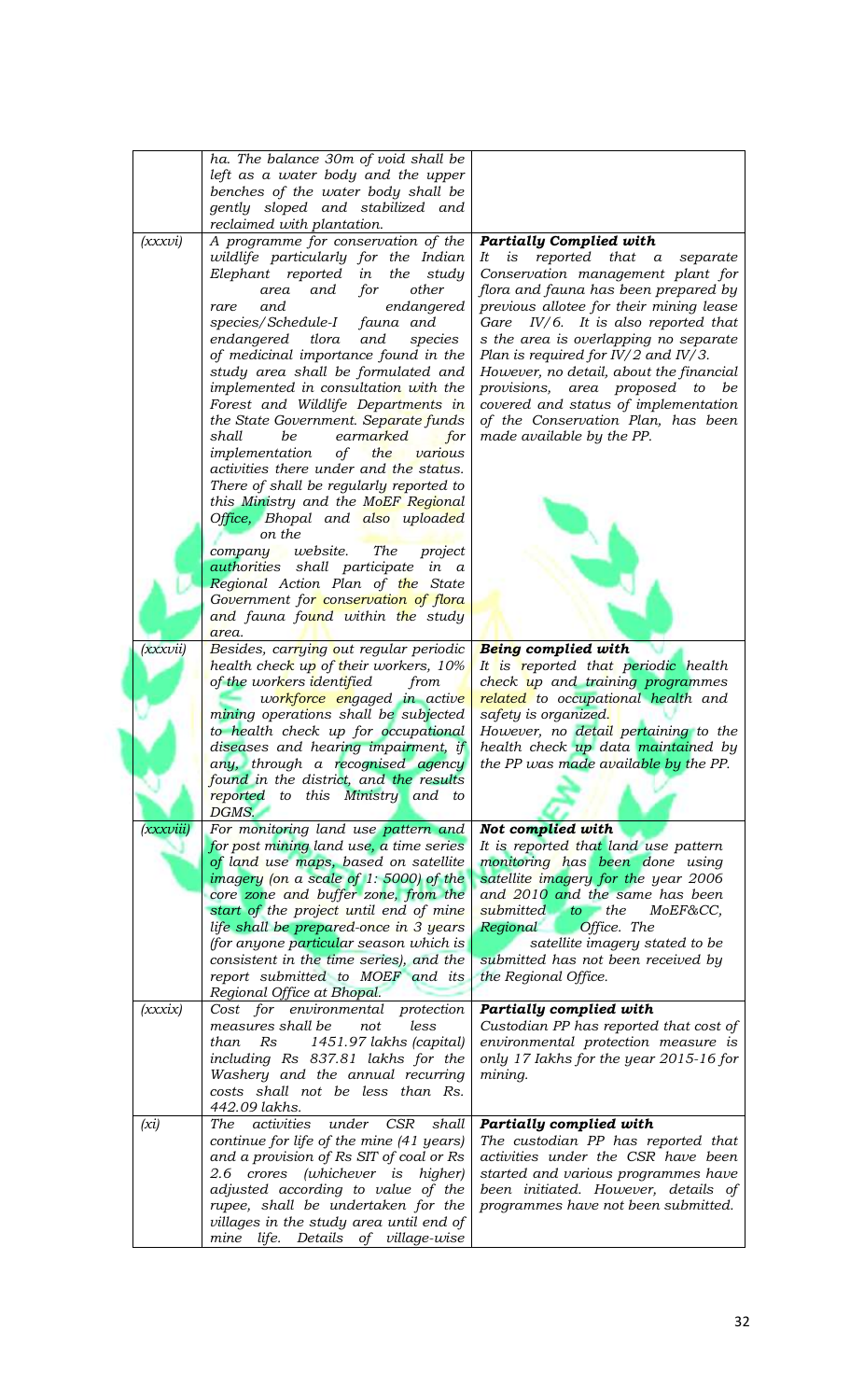|           | ha. The balance 30m of void shall be                                                |                                                                           |
|-----------|-------------------------------------------------------------------------------------|---------------------------------------------------------------------------|
|           | left as a water body and the upper                                                  |                                                                           |
|           | benches of the water body shall be                                                  |                                                                           |
|           | gently sloped and stabilized and                                                    |                                                                           |
|           | reclaimed with plantation.                                                          |                                                                           |
| (xxxvi)   | A programme for conservation of the                                                 | <b>Partially Complied with</b>                                            |
|           | wildlife particularly for the Indian<br>Elephant reported                           | It<br>$i\mathbf{s}$<br>reported that<br>$\alpha$<br>separate              |
|           | in<br>the<br>study<br>and<br>other<br>area<br>for                                   | Conservation management plant for<br>flora and fauna has been prepared by |
|           | endangered<br>and.<br>rare                                                          | previous allotee for their mining lease                                   |
|           | species/Schedule-I<br>fauna and                                                     | Gare $IV/6$ . It is also reported that                                    |
|           | endangered<br>tlora<br>and<br>species                                               | s the area is overlapping no separate                                     |
|           | of medicinal importance found in the                                                | Plan is required for $IV/2$ and $IV/3$ .                                  |
|           | study area shall be formulated and                                                  | However, no detail, about the financial                                   |
|           | implemented in consultation with the                                                | provisions, area proposed to<br>be                                        |
|           | Forest and Wildlife Departments in                                                  | covered and status of implementation                                      |
|           | the State Government. Separate funds<br>shall<br>be<br>earmarked<br>for             | of the Conservation Plan, has been<br>made available by the PP.           |
|           | implementation<br>of<br>the<br>various                                              |                                                                           |
|           | activities there under and the status.                                              |                                                                           |
|           | There of shall be regularly reported to                                             |                                                                           |
|           | this Ministry and the MoEF Regional                                                 |                                                                           |
|           | Office, Bhopal and also uploaded                                                    |                                                                           |
|           | on the                                                                              |                                                                           |
|           | company website.<br>The<br>project                                                  |                                                                           |
|           | authorities shall participate in a                                                  |                                                                           |
|           | Regional Action Plan of the State<br>Government for conservation of flora           |                                                                           |
|           | and fauna found within the study                                                    |                                                                           |
|           | area.                                                                               |                                                                           |
| (xxxvii)  | Besides, carrying out regular periodic                                              | Being complied with                                                       |
|           | health check up of their workers, 10%                                               | It is reported that periodic health                                       |
|           | of the workers identified<br>from                                                   | check up and training programmes                                          |
|           | workforce engaged in active                                                         | related to occupational health and                                        |
|           | mining operations shall be subjected<br>to health check up for occupational         | safety is organized.<br>However, no detail pertaining to the              |
|           | diseases and hearing impairment, if                                                 | health check up data maintained by                                        |
|           | any, through a recognised agency                                                    | the PP was made available by the PP.                                      |
|           | found in the district, and the results                                              |                                                                           |
|           | reported to this Ministry and to                                                    |                                                                           |
|           | DGMS.                                                                               |                                                                           |
| (xxxviii) | For monitoring land use pattern and                                                 | Not complied with                                                         |
|           | for post mining land use, a time series                                             | It is reported that land use pattern                                      |
|           | of land use maps, based on satellite<br>imagery (on a scale of 1: 5000) of the      | monitoring has been done using<br>satellite imagery for the year 2006     |
|           | core zone and buffer zone, from the                                                 | and 2010 and the same has been                                            |
|           | start of the project until end of mine                                              | submitted to the<br>MoEF&CC,                                              |
|           | life shall be prepared-once in 3 years                                              | Regional<br>Office. The                                                   |
|           | (for anyone particular season which is                                              | satellite imagery stated to be                                            |
|           | consistent in the time series), and the                                             | submitted has not been received by                                        |
|           | report submitted to MOEF and its                                                    | the Regional Office.                                                      |
|           | Regional Office at Bhopal.                                                          |                                                                           |
| (xxxix)   | Cost for environmental protection<br>measures shall be<br>not<br>less               | Partially complied with<br>Custodian PP has reported that cost of         |
|           | Rs<br>1451.97 lakhs (capital)<br>than                                               | environmental protection measure is                                       |
|           | including Rs 837.81 lakhs for the                                                   | only 17 Iakhs for the year 2015-16 for                                    |
|           | Washery and the annual recurring                                                    | mining.                                                                   |
|           | costs shall not be less than Rs.                                                    |                                                                           |
|           | 442.09 lakhs.                                                                       |                                                                           |
| (xi)      | activities<br><b>CSR</b><br><b>The</b><br>under<br>shall                            | Partially complied with                                                   |
|           | continue for life of the mine (41 years)<br>and a provision of Rs SIT of coal or Rs | The custodian PP has reported that<br>activities under the CSR have been  |
|           | 2.6 crores (whichever is higher)                                                    | started and various programmes have                                       |
|           | adjusted according to value of the                                                  | been initiated. However, details of                                       |
|           | rupee, shall be undertaken for the                                                  | programmes have not been submitted.                                       |
|           | villages in the study area until end of                                             |                                                                           |
|           | mine life. Details of village-wise                                                  |                                                                           |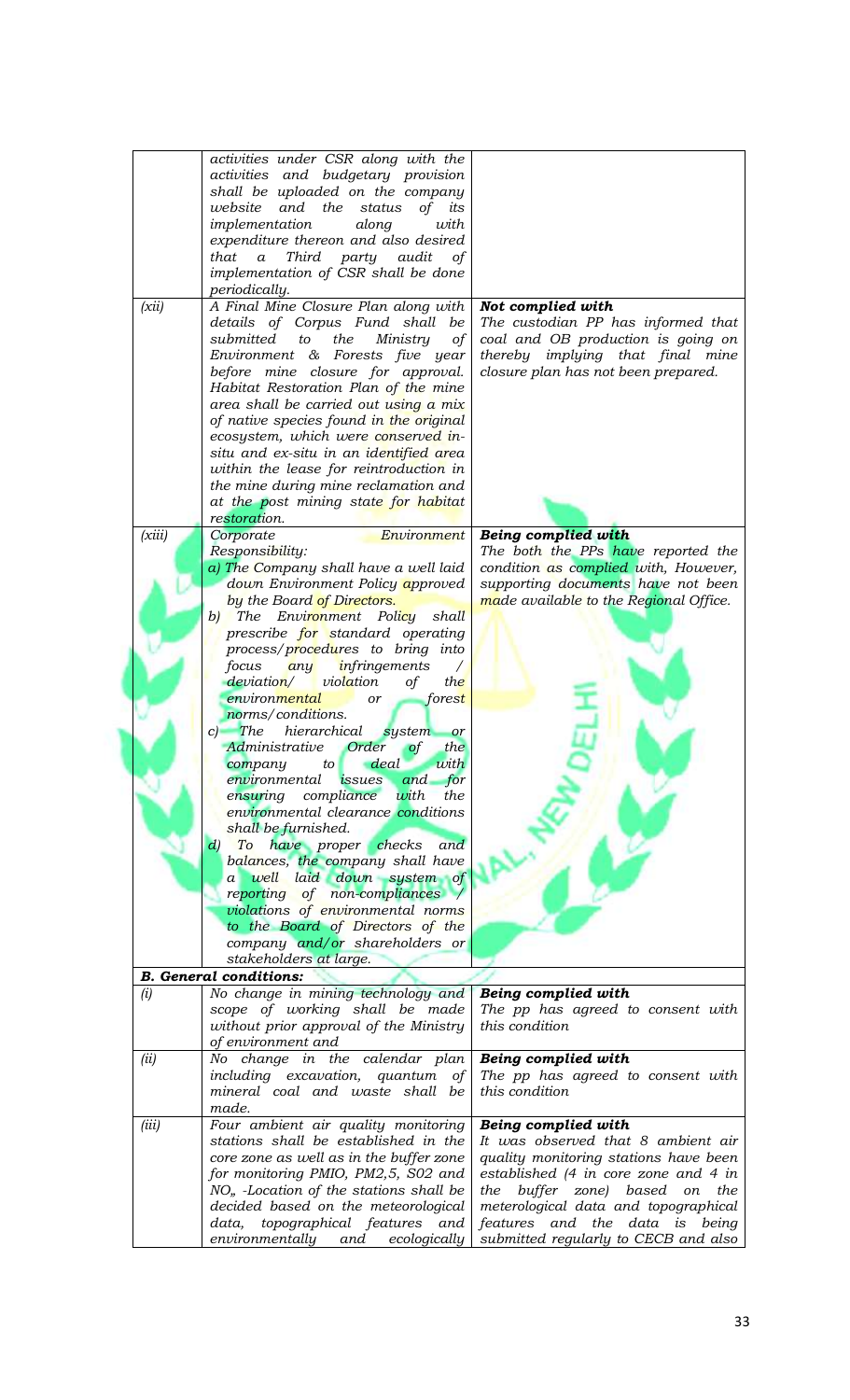|        | activities under CSR along with the                |                                        |
|--------|----------------------------------------------------|----------------------------------------|
|        | activities and budgetary provision                 |                                        |
|        |                                                    |                                        |
|        | shall be uploaded on the company                   |                                        |
|        | and the<br>status<br>of<br>its<br>website          |                                        |
|        | implementation<br>along<br>with                    |                                        |
|        |                                                    |                                        |
|        | expenditure thereon and also desired               |                                        |
|        | that<br>Third<br>party audit<br>$\alpha$<br>of     |                                        |
|        | implementation of CSR shall be done                |                                        |
|        |                                                    |                                        |
|        | periodically.                                      |                                        |
| (xii)  | A Final Mine Closure Plan along with               | Not complied with                      |
|        | details of Corpus Fund shall<br>be                 | The custodian PP has informed that     |
|        |                                                    |                                        |
|        | submitted<br>the<br>Ministry<br>of<br>to           | coal and OB production is going on     |
|        | Environment & Forests five year                    | thereby implying that final mine       |
|        | before mine closure for approval.                  | closure plan has not been prepared.    |
|        |                                                    |                                        |
|        | Habitat Restoration Plan of the mine               |                                        |
|        | area shall be carried out using a mix              |                                        |
|        | of native species found in the original            |                                        |
|        |                                                    |                                        |
|        | ecosystem, which were conserved in-                |                                        |
|        | situ and ex-situ in an identified area             |                                        |
|        | within the lease for reintroduction in             |                                        |
|        |                                                    |                                        |
|        | the mine during mine reclamation and               |                                        |
|        | at the post mining state for habitat               |                                        |
|        | restoration.                                       |                                        |
|        |                                                    |                                        |
| (xiii) | Corporate<br>Environment                           | <b>Being complied with</b>             |
|        | Responsibility:                                    | The both the PPs have reported the     |
|        | a) The Company shall have a well laid              | condition as complied with, However,   |
|        |                                                    |                                        |
|        | down Environment Policy approved                   | supporting documents have not been     |
|        | by the Board of Directors.                         | made available to the Regional Office. |
|        | The Environment Policy<br>shall<br>b)              |                                        |
|        |                                                    |                                        |
|        | prescribe for standard operating                   |                                        |
|        | process/procedures to bring into                   |                                        |
|        | <i>infringements</i><br>focus<br>any<br>$\sqrt{2}$ |                                        |
|        |                                                    |                                        |
|        | violation<br>the<br>deviation/<br>of               |                                        |
|        | environmental<br>forest<br>or                      |                                        |
|        | norms/conditions.                                  |                                        |
|        | $c)$ The<br>hierarchical system                    |                                        |
|        | <b>or</b>                                          |                                        |
|        | Administrative Order<br>$\circ f$<br>the           |                                        |
|        | with<br>company to deal                            |                                        |
|        | environmental issues and for                       |                                        |
|        |                                                    |                                        |
|        | ensuring compliance with<br>the                    |                                        |
|        | environmental clearance conditions                 |                                        |
|        | shall be furnished.                                |                                        |
|        |                                                    |                                        |
|        | To have proper checks<br>and<br>$\left( d\right)$  |                                        |
|        | balances, the company shall have                   |                                        |
|        | a well laid down system of                         |                                        |
|        |                                                    |                                        |
|        | reporting of non-compliances /                     |                                        |
|        | violations of environmental norms                  |                                        |
|        | to the Board of Directors of the                   |                                        |
|        | company and/or shareholders or                     |                                        |
|        |                                                    |                                        |
|        | stakeholders at large.                             |                                        |
|        | <b>B.</b> General conditions:                      |                                        |
| (i)    | No change in mining technology and                 | Being complied with                    |
|        |                                                    | The pp has agreed to consent with      |
|        |                                                    |                                        |
|        | scope of working shall be made                     |                                        |
|        | without prior approval of the Ministry             | this condition                         |
|        |                                                    |                                        |
|        | of environment and                                 |                                        |
| (ii)   | No change in the calendar plan                     | Being complied with                    |
|        | including excavation, quantum of                   | The pp has agreed to consent with      |
|        |                                                    | this condition                         |
|        | mineral coal and waste shall be                    |                                        |
|        | made.                                              |                                        |
| (iii)  | Four ambient air quality monitoring                | Being complied with                    |
|        | stations shall be established in the               | It was observed that 8 ambient air     |
|        |                                                    |                                        |
|        | core zone as well as in the buffer zone            | quality monitoring stations have been  |
|        | for monitoring PMIO, PM2,5, S02 and                | established (4 in core zone and 4 in   |
|        |                                                    | the                                    |
|        | NO <sub>n</sub> -Location of the stations shall be | the buffer zone) based on              |
|        | decided based on the meteorological                | meterological data and topographical   |
|        | data, topographical features and                   | features and the data is being         |
|        | environmentally and<br>ecologically                | submitted regularly to CECB and also   |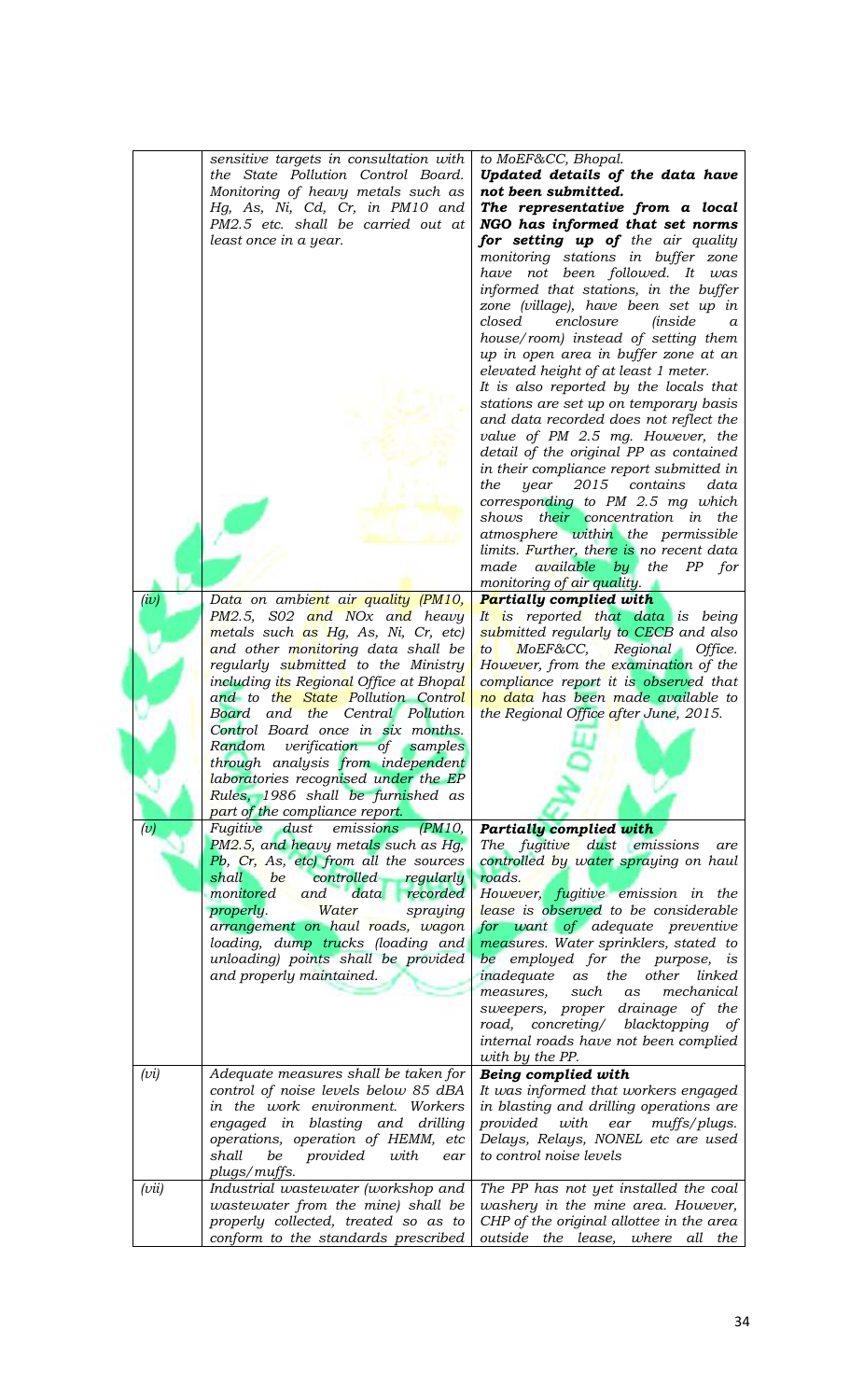|       | sensitive targets in consultation with<br>the State Pollution Control Board.<br>Monitoring of heavy metals such as<br>Hg, As, Ni, Cd, Cr, in PM10 and<br>PM2.5 etc. shall be carried out at<br>least once in a year. | to MoEF&CC, Bhopal.<br>Updated details of the data have<br>not been submitted.<br>The representative from a local<br>NGO has informed that set norms<br>for setting up of the air quality<br>monitoring stations in buffer zone<br>have not been followed. It was<br>informed that stations, in the buffer<br>zone (village), have been set up in<br>closed<br>enclosure<br><i>(inside</i> )<br>$\alpha$<br>house/room) instead of setting them<br>up in open area in buffer zone at an<br>elevated height of at least 1 meter.<br>It is also reported by the locals that<br>stations are set up on temporary basis<br>and data recorded does not reflect the<br>value of PM 2.5 mg. However, the<br>detail of the original PP as contained |
|-------|----------------------------------------------------------------------------------------------------------------------------------------------------------------------------------------------------------------------|---------------------------------------------------------------------------------------------------------------------------------------------------------------------------------------------------------------------------------------------------------------------------------------------------------------------------------------------------------------------------------------------------------------------------------------------------------------------------------------------------------------------------------------------------------------------------------------------------------------------------------------------------------------------------------------------------------------------------------------------|
|       |                                                                                                                                                                                                                      | in their compliance report submitted in                                                                                                                                                                                                                                                                                                                                                                                                                                                                                                                                                                                                                                                                                                     |
|       |                                                                                                                                                                                                                      | the<br>year 2015<br>contains<br>data                                                                                                                                                                                                                                                                                                                                                                                                                                                                                                                                                                                                                                                                                                        |
|       |                                                                                                                                                                                                                      | corresponding to PM 2.5 mg which                                                                                                                                                                                                                                                                                                                                                                                                                                                                                                                                                                                                                                                                                                            |
|       |                                                                                                                                                                                                                      | shows their concentration in the                                                                                                                                                                                                                                                                                                                                                                                                                                                                                                                                                                                                                                                                                                            |
|       |                                                                                                                                                                                                                      | atmosphere within the permissible                                                                                                                                                                                                                                                                                                                                                                                                                                                                                                                                                                                                                                                                                                           |
|       |                                                                                                                                                                                                                      | limits. Further, there is no recent data<br>made available by the PP for                                                                                                                                                                                                                                                                                                                                                                                                                                                                                                                                                                                                                                                                    |
|       |                                                                                                                                                                                                                      | monitoring of air quality.                                                                                                                                                                                                                                                                                                                                                                                                                                                                                                                                                                                                                                                                                                                  |
| (iv)  | Data on ambient air quality (PM10,                                                                                                                                                                                   | Partially complied with                                                                                                                                                                                                                                                                                                                                                                                                                                                                                                                                                                                                                                                                                                                     |
|       | PM2.5, S02 and NOx and heavy                                                                                                                                                                                         | It is reported that data is being                                                                                                                                                                                                                                                                                                                                                                                                                                                                                                                                                                                                                                                                                                           |
|       | metals such as Hg, As, Ni, Cr, etc)                                                                                                                                                                                  | submitted regularly to CECB and also                                                                                                                                                                                                                                                                                                                                                                                                                                                                                                                                                                                                                                                                                                        |
|       | and other monitoring data shall be                                                                                                                                                                                   | MoEF&CC,<br>Regional Office.<br>to                                                                                                                                                                                                                                                                                                                                                                                                                                                                                                                                                                                                                                                                                                          |
|       | regularly submitted to the Ministry                                                                                                                                                                                  | However, from the examination of the                                                                                                                                                                                                                                                                                                                                                                                                                                                                                                                                                                                                                                                                                                        |
|       | including its Regional Office at Bhopal                                                                                                                                                                              | compliance report it is observed that                                                                                                                                                                                                                                                                                                                                                                                                                                                                                                                                                                                                                                                                                                       |
|       | and to the State Pollution Control                                                                                                                                                                                   | no data has been made available to                                                                                                                                                                                                                                                                                                                                                                                                                                                                                                                                                                                                                                                                                                          |
|       | Board and the Central Pollution                                                                                                                                                                                      | the Regional Office after June, 2015.                                                                                                                                                                                                                                                                                                                                                                                                                                                                                                                                                                                                                                                                                                       |
|       | Control Board once in six months.                                                                                                                                                                                    |                                                                                                                                                                                                                                                                                                                                                                                                                                                                                                                                                                                                                                                                                                                                             |
|       | Random verification of samples<br>through analysis from independent                                                                                                                                                  |                                                                                                                                                                                                                                                                                                                                                                                                                                                                                                                                                                                                                                                                                                                                             |
|       | laboratories recognised under the EP                                                                                                                                                                                 |                                                                                                                                                                                                                                                                                                                                                                                                                                                                                                                                                                                                                                                                                                                                             |
|       | Rules, 1986 shall be furnished as                                                                                                                                                                                    |                                                                                                                                                                                                                                                                                                                                                                                                                                                                                                                                                                                                                                                                                                                                             |
|       | part of the compliance report.                                                                                                                                                                                       |                                                                                                                                                                                                                                                                                                                                                                                                                                                                                                                                                                                                                                                                                                                                             |
| (v)   | Fugitive dust<br>emissions (PM10,                                                                                                                                                                                    | <b>Partially complied with</b>                                                                                                                                                                                                                                                                                                                                                                                                                                                                                                                                                                                                                                                                                                              |
|       | PM2.5, and heavy metals such as Hg,                                                                                                                                                                                  | The fugitive dust emissions<br>are                                                                                                                                                                                                                                                                                                                                                                                                                                                                                                                                                                                                                                                                                                          |
|       | Pb, Cr, As, etc) from all the sources                                                                                                                                                                                | controlled by water spraying on haul                                                                                                                                                                                                                                                                                                                                                                                                                                                                                                                                                                                                                                                                                                        |
|       | controlled<br>shall<br>be<br>regularly                                                                                                                                                                               | roads.                                                                                                                                                                                                                                                                                                                                                                                                                                                                                                                                                                                                                                                                                                                                      |
|       | monitored<br>and<br>data<br>recorded                                                                                                                                                                                 | However, fugitive emission in the                                                                                                                                                                                                                                                                                                                                                                                                                                                                                                                                                                                                                                                                                                           |
|       | properly.<br>Water<br>spraying                                                                                                                                                                                       | lease is observed to be considerable                                                                                                                                                                                                                                                                                                                                                                                                                                                                                                                                                                                                                                                                                                        |
|       | arrangement on haul roads, wagon<br>loading, dump trucks (loading and                                                                                                                                                | for want of adequate preventive<br>measures. Water sprinklers, stated to                                                                                                                                                                                                                                                                                                                                                                                                                                                                                                                                                                                                                                                                    |
|       | unloading) points shall be provided                                                                                                                                                                                  | be employed for the purpose, is                                                                                                                                                                                                                                                                                                                                                                                                                                                                                                                                                                                                                                                                                                             |
|       | and properly maintained.                                                                                                                                                                                             | other<br>inadequate<br>as the<br>linked                                                                                                                                                                                                                                                                                                                                                                                                                                                                                                                                                                                                                                                                                                     |
|       |                                                                                                                                                                                                                      | mechanical<br>measures,<br>such<br>as                                                                                                                                                                                                                                                                                                                                                                                                                                                                                                                                                                                                                                                                                                       |
|       |                                                                                                                                                                                                                      | sweepers, proper drainage of the                                                                                                                                                                                                                                                                                                                                                                                                                                                                                                                                                                                                                                                                                                            |
|       |                                                                                                                                                                                                                      | road, concreting/ blacktopping of                                                                                                                                                                                                                                                                                                                                                                                                                                                                                                                                                                                                                                                                                                           |
|       |                                                                                                                                                                                                                      | internal roads have not been complied                                                                                                                                                                                                                                                                                                                                                                                                                                                                                                                                                                                                                                                                                                       |
|       |                                                                                                                                                                                                                      | with by the PP.                                                                                                                                                                                                                                                                                                                                                                                                                                                                                                                                                                                                                                                                                                                             |
| (vi)  | Adequate measures shall be taken for                                                                                                                                                                                 | Being complied with                                                                                                                                                                                                                                                                                                                                                                                                                                                                                                                                                                                                                                                                                                                         |
|       | control of noise levels below 85 dBA                                                                                                                                                                                 | It was informed that workers engaged                                                                                                                                                                                                                                                                                                                                                                                                                                                                                                                                                                                                                                                                                                        |
|       | in the work environment. Workers                                                                                                                                                                                     | in blasting and drilling operations are                                                                                                                                                                                                                                                                                                                                                                                                                                                                                                                                                                                                                                                                                                     |
|       | engaged in blasting and drilling<br>operations, operation of HEMM, etc                                                                                                                                               | provided with<br>ear muffs/plugs.<br>Delays, Relays, NONEL etc are used                                                                                                                                                                                                                                                                                                                                                                                                                                                                                                                                                                                                                                                                     |
|       | shall<br>be<br>with<br>provided<br>ear                                                                                                                                                                               | to control noise levels                                                                                                                                                                                                                                                                                                                                                                                                                                                                                                                                                                                                                                                                                                                     |
|       | plugs/muffs.                                                                                                                                                                                                         |                                                                                                                                                                                                                                                                                                                                                                                                                                                                                                                                                                                                                                                                                                                                             |
| (vii) | Industrial wastewater (workshop and                                                                                                                                                                                  | The PP has not yet installed the coal                                                                                                                                                                                                                                                                                                                                                                                                                                                                                                                                                                                                                                                                                                       |
|       | wastewater from the mine) shall be                                                                                                                                                                                   | washery in the mine area. However,                                                                                                                                                                                                                                                                                                                                                                                                                                                                                                                                                                                                                                                                                                          |
|       | properly collected, treated so as to                                                                                                                                                                                 | CHP of the original allottee in the area                                                                                                                                                                                                                                                                                                                                                                                                                                                                                                                                                                                                                                                                                                    |
|       | conform to the standards prescribed                                                                                                                                                                                  | outside the lease, where all the                                                                                                                                                                                                                                                                                                                                                                                                                                                                                                                                                                                                                                                                                                            |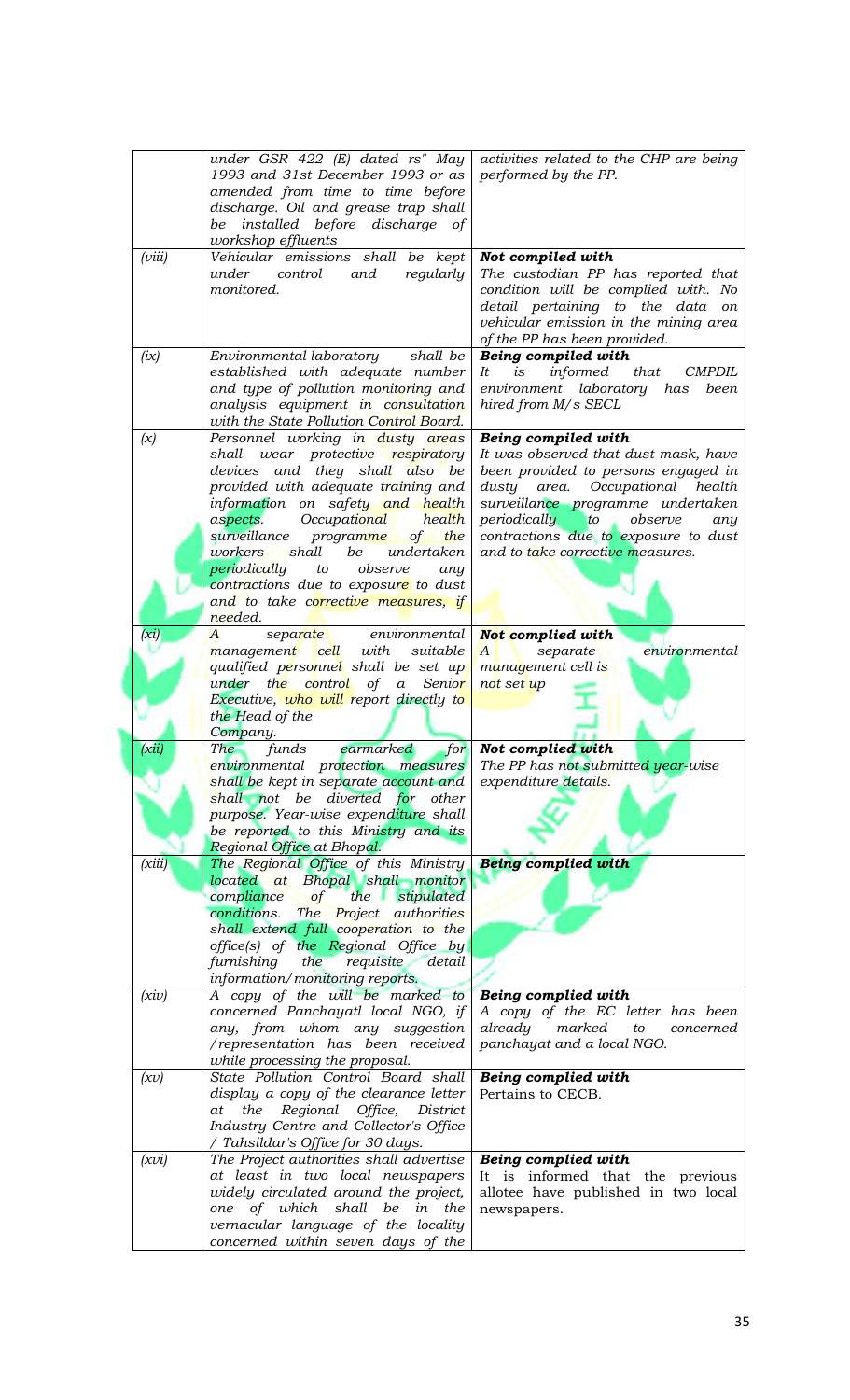|        | under GSR $422$ (E) dated rs" May                                                                             | activities related to the CHP are being                               |
|--------|---------------------------------------------------------------------------------------------------------------|-----------------------------------------------------------------------|
|        | 1993 and 31st December 1993 or as                                                                             | performed by the PP.                                                  |
|        | amended from time to time before                                                                              |                                                                       |
|        | discharge. Oil and grease trap shall<br>be installed before discharge of                                      |                                                                       |
|        | workshop effluents                                                                                            |                                                                       |
| (viii) | Vehicular emissions shall be kept                                                                             | Not compiled with                                                     |
|        | control<br>and<br>regularly<br>under                                                                          | The custodian PP has reported that                                    |
|        | monitored.                                                                                                    | condition will be complied with. No                                   |
|        |                                                                                                               | detail pertaining to the data on                                      |
|        |                                                                                                               | vehicular emission in the mining area<br>of the PP has been provided. |
| (ix)   | Environmental laboratory shall be                                                                             | Being compiled with                                                   |
|        | established with adequate number                                                                              | is<br>informed<br>that<br>It<br><b>CMPDIL</b>                         |
|        | and type of pollution monitoring and                                                                          | environment laboratory has<br>been                                    |
|        | analysis equipment in consultation                                                                            | hired from M/s SECL                                                   |
|        | with the State Pollution Control Board.                                                                       |                                                                       |
| (x)    | Personnel working in dusty areas<br>wear protective respiratory<br>shall                                      | Being compiled with<br>It was observed that dust mask, have           |
|        | devices and they shall also be                                                                                | been provided to persons engaged in                                   |
|        | provided with adequate training and                                                                           | dusty area.<br>Occupational health                                    |
|        | information on safety and health                                                                              | surveillance programme undertaken                                     |
|        | Occupati <mark>onal</mark><br>health<br>aspects.                                                              | periodically<br>to observe<br>any                                     |
|        | surveillance<br>the<br>programme<br>of                                                                        | contractions due to exposure to dust                                  |
|        | shall<br>be<br>workers<br>undertaken<br>periodically<br>observe<br>to<br>any                                  | and to take corrective measures.                                      |
|        | contractions due to exposure to dust                                                                          |                                                                       |
|        | and to take corrective measures, if                                                                           |                                                                       |
|        | needed.                                                                                                       |                                                                       |
| (xi)   | separate environmental<br>A                                                                                   | Not complied with                                                     |
|        | cell with<br>suitable<br>management                                                                           | separate<br>environmental<br>A                                        |
|        | qualified personnel shall be set up<br>Senior<br>under the control of a                                       | management cell is<br>not set up                                      |
|        | Executive, who will report directly to                                                                        |                                                                       |
|        | the Head of the                                                                                               |                                                                       |
|        | Company.                                                                                                      |                                                                       |
| (xii)  | earmarked<br>funds<br>The                                                                                     | for Not complied with                                                 |
|        | environmental protection measures The PP has not submitted year-wise<br>shall be kept in separate account and | expenditure details.                                                  |
|        | shall not be diverted for other                                                                               |                                                                       |
|        | purpose. Year-wise expenditure shall                                                                          |                                                                       |
|        | be reported to this Ministry and its                                                                          |                                                                       |
|        | Regional Office at Bhopal.                                                                                    |                                                                       |
| (xiii) | The Regional Office of this Ministry<br>located at Bhopal shall monitor                                       | <b>Being complied with</b>                                            |
|        | stipulated<br>compliance<br>$\circ f$<br>the                                                                  |                                                                       |
|        | conditions.<br>The <b>Project</b> authorities                                                                 |                                                                       |
|        | shall extend full cooperation to the                                                                          |                                                                       |
|        | office(s) of the Regional Office by                                                                           |                                                                       |
|        | furnishing<br>the<br>requisite<br>detail<br>information/monitoring reports.                                   |                                                                       |
| (xiv)  | A copy of the will be marked to                                                                               | Being complied with                                                   |
|        | concerned Panchayatl local NGO, if                                                                            | A copy of the EC letter has been                                      |
|        | any, from whom any suggestion                                                                                 | already<br>marked<br>to<br>concerned                                  |
|        | /representation has been received                                                                             | panchayat and a local NGO.                                            |
|        | while processing the proposal.                                                                                |                                                                       |
| (xv)   | State Pollution Control Board shall<br>display a copy of the clearance letter                                 | Being complied with<br>Pertains to CECB.                              |
|        | at the Regional Office,<br>District                                                                           |                                                                       |
|        | Industry Centre and Collector's Office                                                                        |                                                                       |
|        | / Tahsildar's Office for 30 days.                                                                             |                                                                       |
| (xvi)  | The Project authorities shall advertise                                                                       | Being complied with                                                   |
|        | at least in two local newspapers                                                                              | It is informed that the previous                                      |
|        | widely circulated around the project,                                                                         | allotee have published in two local<br>newspapers.                    |
|        |                                                                                                               |                                                                       |
|        | of which shall be in the<br>one<br>vernacular language of the locality                                        |                                                                       |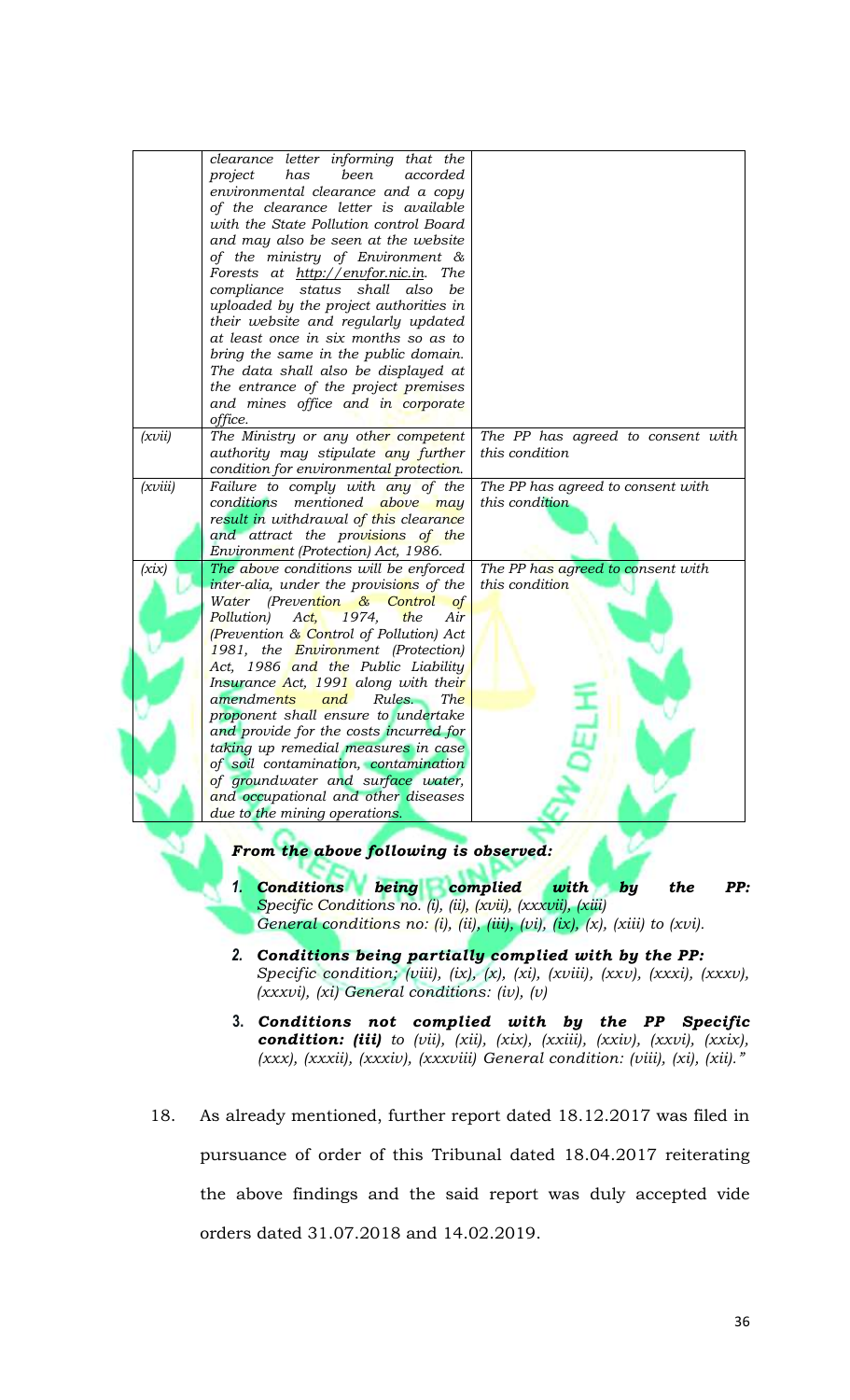|         | clearance letter informing that the                              |                                   |
|---------|------------------------------------------------------------------|-----------------------------------|
|         | been                                                             |                                   |
|         | project<br>has<br>accorded<br>environmental clearance and a copy |                                   |
|         |                                                                  |                                   |
|         | of the clearance letter is available                             |                                   |
|         | with the State Pollution control Board                           |                                   |
|         | and may also be seen at the website                              |                                   |
|         | of the ministry of Environment &                                 |                                   |
|         | Forests at http://envfor.nic.in.<br><i>The</i>                   |                                   |
|         | compliance status shall<br>also<br>be                            |                                   |
|         | uploaded by the project authorities in                           |                                   |
|         | their website and regularly updated                              |                                   |
|         | at least once in six months so as to                             |                                   |
|         | bring the same in the public domain.                             |                                   |
|         | The data shall also be displayed at                              |                                   |
|         | the entrance of the project premises                             |                                   |
|         | and mines office and in corporate                                |                                   |
|         | office.                                                          |                                   |
| (xvii)  | The Ministry or any other competent                              | The PP has agreed to consent with |
|         | authority may stipulate any further                              | this condition                    |
|         | condition for environmental protection.                          |                                   |
| (xviii) | Failure to comply with any of the                                | The PP has agreed to consent with |
|         | conditions mentioned above may                                   | this condition                    |
|         | result in withdrawal of this clearance                           |                                   |
|         | and attract the provisions of the                                |                                   |
|         | Environment (Protection) Act, 1986.                              |                                   |
| (xix)   | The above conditions will be enforced                            | The PP has agreed to consent with |
|         | inter-alia, under the provisions of the                          | this condition                    |
|         | Water<br>(Prevention & Control<br><b>of</b>                      |                                   |
|         | Act,<br>1974,<br>the<br>Pollution)<br>Air                        |                                   |
|         | (Prevention & Control of Pollution) Act                          |                                   |
|         | 1981, the Environment (Protection)                               |                                   |
|         | Act, 1986 and the Public Liability                               |                                   |
|         | Insurance Act, 1991 along with their                             |                                   |
|         | amendments<br>and<br>Rules.<br><i>The</i>                        |                                   |
|         | proponent shall ensure to undertake                              |                                   |
|         | and provide for the costs incurred for                           |                                   |
|         | taking up remedial measures in case                              |                                   |
|         | of soil contamination, contamination                             |                                   |
|         | of groundwater and surface water,                                |                                   |
|         | and occupational and other diseases                              |                                   |
|         | due to the mining operations.                                    |                                   |
|         |                                                                  |                                   |
|         | From the above following is observed:                            |                                   |

- *1. Conditions being complied with by the PP: Specific Conditions no. (i), (ii), (xvii), (xxxvii), (xiii) General conditions no: (i), (ii), (iii), (vi), (ix), (x), (xiii) to (xvi).*
- *2. Conditions being partially complied with by the PP: Specific condition; (viii), (ix), (x), (xi), (xviii), (xxv), (xxxi), (xxxv), (xxxvi), (xi) General conditions: (iv), (v)*
- **3.** *Conditions not complied with by the PP Specific condition: (iii) to (vii), (xii), (xix), (xxiii), (xxiv), (xxvi), (xxix), (xxx), (xxxii), (xxxiv), (xxxviii) General condition: (viii), (xi), (xii)."*
- 18. As already mentioned, further report dated 18.12.2017 was filed in pursuance of order of this Tribunal dated 18.04.2017 reiterating the above findings and the said report was duly accepted vide orders dated 31.07.2018 and 14.02.2019.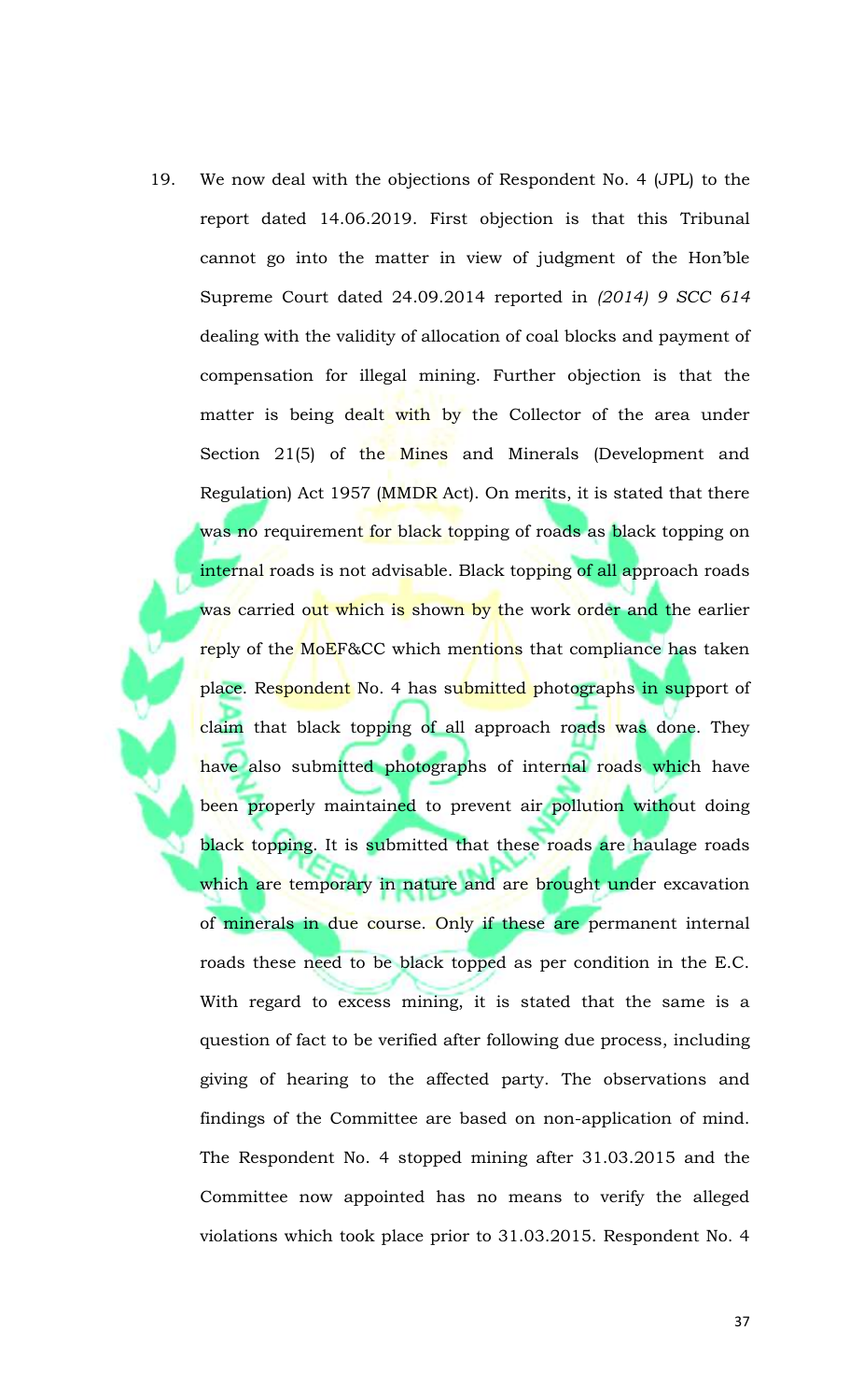19. We now deal with the objections of Respondent No. 4 (JPL) to the report dated 14.06.2019. First objection is that this Tribunal cannot go into the matter in view of judgment of the Hon'ble Supreme Court dated 24.09.2014 reported in *(2014) 9 SCC 614* dealing with the validity of allocation of coal blocks and payment of compensation for illegal mining. Further objection is that the matter is being dealt with by the Collector of the area under Section 21(5) of the Mines and Minerals (Development and Regulation) Act 1957 (MMDR Act). On merits, it is stated that there was no requirement for black topping of roads as black topping on internal roads is not advisable. Black topping of all approach roads was carried out which is shown by the work order and the earlier reply of the MoEF&CC which mentions that compliance has taken place. Respondent No. 4 has submitted photographs in support of claim that black topping of all approach roads was done. They have also submitted photographs of internal roads which have been properly maintained to prevent air pollution without doing black topping. It is submitted that these roads are haulage roads which are temporary in nature and are brought under excavation of minerals in due course. Only if these are permanent internal roads these need to be black topped as per condition in the E.C. With regard to excess mining, it is stated that the same is a question of fact to be verified after following due process, including giving of hearing to the affected party. The observations and findings of the Committee are based on non-application of mind. The Respondent No. 4 stopped mining after 31.03.2015 and the Committee now appointed has no means to verify the alleged violations which took place prior to 31.03.2015. Respondent No. 4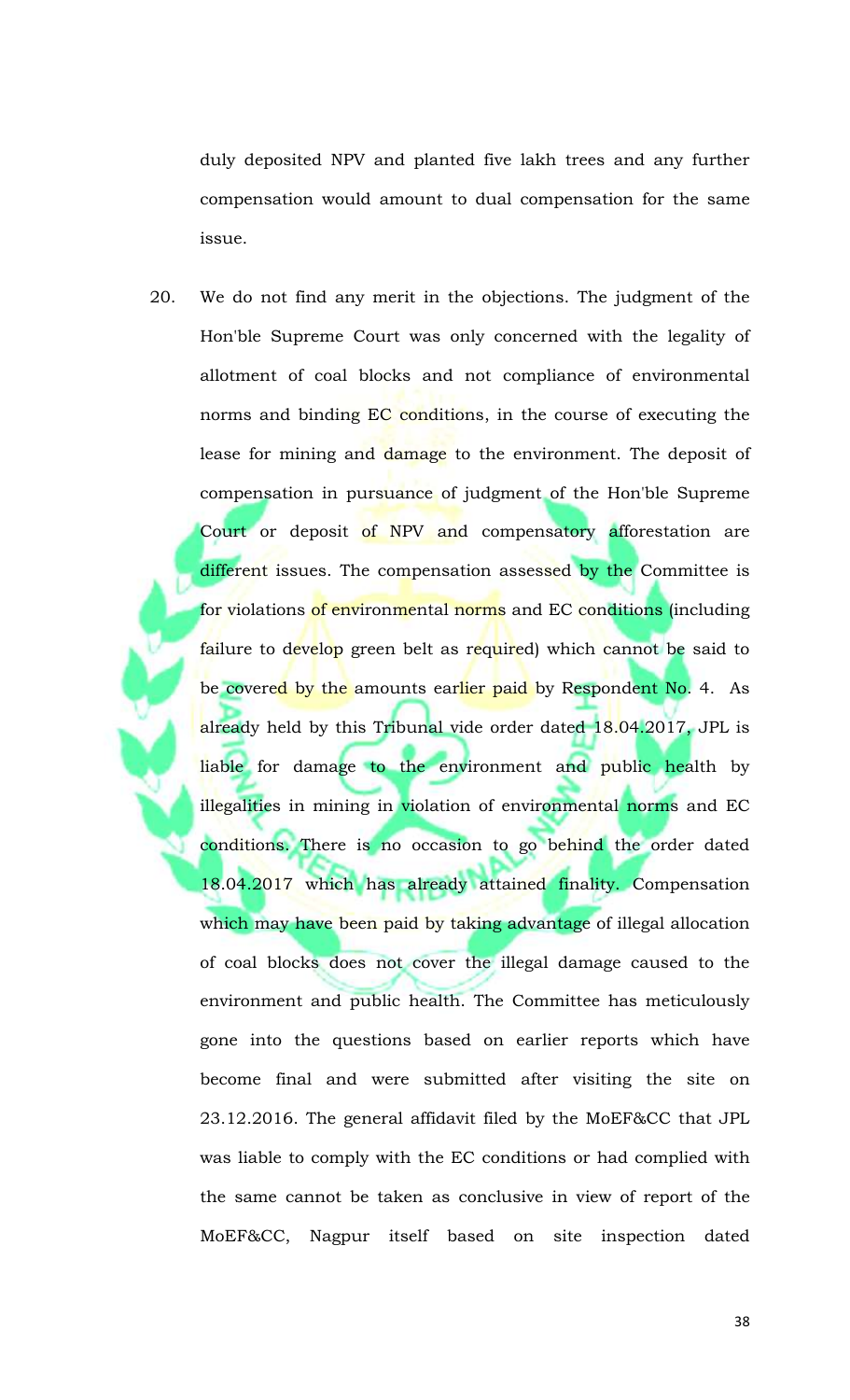duly deposited NPV and planted five lakh trees and any further compensation would amount to dual compensation for the same issue.

20. We do not find any merit in the objections. The judgment of the Hon'ble Supreme Court was only concerned with the legality of allotment of coal blocks and not compliance of environmental norms and binding EC conditions, in the course of executing the lease for mining and damage to the environment. The deposit of compensation in pursuance of judgment of the Hon'ble Supreme Court or deposit of NPV and compensatory afforestation are different issues. The compensation assessed by the Committee is for violations of environmental norms and EC conditions (including failure to develop green belt as required) which cannot be said to be covere<mark>d by the amounts earlier paid by Respondent No.</mark> 4. As already held by this Tribunal vide order dated 18.04.2017, JPL is liable for damage to the environment and public health by illegalities in mining in violation of environmental norms and EC conditions. There is no occasion to go behind the order dated 18.04.2017 which has already attained finality. Compensation which may have been paid by taking advantage of illegal allocation of coal blocks does not cover the illegal damage caused to the environment and public health. The Committee has meticulously gone into the questions based on earlier reports which have become final and were submitted after visiting the site on 23.12.2016. The general affidavit filed by the MoEF&CC that JPL was liable to comply with the EC conditions or had complied with the same cannot be taken as conclusive in view of report of the MoEF&CC, Nagpur itself based on site inspection dated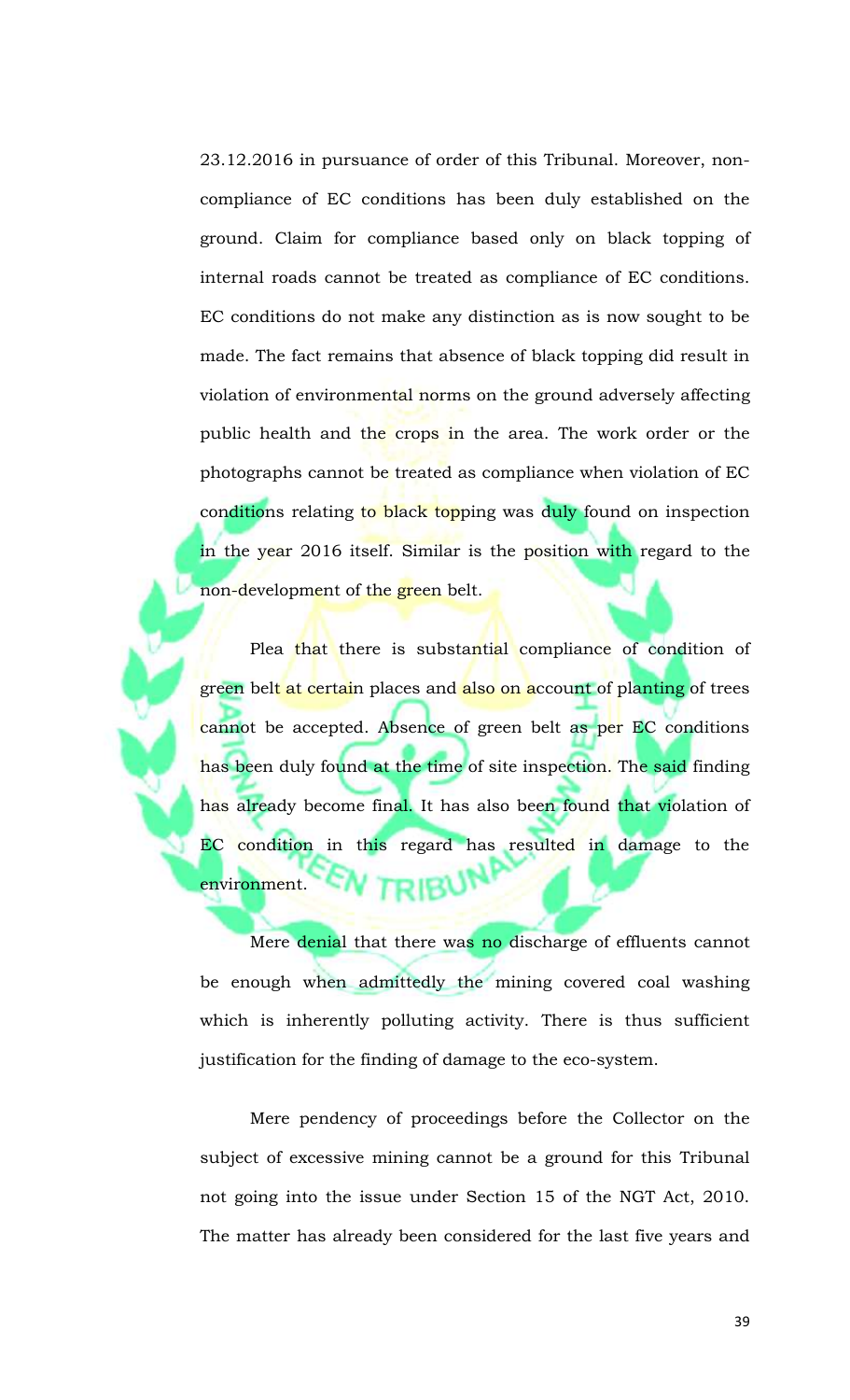23.12.2016 in pursuance of order of this Tribunal. Moreover, noncompliance of EC conditions has been duly established on the ground. Claim for compliance based only on black topping of internal roads cannot be treated as compliance of EC conditions. EC conditions do not make any distinction as is now sought to be made. The fact remains that absence of black topping did result in violation of environmental norms on the ground adversely affecting public health and the crops in the area. The work order or the photographs cannot be treated as compliance when violation of EC conditions relating to black topping was duly found on inspection in the year 2016 itself. Similar is the position with regard to the non-development of the green belt.

Plea that there is substantial compliance of condition of green bel<mark>t at certai</mark>n places and <mark>also on a</mark>ccount of planting of trees cannot be accepted. Absence of green belt as per EC conditions has been duly found at the time of site inspection. The said finding has already become final. It has also been found that violation of EC condition in this regard has resulted in damage to the environment.

Mere denial that there was no discharge of effluents cannot be enough when admittedly the mining covered coal washing which is inherently polluting activity. There is thus sufficient justification for the finding of damage to the eco-system.

Mere pendency of proceedings before the Collector on the subject of excessive mining cannot be a ground for this Tribunal not going into the issue under Section 15 of the NGT Act, 2010. The matter has already been considered for the last five years and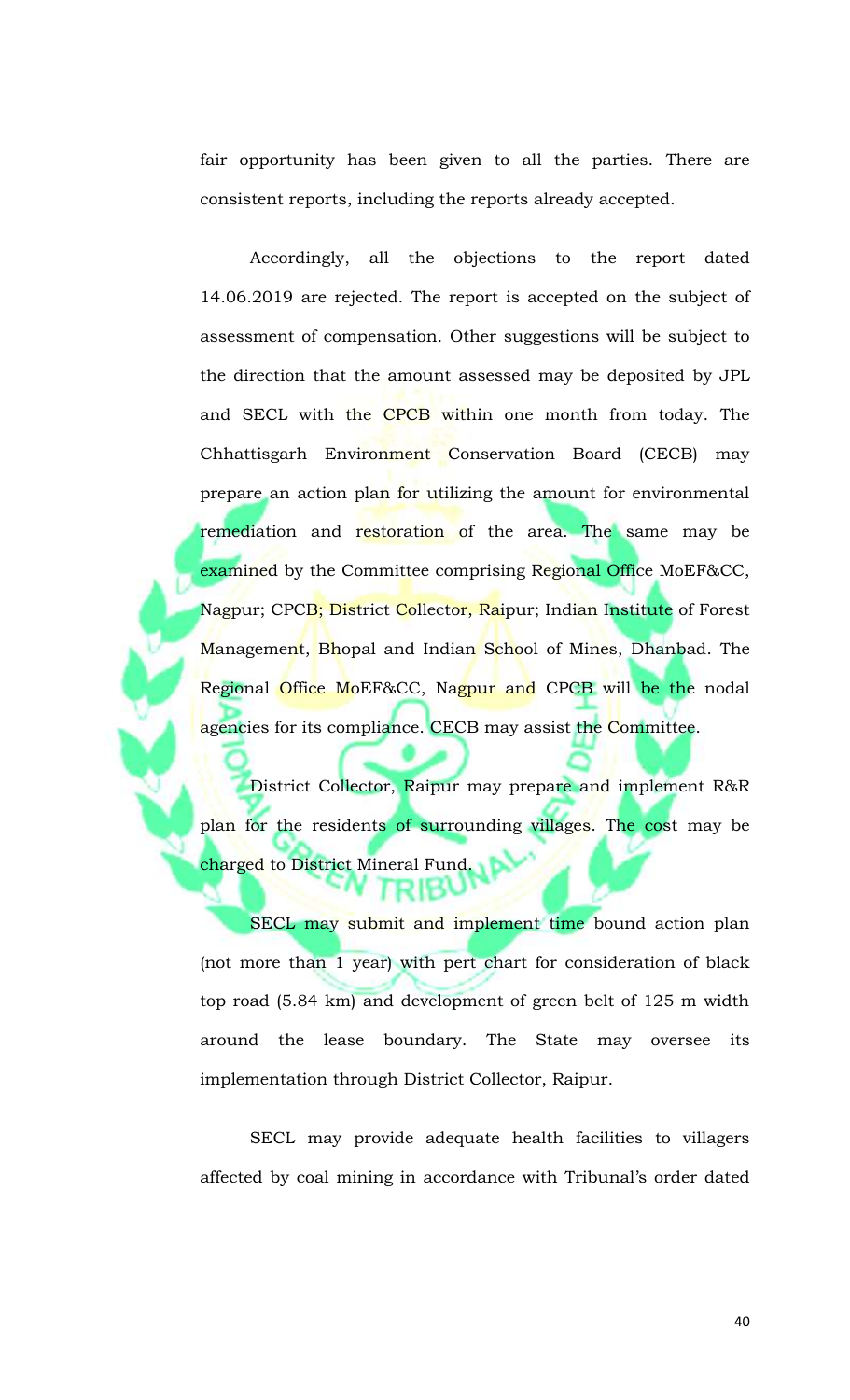fair opportunity has been given to all the parties. There are consistent reports, including the reports already accepted.

Accordingly, all the objections to the report dated 14.06.2019 are rejected. The report is accepted on the subject of assessment of compensation. Other suggestions will be subject to the direction that the amount assessed may be deposited by JPL and SECL with the CPCB within one month from today. The Chhattisgarh Environment Conservation Board (CECB) may prepare an action plan for utilizing the amount for environmental remediation and restoration of the area. The same may be examined by the Committee comprising Regional Office MoEF&CC, Nagpur; CPCB; District Collector, Raipur; Indian Institute of Forest Management, Bhopal and Indian School of Mines, Dhanbad. The Regional Office MoEF&CC, Nagpur and CPCB will be the nodal agencies for its compliance. CECB may assist the Committee.

District Collector, Raipur may prepare and implement R&R plan for the residents of surrounding villages. The cost may be charged to District Mineral Fund.

SECL may submit and implement time bound action plan (not more than 1 year) with pert chart for consideration of black top road (5.84 km) and development of green belt of 125 m width around the lease boundary. The State may oversee its implementation through District Collector, Raipur.

SECL may provide adequate health facilities to villagers affected by coal mining in accordance with Tribunal's order dated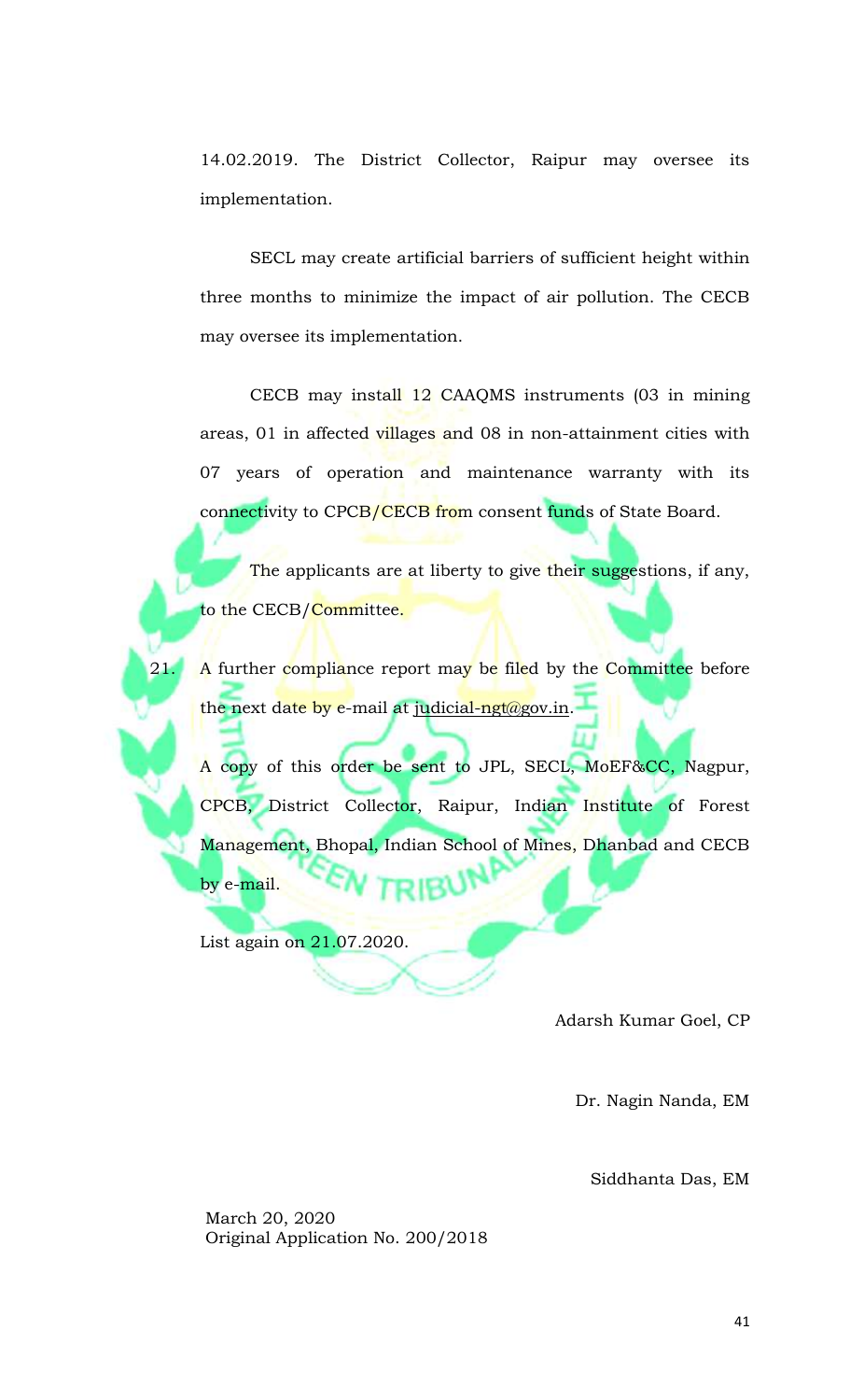14.02.2019. The District Collector, Raipur may oversee its implementation.

SECL may create artificial barriers of sufficient height within three months to minimize the impact of air pollution. The CECB may oversee its implementation.

CECB may install 12 CAAQMS instruments (03 in mining areas, 01 in affected villages and 08 in non-attainment cities with 07 years of operation and maintenance warranty with its connectivity to CPCB/CECB from consent funds of State Board.

The applicants are at liberty to give their suggestions, if any, to the CECB/Committee.

A further compliance report may be filed by the Committee before the next date by e-mail at [judicial-ngt@gov.in.](mailto:judicial-ngt@gov.in)

A copy of this order be sent to JPL, SECL, MoEF&CC, Nagpur, CPCB, District Collector, Raipur, Indian Institute of Forest Management, Bhopal, Indian School of Mines, Dhanbad and CECB by e-mail.

List again on 21.07.2020.

Adarsh Kumar Goel, CP

Dr. Nagin Nanda, EM

Siddhanta Das, EM

March 20, 2020 Original Application No. 200/2018